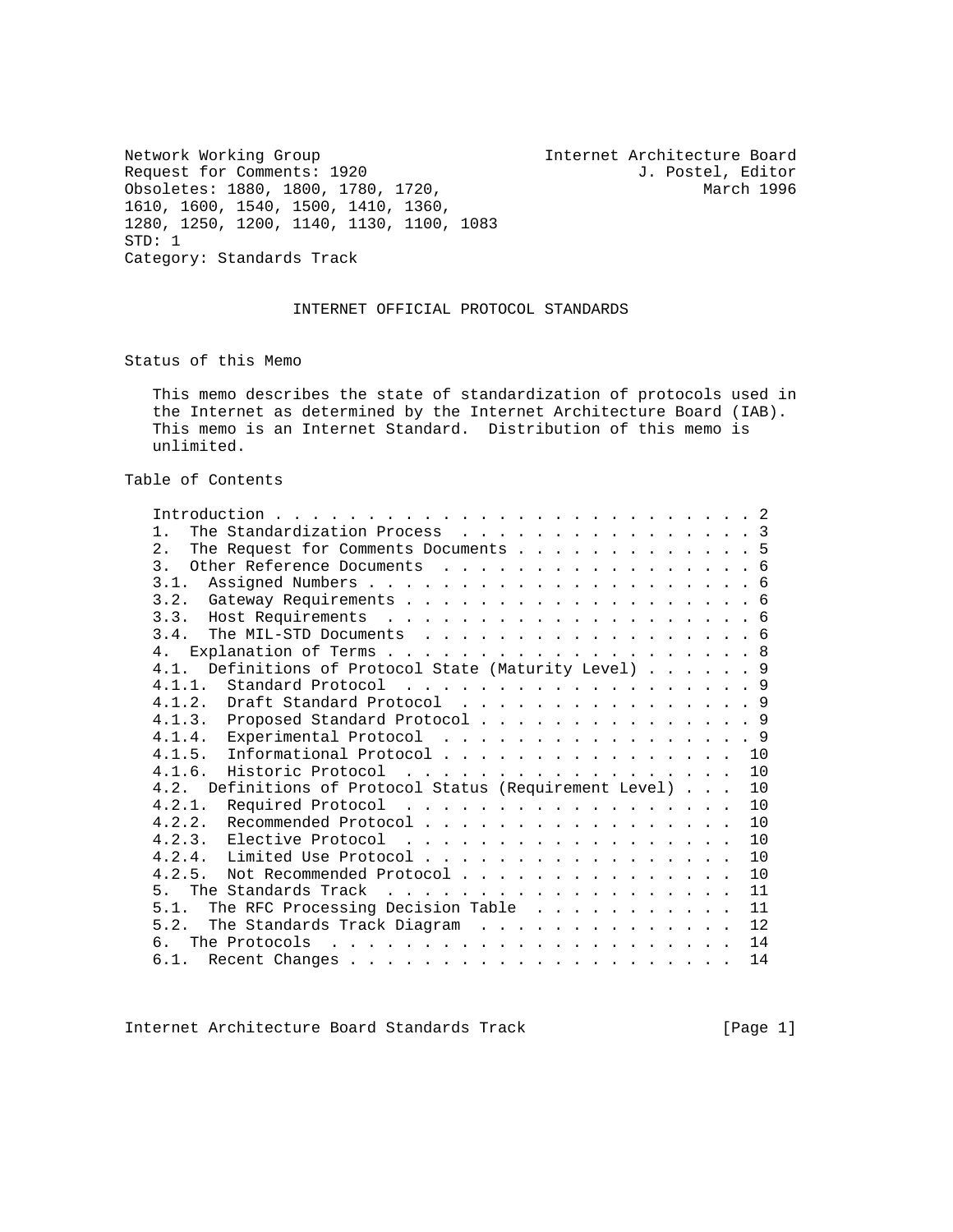Network Working Group 1920 111 Internet Architecture Board<br>Request for Comments: 1920 1. Postel, Editor Request for Comments: 1920 J. Postel, Editor Obsoletes: 1880, 1800, 1780, 1720, 1610, 1600, 1540, 1500, 1410, 1360, 1280, 1250, 1200, 1140, 1130, 1100, 1083 STD: 1 Category: Standards Track

# INTERNET OFFICIAL PROTOCOL STANDARDS

Status of this Memo

 This memo describes the state of standardization of protocols used in the Internet as determined by the Internet Architecture Board (IAB). This memo is an Internet Standard. Distribution of this memo is unlimited.

Table of Contents

| The Standardization Process 3<br>1 <sup>1</sup>               |  |
|---------------------------------------------------------------|--|
| 2.1<br>The Request for Comments Documents 5                   |  |
| 3 <sub>1</sub><br>Other Reference Documents 6                 |  |
| 3.1.                                                          |  |
|                                                               |  |
|                                                               |  |
| 3.4.<br>The MIL-STD Documents 6                               |  |
| 4 <sub>1</sub>                                                |  |
| Definitions of Protocol State (Maturity Level) 9<br>4.1       |  |
| 4.1.1. Standard Protocol 9                                    |  |
| 4.1.2. Draft Standard Protocol 9                              |  |
| 4.1.3. Proposed Standard Protocol 9                           |  |
| 4.1.4. Experimental Protocol 9                                |  |
| 4.1.5. Informational Protocol 10                              |  |
| 4.1.6.<br>Historic Protocol<br>10                             |  |
| 4.2. Definitions of Protocol Status (Requirement Level)<br>10 |  |
| 4.2.1.<br>Required Protocol<br>10                             |  |
| 4.2.2. Recommended Protocol<br>10                             |  |
| 10                                                            |  |
| 4.2.4. Limited Use Protocol<br>10                             |  |
| 4.2.5.<br>Not Recommended Protocol<br>10                      |  |
| 11<br>5 <sub>1</sub>                                          |  |
| The RFC Processing Decision Table<br>11<br>5.1.               |  |
| 12                                                            |  |
| 14<br>რ.<br>The Protocols                                     |  |
| 14<br>6.1.                                                    |  |

Internet Architecture Board Standards Track [Page 1]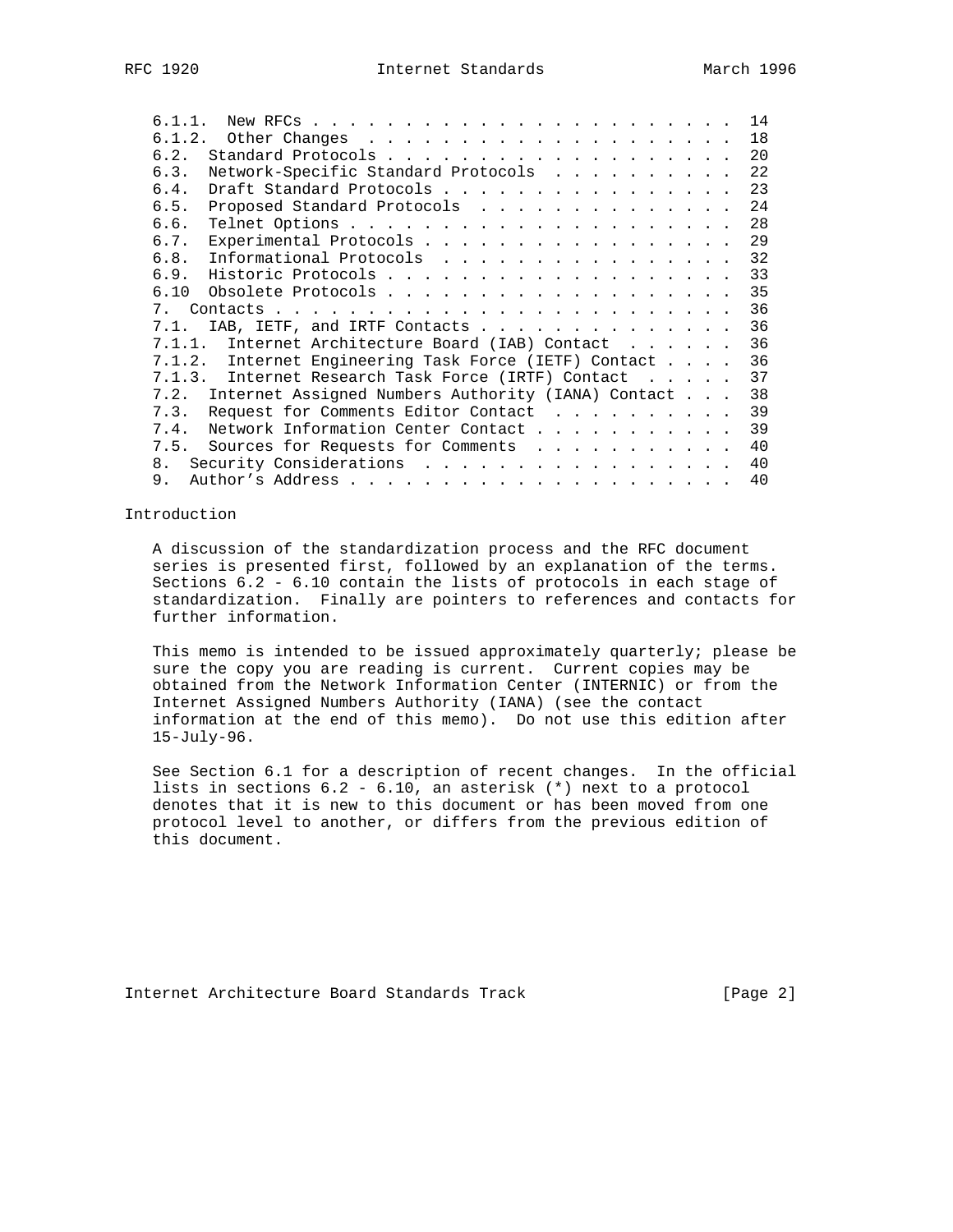| 6.1.2.<br>18<br>6.2.<br>20<br>Network-Specific Standard Protocols<br>6.3.<br>22<br>6.4.<br>Draft Standard Protocols<br>23<br>6.5.<br>Proposed Standard Protocols<br>24<br>28<br>6.6.<br>Experimental Protocols<br>29<br>6.7.<br>6.8.<br>Informational Protocols<br>32<br>6.9.<br>33<br>35<br>36<br>7<br>36<br>IAB, IETF, and IRTF Contacts<br>7.1.<br>36<br>Internet Architecture Board (IAB) Contact<br>7.1.1.<br>7.1.2.<br>Internet Engineering Task Force (IETF) Contact<br>36<br>7.1.3. Internet Research Task Force (IRTF) Contact<br>37<br>7.2. Internet Assigned Numbers Authority (IANA) Contact<br>38<br>Request for Comments Editor Contact<br>39<br>7.3. |
|---------------------------------------------------------------------------------------------------------------------------------------------------------------------------------------------------------------------------------------------------------------------------------------------------------------------------------------------------------------------------------------------------------------------------------------------------------------------------------------------------------------------------------------------------------------------------------------------------------------------------------------------------------------------|
|                                                                                                                                                                                                                                                                                                                                                                                                                                                                                                                                                                                                                                                                     |
|                                                                                                                                                                                                                                                                                                                                                                                                                                                                                                                                                                                                                                                                     |
|                                                                                                                                                                                                                                                                                                                                                                                                                                                                                                                                                                                                                                                                     |
|                                                                                                                                                                                                                                                                                                                                                                                                                                                                                                                                                                                                                                                                     |
|                                                                                                                                                                                                                                                                                                                                                                                                                                                                                                                                                                                                                                                                     |
|                                                                                                                                                                                                                                                                                                                                                                                                                                                                                                                                                                                                                                                                     |
|                                                                                                                                                                                                                                                                                                                                                                                                                                                                                                                                                                                                                                                                     |
|                                                                                                                                                                                                                                                                                                                                                                                                                                                                                                                                                                                                                                                                     |
|                                                                                                                                                                                                                                                                                                                                                                                                                                                                                                                                                                                                                                                                     |
|                                                                                                                                                                                                                                                                                                                                                                                                                                                                                                                                                                                                                                                                     |
|                                                                                                                                                                                                                                                                                                                                                                                                                                                                                                                                                                                                                                                                     |
|                                                                                                                                                                                                                                                                                                                                                                                                                                                                                                                                                                                                                                                                     |
|                                                                                                                                                                                                                                                                                                                                                                                                                                                                                                                                                                                                                                                                     |
|                                                                                                                                                                                                                                                                                                                                                                                                                                                                                                                                                                                                                                                                     |
|                                                                                                                                                                                                                                                                                                                                                                                                                                                                                                                                                                                                                                                                     |
|                                                                                                                                                                                                                                                                                                                                                                                                                                                                                                                                                                                                                                                                     |
|                                                                                                                                                                                                                                                                                                                                                                                                                                                                                                                                                                                                                                                                     |
| 7.4.<br>Network Information Center Contact<br>39                                                                                                                                                                                                                                                                                                                                                                                                                                                                                                                                                                                                                    |
| 40<br>7.5.<br>Sources for Requests for Comments                                                                                                                                                                                                                                                                                                                                                                                                                                                                                                                                                                                                                     |
| Security Considerations<br>40<br>8.                                                                                                                                                                                                                                                                                                                                                                                                                                                                                                                                                                                                                                 |
| 40<br>9.                                                                                                                                                                                                                                                                                                                                                                                                                                                                                                                                                                                                                                                            |

### Introduction

 A discussion of the standardization process and the RFC document series is presented first, followed by an explanation of the terms. Sections 6.2 - 6.10 contain the lists of protocols in each stage of standardization. Finally are pointers to references and contacts for further information.

 This memo is intended to be issued approximately quarterly; please be sure the copy you are reading is current. Current copies may be obtained from the Network Information Center (INTERNIC) or from the Internet Assigned Numbers Authority (IANA) (see the contact information at the end of this memo). Do not use this edition after 15-July-96.

 See Section 6.1 for a description of recent changes. In the official lists in sections 6.2 - 6.10, an asterisk (\*) next to a protocol denotes that it is new to this document or has been moved from one protocol level to another, or differs from the previous edition of this document.

Internet Architecture Board Standards Track [Page 2]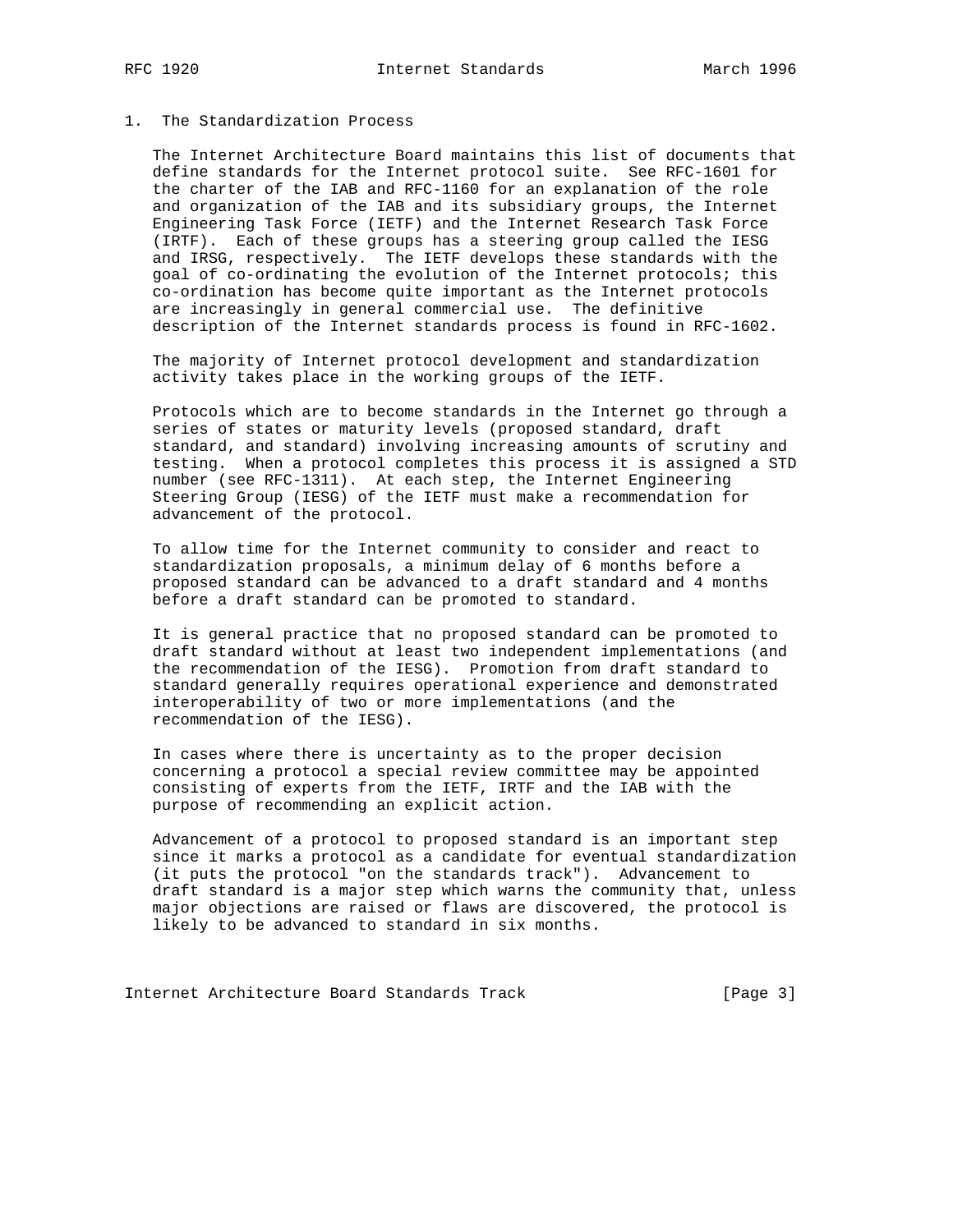# 1. The Standardization Process

 The Internet Architecture Board maintains this list of documents that define standards for the Internet protocol suite. See RFC-1601 for the charter of the IAB and RFC-1160 for an explanation of the role and organization of the IAB and its subsidiary groups, the Internet Engineering Task Force (IETF) and the Internet Research Task Force (IRTF). Each of these groups has a steering group called the IESG and IRSG, respectively. The IETF develops these standards with the goal of co-ordinating the evolution of the Internet protocols; this co-ordination has become quite important as the Internet protocols are increasingly in general commercial use. The definitive description of the Internet standards process is found in RFC-1602.

 The majority of Internet protocol development and standardization activity takes place in the working groups of the IETF.

 Protocols which are to become standards in the Internet go through a series of states or maturity levels (proposed standard, draft standard, and standard) involving increasing amounts of scrutiny and testing. When a protocol completes this process it is assigned a STD number (see RFC-1311). At each step, the Internet Engineering Steering Group (IESG) of the IETF must make a recommendation for advancement of the protocol.

 To allow time for the Internet community to consider and react to standardization proposals, a minimum delay of 6 months before a proposed standard can be advanced to a draft standard and 4 months before a draft standard can be promoted to standard.

 It is general practice that no proposed standard can be promoted to draft standard without at least two independent implementations (and the recommendation of the IESG). Promotion from draft standard to standard generally requires operational experience and demonstrated interoperability of two or more implementations (and the recommendation of the IESG).

 In cases where there is uncertainty as to the proper decision concerning a protocol a special review committee may be appointed consisting of experts from the IETF, IRTF and the IAB with the purpose of recommending an explicit action.

 Advancement of a protocol to proposed standard is an important step since it marks a protocol as a candidate for eventual standardization (it puts the protocol "on the standards track"). Advancement to draft standard is a major step which warns the community that, unless major objections are raised or flaws are discovered, the protocol is likely to be advanced to standard in six months.

Internet Architecture Board Standards Track [Page 3]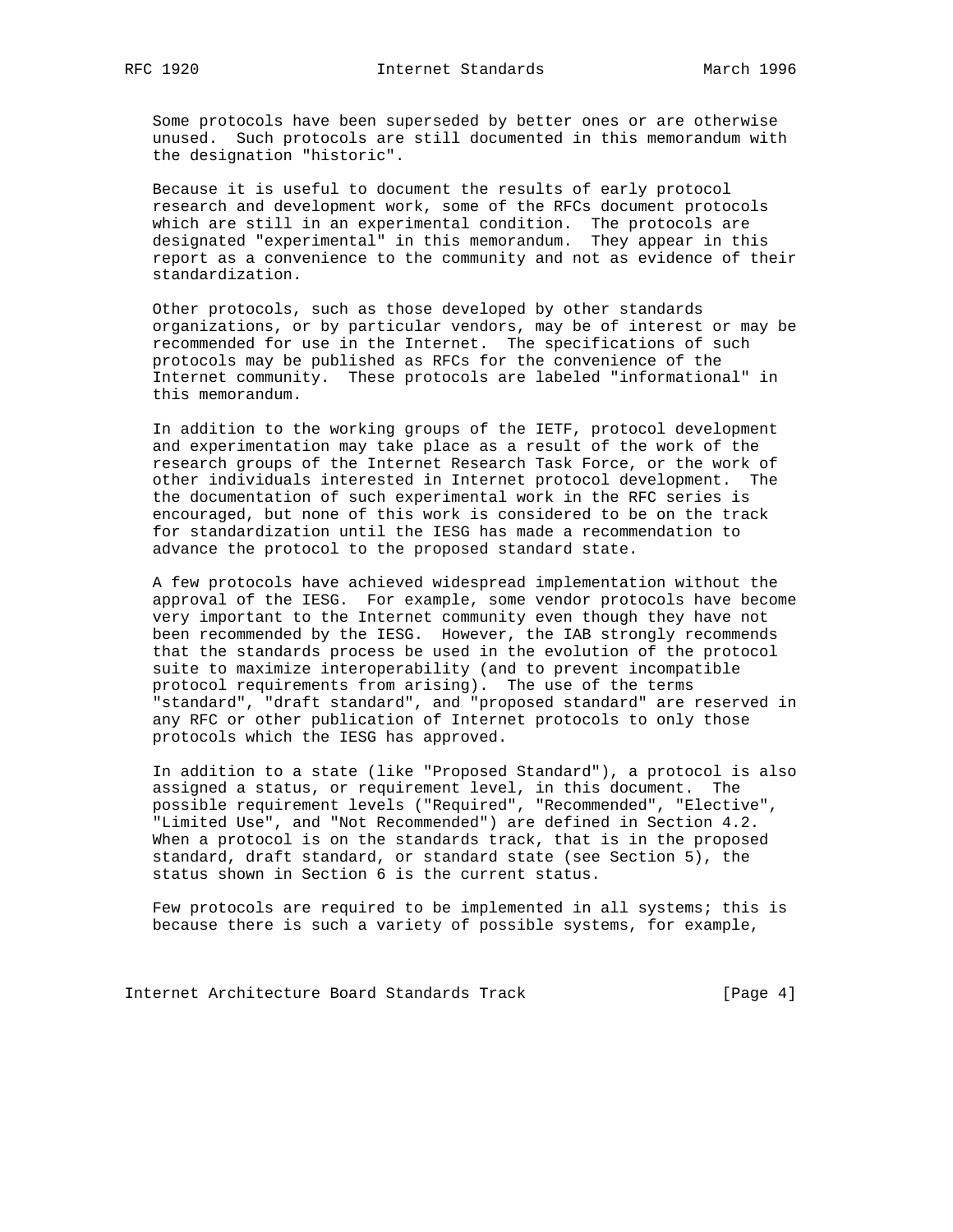Some protocols have been superseded by better ones or are otherwise unused. Such protocols are still documented in this memorandum with the designation "historic".

 Because it is useful to document the results of early protocol research and development work, some of the RFCs document protocols which are still in an experimental condition. The protocols are designated "experimental" in this memorandum. They appear in this report as a convenience to the community and not as evidence of their standardization.

 Other protocols, such as those developed by other standards organizations, or by particular vendors, may be of interest or may be recommended for use in the Internet. The specifications of such protocols may be published as RFCs for the convenience of the Internet community. These protocols are labeled "informational" in this memorandum.

 In addition to the working groups of the IETF, protocol development and experimentation may take place as a result of the work of the research groups of the Internet Research Task Force, or the work of other individuals interested in Internet protocol development. The the documentation of such experimental work in the RFC series is encouraged, but none of this work is considered to be on the track for standardization until the IESG has made a recommendation to advance the protocol to the proposed standard state.

 A few protocols have achieved widespread implementation without the approval of the IESG. For example, some vendor protocols have become very important to the Internet community even though they have not been recommended by the IESG. However, the IAB strongly recommends that the standards process be used in the evolution of the protocol suite to maximize interoperability (and to prevent incompatible protocol requirements from arising). The use of the terms "standard", "draft standard", and "proposed standard" are reserved in any RFC or other publication of Internet protocols to only those protocols which the IESG has approved.

 In addition to a state (like "Proposed Standard"), a protocol is also assigned a status, or requirement level, in this document. The possible requirement levels ("Required", "Recommended", "Elective", "Limited Use", and "Not Recommended") are defined in Section 4.2. When a protocol is on the standards track, that is in the proposed standard, draft standard, or standard state (see Section 5), the status shown in Section 6 is the current status.

 Few protocols are required to be implemented in all systems; this is because there is such a variety of possible systems, for example,

Internet Architecture Board Standards Track [Page 4]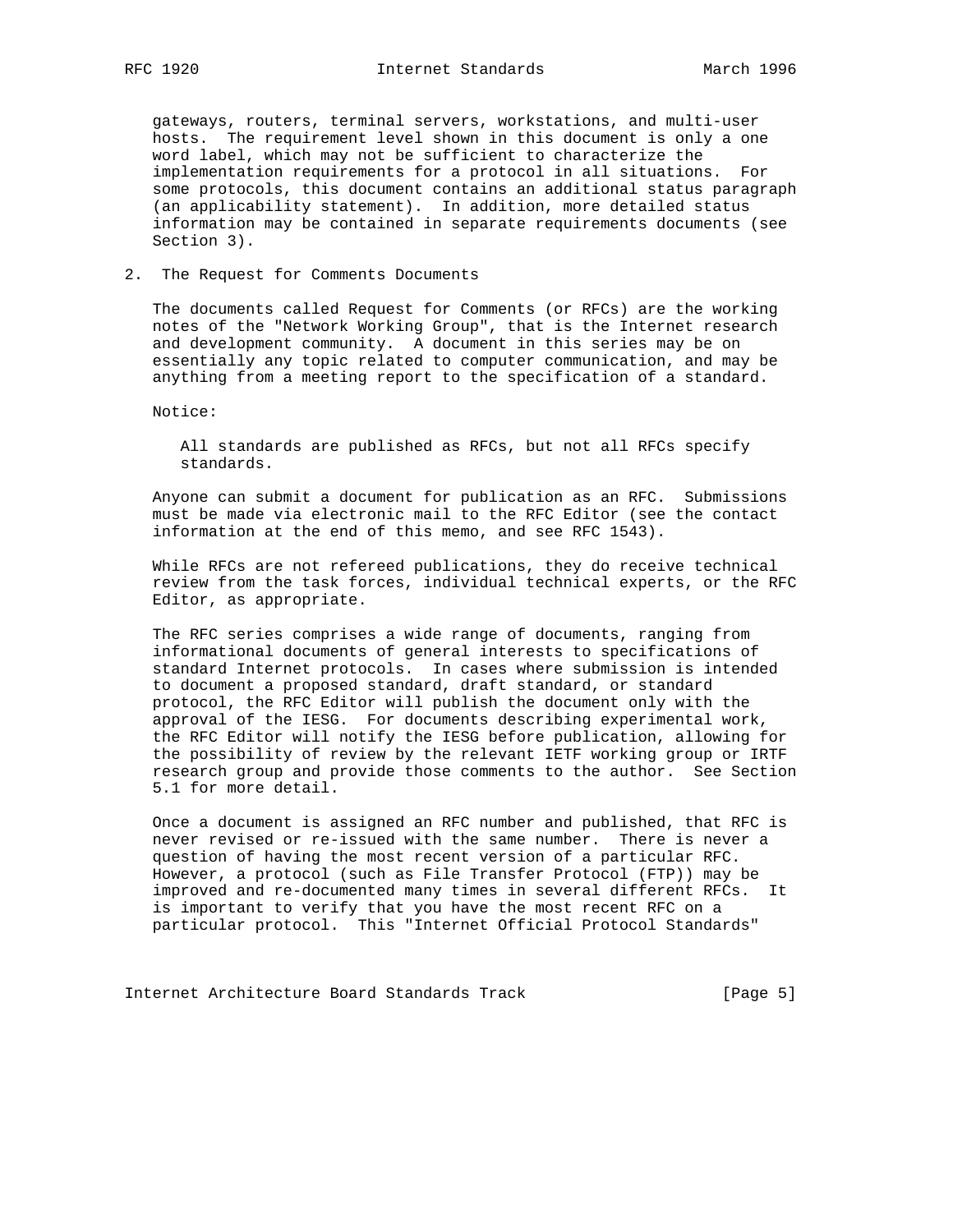gateways, routers, terminal servers, workstations, and multi-user hosts. The requirement level shown in this document is only a one word label, which may not be sufficient to characterize the implementation requirements for a protocol in all situations. For some protocols, this document contains an additional status paragraph (an applicability statement). In addition, more detailed status information may be contained in separate requirements documents (see Section 3).

### 2. The Request for Comments Documents

 The documents called Request for Comments (or RFCs) are the working notes of the "Network Working Group", that is the Internet research and development community. A document in this series may be on essentially any topic related to computer communication, and may be anything from a meeting report to the specification of a standard.

Notice:

 All standards are published as RFCs, but not all RFCs specify standards.

 Anyone can submit a document for publication as an RFC. Submissions must be made via electronic mail to the RFC Editor (see the contact information at the end of this memo, and see RFC 1543).

 While RFCs are not refereed publications, they do receive technical review from the task forces, individual technical experts, or the RFC Editor, as appropriate.

 The RFC series comprises a wide range of documents, ranging from informational documents of general interests to specifications of standard Internet protocols. In cases where submission is intended to document a proposed standard, draft standard, or standard protocol, the RFC Editor will publish the document only with the approval of the IESG. For documents describing experimental work, the RFC Editor will notify the IESG before publication, allowing for the possibility of review by the relevant IETF working group or IRTF research group and provide those comments to the author. See Section 5.1 for more detail.

 Once a document is assigned an RFC number and published, that RFC is never revised or re-issued with the same number. There is never a question of having the most recent version of a particular RFC. However, a protocol (such as File Transfer Protocol (FTP)) may be improved and re-documented many times in several different RFCs. It is important to verify that you have the most recent RFC on a particular protocol. This "Internet Official Protocol Standards"

Internet Architecture Board Standards Track [Page 5]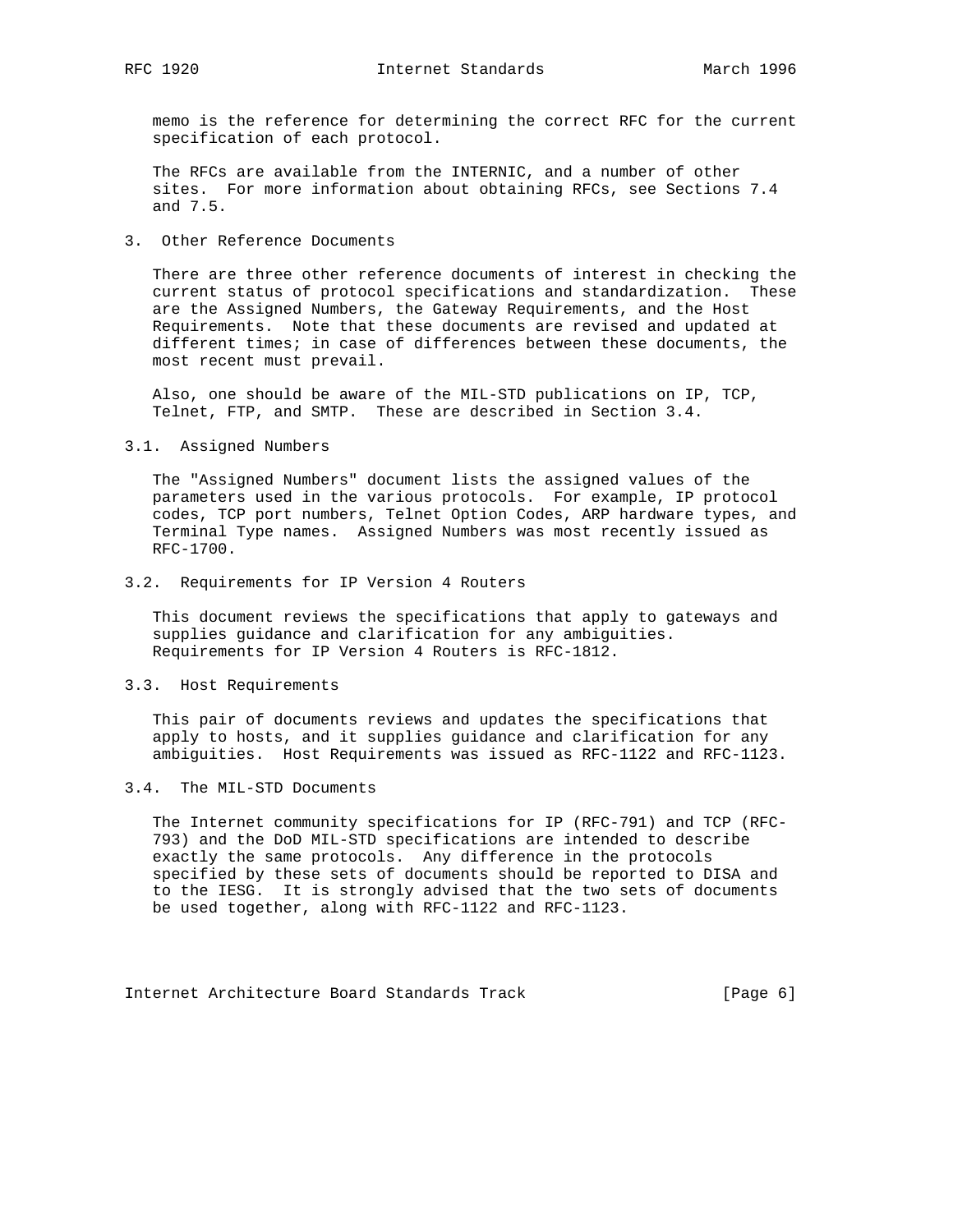memo is the reference for determining the correct RFC for the current specification of each protocol.

 The RFCs are available from the INTERNIC, and a number of other sites. For more information about obtaining RFCs, see Sections 7.4 and 7.5.

3. Other Reference Documents

 There are three other reference documents of interest in checking the current status of protocol specifications and standardization. These are the Assigned Numbers, the Gateway Requirements, and the Host Requirements. Note that these documents are revised and updated at different times; in case of differences between these documents, the most recent must prevail.

 Also, one should be aware of the MIL-STD publications on IP, TCP, Telnet, FTP, and SMTP. These are described in Section 3.4.

3.1. Assigned Numbers

 The "Assigned Numbers" document lists the assigned values of the parameters used in the various protocols. For example, IP protocol codes, TCP port numbers, Telnet Option Codes, ARP hardware types, and Terminal Type names. Assigned Numbers was most recently issued as RFC-1700.

### 3.2. Requirements for IP Version 4 Routers

 This document reviews the specifications that apply to gateways and supplies guidance and clarification for any ambiguities. Requirements for IP Version 4 Routers is RFC-1812.

### 3.3. Host Requirements

 This pair of documents reviews and updates the specifications that apply to hosts, and it supplies guidance and clarification for any ambiguities. Host Requirements was issued as RFC-1122 and RFC-1123.

#### 3.4. The MIL-STD Documents

 The Internet community specifications for IP (RFC-791) and TCP (RFC- 793) and the DoD MIL-STD specifications are intended to describe exactly the same protocols. Any difference in the protocols specified by these sets of documents should be reported to DISA and to the IESG. It is strongly advised that the two sets of documents be used together, along with RFC-1122 and RFC-1123.

Internet Architecture Board Standards Track [Page 6]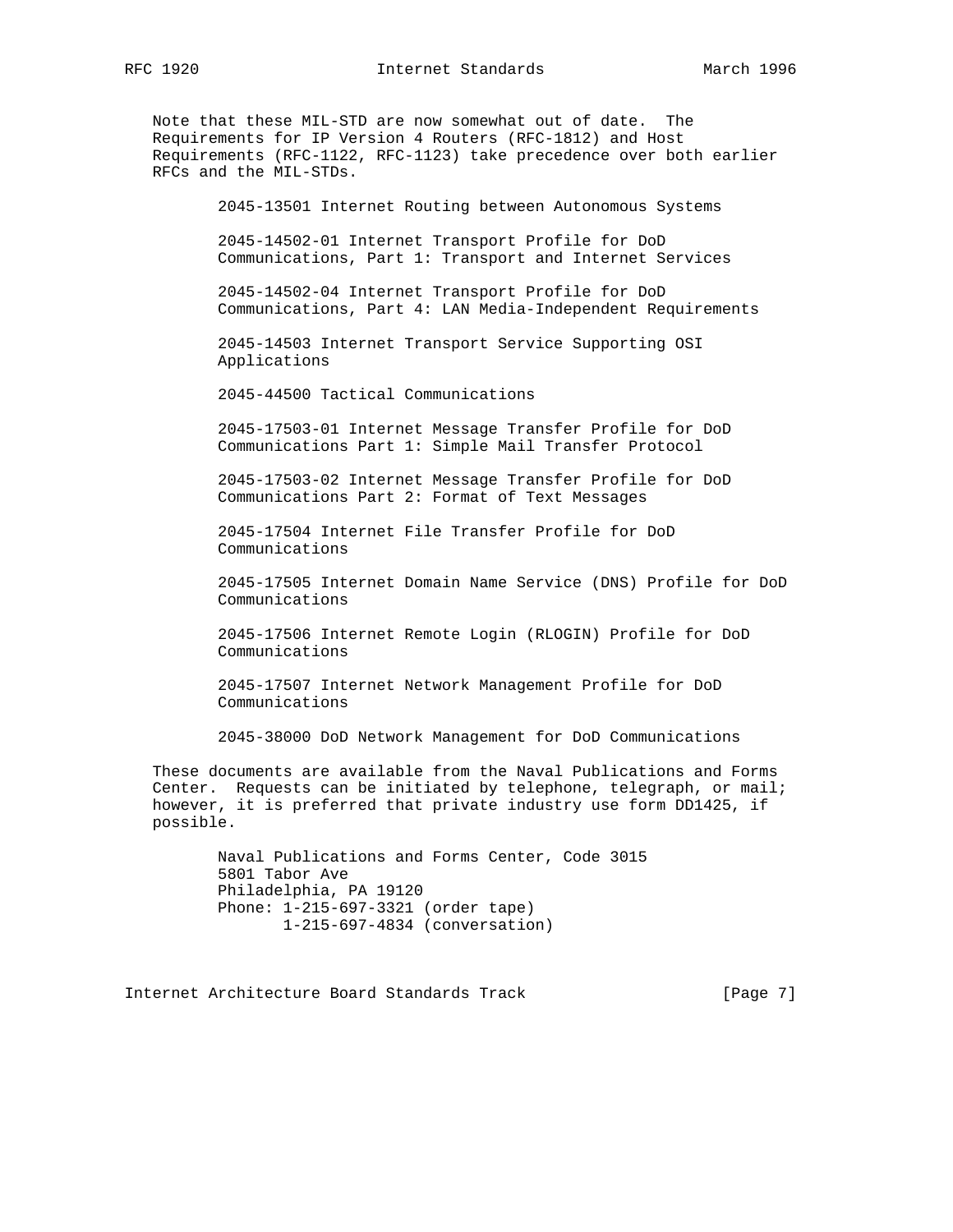RFC 1920 **Internet Standards** March 1996

 Note that these MIL-STD are now somewhat out of date. The Requirements for IP Version 4 Routers (RFC-1812) and Host Requirements (RFC-1122, RFC-1123) take precedence over both earlier RFCs and the MIL-STDs.

2045-13501 Internet Routing between Autonomous Systems

 2045-14502-01 Internet Transport Profile for DoD Communications, Part 1: Transport and Internet Services

 2045-14502-04 Internet Transport Profile for DoD Communications, Part 4: LAN Media-Independent Requirements

 2045-14503 Internet Transport Service Supporting OSI Applications

2045-44500 Tactical Communications

 2045-17503-01 Internet Message Transfer Profile for DoD Communications Part 1: Simple Mail Transfer Protocol

 2045-17503-02 Internet Message Transfer Profile for DoD Communications Part 2: Format of Text Messages

 2045-17504 Internet File Transfer Profile for DoD Communications

 2045-17505 Internet Domain Name Service (DNS) Profile for DoD Communications

 2045-17506 Internet Remote Login (RLOGIN) Profile for DoD Communications

 2045-17507 Internet Network Management Profile for DoD Communications

2045-38000 DoD Network Management for DoD Communications

 These documents are available from the Naval Publications and Forms Center. Requests can be initiated by telephone, telegraph, or mail; however, it is preferred that private industry use form DD1425, if possible.

> Naval Publications and Forms Center, Code 3015 5801 Tabor Ave Philadelphia, PA 19120 Phone: 1-215-697-3321 (order tape) 1-215-697-4834 (conversation)

Internet Architecture Board Standards Track [Page 7]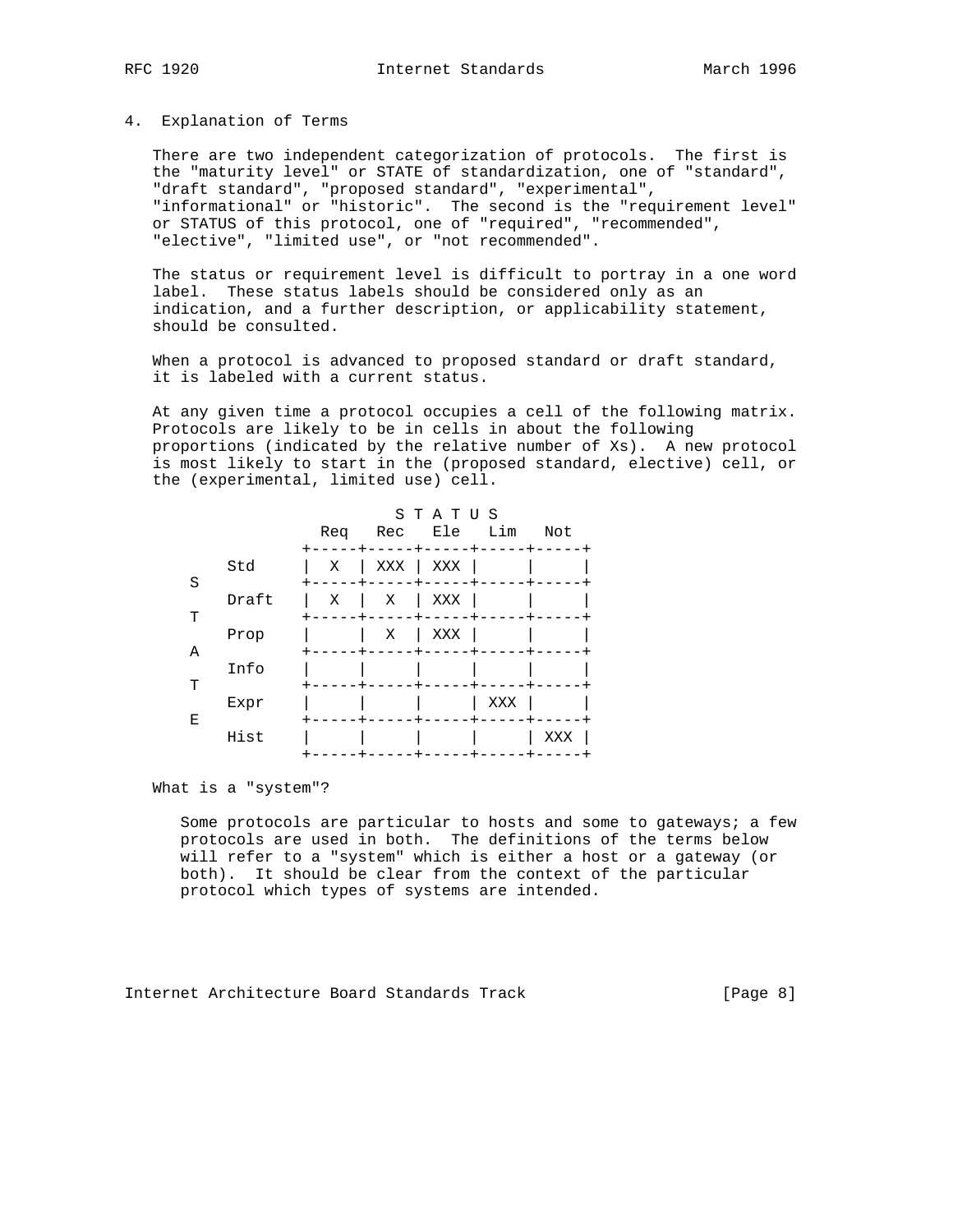#### 4. Explanation of Terms

 There are two independent categorization of protocols. The first is the "maturity level" or STATE of standardization, one of "standard", "draft standard", "proposed standard", "experimental", "informational" or "historic". The second is the "requirement level" or STATUS of this protocol, one of "required", "recommended", "elective", "limited use", or "not recommended".

 The status or requirement level is difficult to portray in a one word label. These status labels should be considered only as an indication, and a further description, or applicability statement, should be consulted.

When a protocol is advanced to proposed standard or draft standard, it is labeled with a current status.

 At any given time a protocol occupies a cell of the following matrix. Protocols are likely to be in cells in about the following proportions (indicated by the relative number of Xs). A new protocol is most likely to start in the (proposed standard, elective) cell, or the (experimental, limited use) cell.

|   |       | Req | Rec | STATUS<br>Ele Lim |     | Not |
|---|-------|-----|-----|-------------------|-----|-----|
| S | Std   | Χ   | XXX | XXX               |     |     |
| т | Draft | X   | Χ   | XXX               |     |     |
|   | Prop  |     | Χ   | XXX               |     |     |
| Α | Info  |     |     |                   |     |     |
| T | Expr  |     |     |                   | XXX |     |
| Ε | Hist  |     |     |                   |     | XXX |

What is a "system"?

 Some protocols are particular to hosts and some to gateways; a few protocols are used in both. The definitions of the terms below will refer to a "system" which is either a host or a gateway (or both). It should be clear from the context of the particular protocol which types of systems are intended.

Internet Architecture Board Standards Track [Page 8]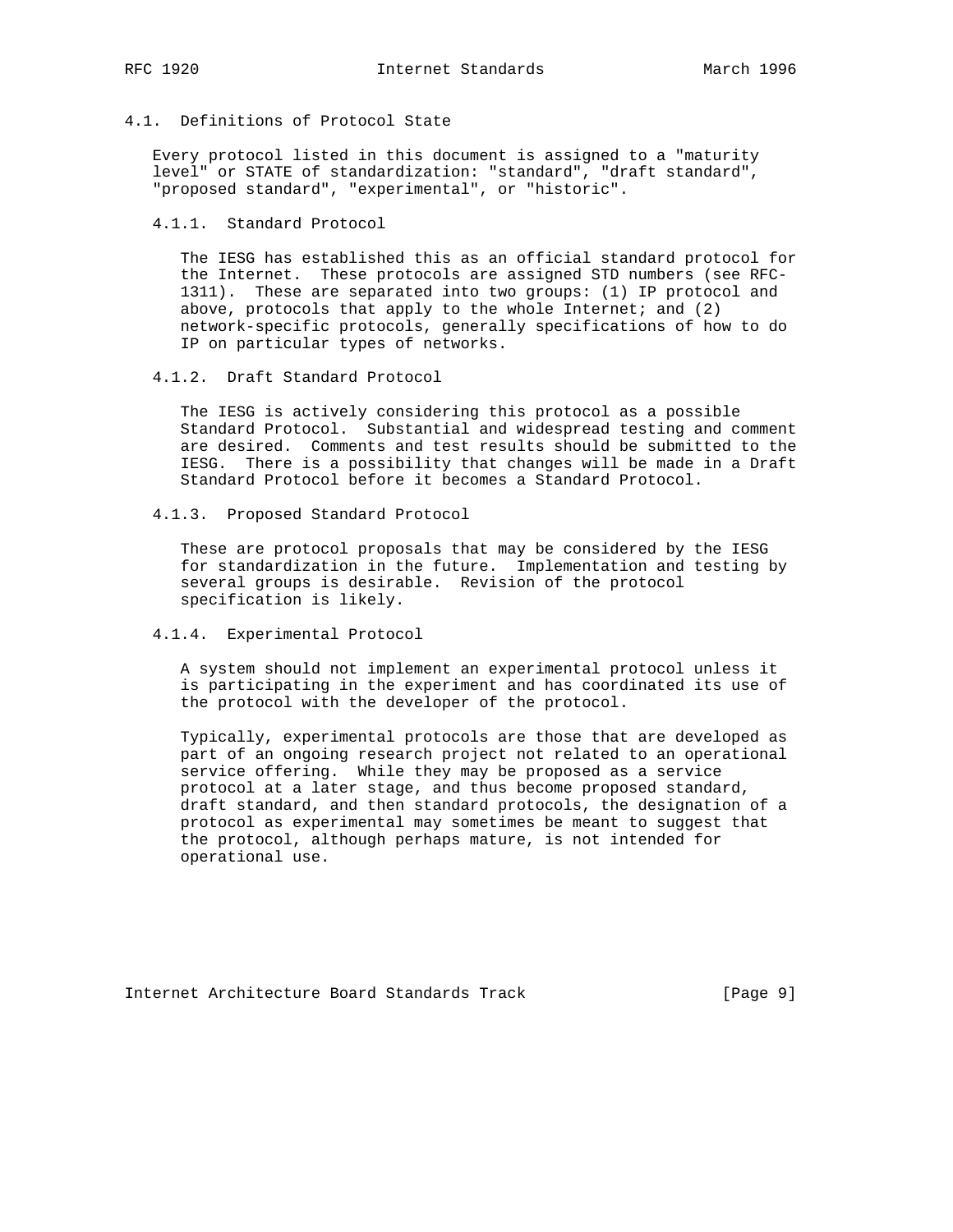4.1. Definitions of Protocol State

 Every protocol listed in this document is assigned to a "maturity level" or STATE of standardization: "standard", "draft standard", "proposed standard", "experimental", or "historic".

4.1.1. Standard Protocol

 The IESG has established this as an official standard protocol for the Internet. These protocols are assigned STD numbers (see RFC- 1311). These are separated into two groups: (1) IP protocol and above, protocols that apply to the whole Internet; and  $(2)$  network-specific protocols, generally specifications of how to do IP on particular types of networks.

4.1.2. Draft Standard Protocol

 The IESG is actively considering this protocol as a possible Standard Protocol. Substantial and widespread testing and comment are desired. Comments and test results should be submitted to the IESG. There is a possibility that changes will be made in a Draft Standard Protocol before it becomes a Standard Protocol.

4.1.3. Proposed Standard Protocol

 These are protocol proposals that may be considered by the IESG for standardization in the future. Implementation and testing by several groups is desirable. Revision of the protocol specification is likely.

4.1.4. Experimental Protocol

 A system should not implement an experimental protocol unless it is participating in the experiment and has coordinated its use of the protocol with the developer of the protocol.

 Typically, experimental protocols are those that are developed as part of an ongoing research project not related to an operational service offering. While they may be proposed as a service protocol at a later stage, and thus become proposed standard, draft standard, and then standard protocols, the designation of a protocol as experimental may sometimes be meant to suggest that the protocol, although perhaps mature, is not intended for operational use.

Internet Architecture Board Standards Track [Page 9]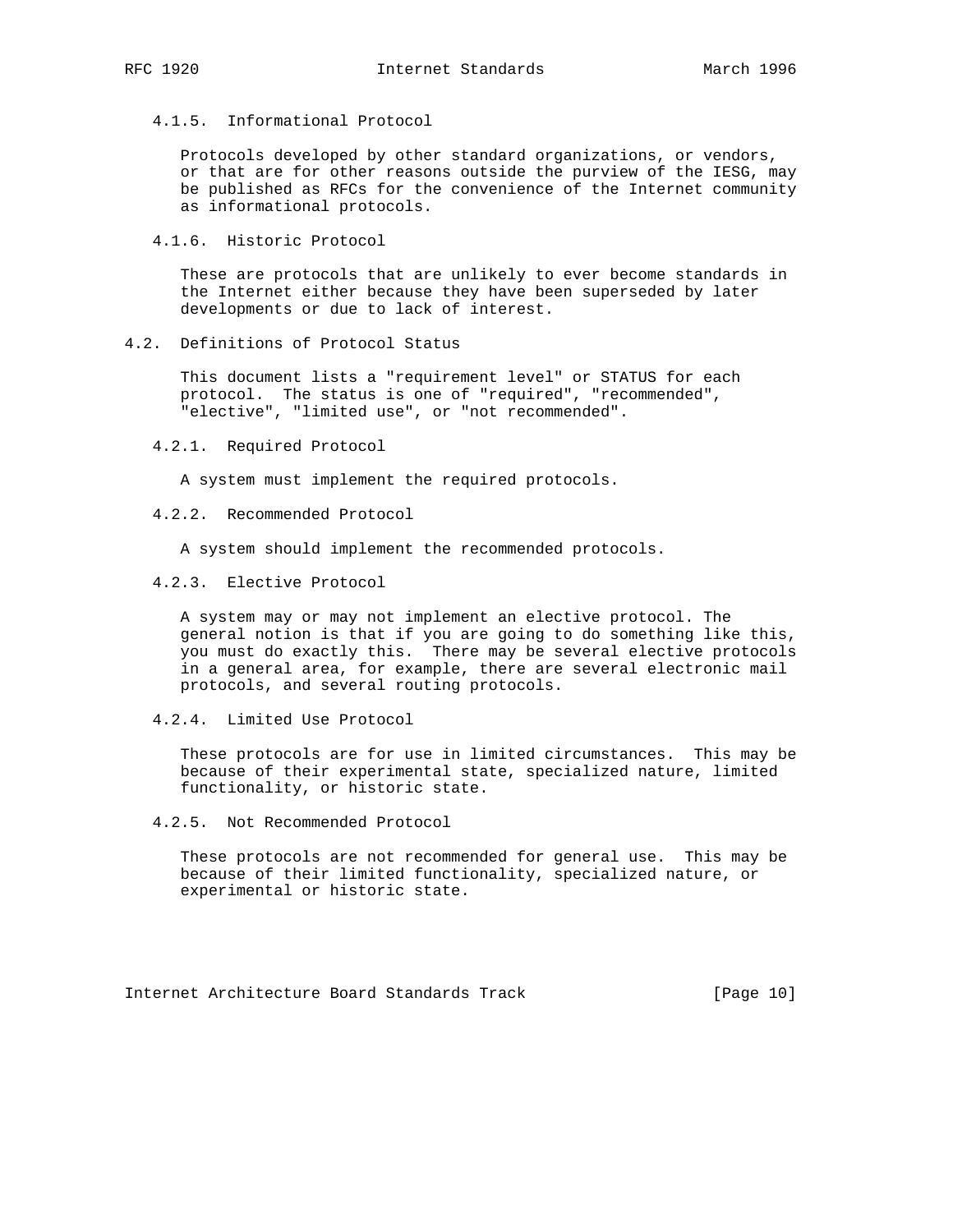4.1.5. Informational Protocol

 Protocols developed by other standard organizations, or vendors, or that are for other reasons outside the purview of the IESG, may be published as RFCs for the convenience of the Internet community as informational protocols.

4.1.6. Historic Protocol

 These are protocols that are unlikely to ever become standards in the Internet either because they have been superseded by later developments or due to lack of interest.

4.2. Definitions of Protocol Status

 This document lists a "requirement level" or STATUS for each protocol. The status is one of "required", "recommended", "elective", "limited use", or "not recommended".

4.2.1. Required Protocol

A system must implement the required protocols.

4.2.2. Recommended Protocol

A system should implement the recommended protocols.

4.2.3. Elective Protocol

 A system may or may not implement an elective protocol. The general notion is that if you are going to do something like this, you must do exactly this. There may be several elective protocols in a general area, for example, there are several electronic mail protocols, and several routing protocols.

4.2.4. Limited Use Protocol

 These protocols are for use in limited circumstances. This may be because of their experimental state, specialized nature, limited functionality, or historic state.

4.2.5. Not Recommended Protocol

 These protocols are not recommended for general use. This may be because of their limited functionality, specialized nature, or experimental or historic state.

Internet Architecture Board Standards Track [Page 10]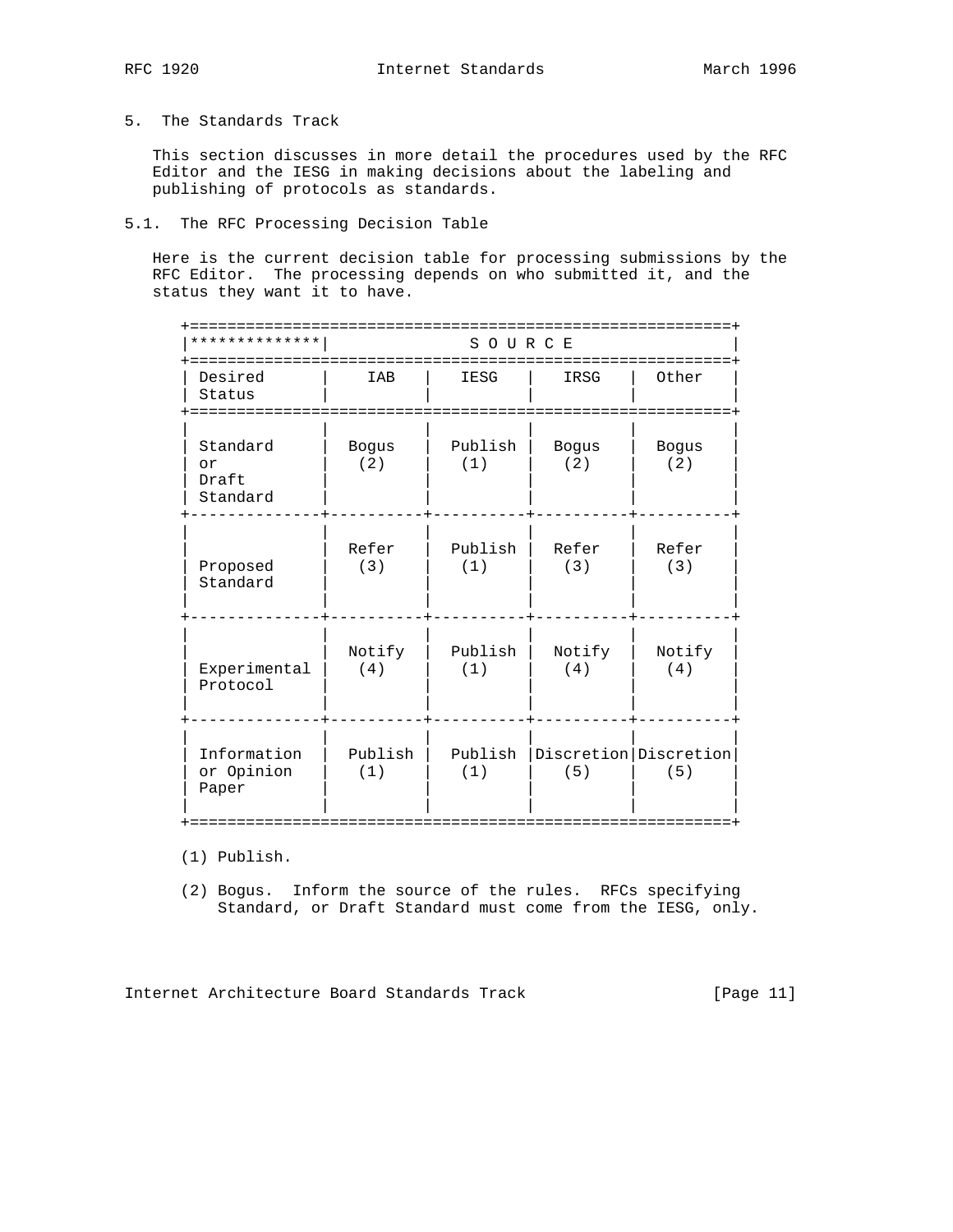## 5. The Standards Track

 This section discusses in more detail the procedures used by the RFC Editor and the IESG in making decisions about the labeling and publishing of protocols as standards.

## 5.1. The RFC Processing Decision Table

 Here is the current decision table for processing submissions by the RFC Editor. The processing depends on who submitted it, and the status they want it to have.

| * * * * * * * * * * *               | SOURCE              |                |               |                                  |  |  |
|-------------------------------------|---------------------|----------------|---------------|----------------------------------|--|--|
| Desired<br>Status                   | IAB                 | IESG           | IRSG          | Other                            |  |  |
| Standard<br>or<br>Draft<br>Standard | <b>Bogus</b><br>(2) | Publish<br>(1) | Bogus<br>(2)  | <b>Bogus</b><br>(2)              |  |  |
| Proposed<br>Standard                | Refer<br>(3)        | Publish<br>(1) | Refer<br>(3)  | Refer<br>(3)                     |  |  |
| Experimental<br>Protocol            | Notify<br>(4)       | Publish<br>(1) | Notify<br>(4) | Notify<br>(4)                    |  |  |
| Information<br>or Opinion<br>Paper  | Publish<br>(1)      | Publish<br>(1) | (5)           | Discretion   Discretion  <br>(5) |  |  |

(1) Publish.

 (2) Bogus. Inform the source of the rules. RFCs specifying Standard, or Draft Standard must come from the IESG, only.

Internet Architecture Board Standards Track [Page 11]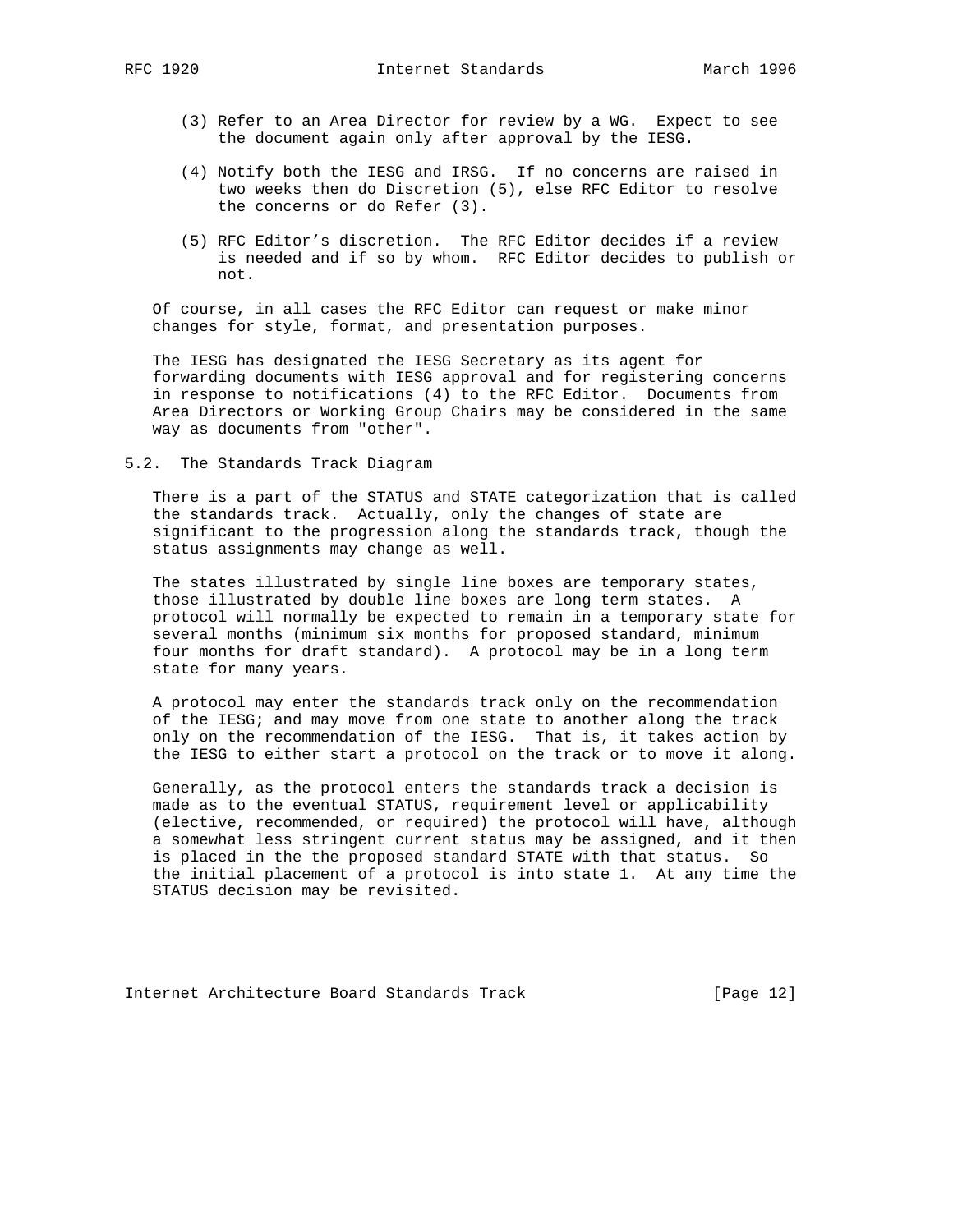- (3) Refer to an Area Director for review by a WG. Expect to see the document again only after approval by the IESG.
- (4) Notify both the IESG and IRSG. If no concerns are raised in two weeks then do Discretion (5), else RFC Editor to resolve the concerns or do Refer (3).
- (5) RFC Editor's discretion. The RFC Editor decides if a review is needed and if so by whom. RFC Editor decides to publish or not.

 Of course, in all cases the RFC Editor can request or make minor changes for style, format, and presentation purposes.

 The IESG has designated the IESG Secretary as its agent for forwarding documents with IESG approval and for registering concerns in response to notifications (4) to the RFC Editor. Documents from Area Directors or Working Group Chairs may be considered in the same way as documents from "other".

5.2. The Standards Track Diagram

 There is a part of the STATUS and STATE categorization that is called the standards track. Actually, only the changes of state are significant to the progression along the standards track, though the status assignments may change as well.

 The states illustrated by single line boxes are temporary states, those illustrated by double line boxes are long term states. A protocol will normally be expected to remain in a temporary state for several months (minimum six months for proposed standard, minimum four months for draft standard). A protocol may be in a long term state for many years.

 A protocol may enter the standards track only on the recommendation of the IESG; and may move from one state to another along the track only on the recommendation of the IESG. That is, it takes action by the IESG to either start a protocol on the track or to move it along.

 Generally, as the protocol enters the standards track a decision is made as to the eventual STATUS, requirement level or applicability (elective, recommended, or required) the protocol will have, although a somewhat less stringent current status may be assigned, and it then is placed in the the proposed standard STATE with that status. So the initial placement of a protocol is into state 1. At any time the STATUS decision may be revisited.

Internet Architecture Board Standards Track [Page 12]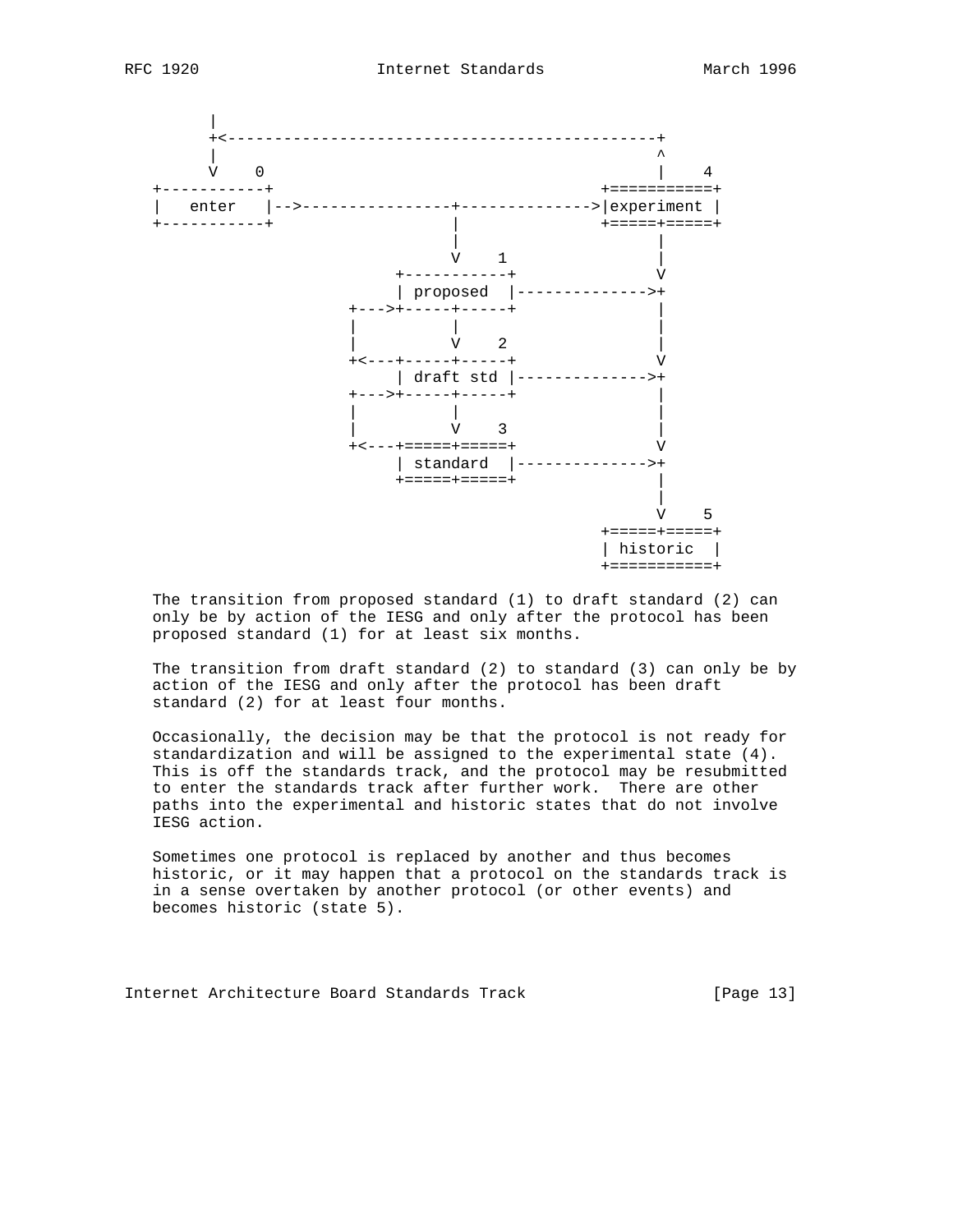



 The transition from proposed standard (1) to draft standard (2) can only be by action of the IESG and only after the protocol has been proposed standard (1) for at least six months.

 The transition from draft standard (2) to standard (3) can only be by action of the IESG and only after the protocol has been draft standard (2) for at least four months.

 Occasionally, the decision may be that the protocol is not ready for standardization and will be assigned to the experimental state (4). This is off the standards track, and the protocol may be resubmitted to enter the standards track after further work. There are other paths into the experimental and historic states that do not involve IESG action.

 Sometimes one protocol is replaced by another and thus becomes historic, or it may happen that a protocol on the standards track is in a sense overtaken by another protocol (or other events) and becomes historic (state 5).

Internet Architecture Board Standards Track [Page 13]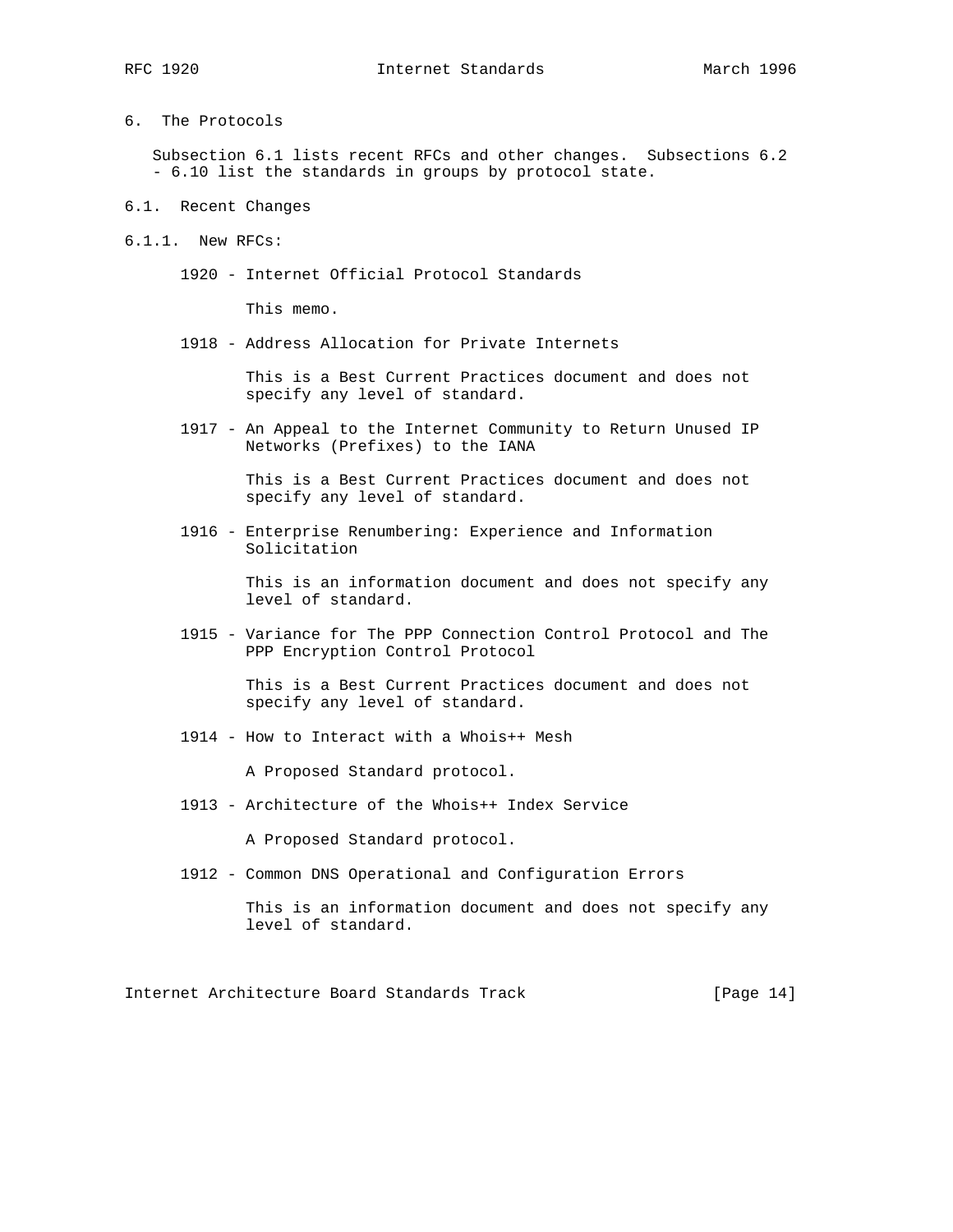6. The Protocols

 Subsection 6.1 lists recent RFCs and other changes. Subsections 6.2 - 6.10 list the standards in groups by protocol state.

- 6.1. Recent Changes
- 6.1.1. New RFCs:
	- 1920 Internet Official Protocol Standards

This memo.

1918 - Address Allocation for Private Internets

 This is a Best Current Practices document and does not specify any level of standard.

 1917 - An Appeal to the Internet Community to Return Unused IP Networks (Prefixes) to the IANA

> This is a Best Current Practices document and does not specify any level of standard.

 1916 - Enterprise Renumbering: Experience and Information Solicitation

> This is an information document and does not specify any level of standard.

 1915 - Variance for The PPP Connection Control Protocol and The PPP Encryption Control Protocol

> This is a Best Current Practices document and does not specify any level of standard.

1914 - How to Interact with a Whois++ Mesh

A Proposed Standard protocol.

1913 - Architecture of the Whois++ Index Service

A Proposed Standard protocol.

1912 - Common DNS Operational and Configuration Errors

 This is an information document and does not specify any level of standard.

Internet Architecture Board Standards Track [Page 14]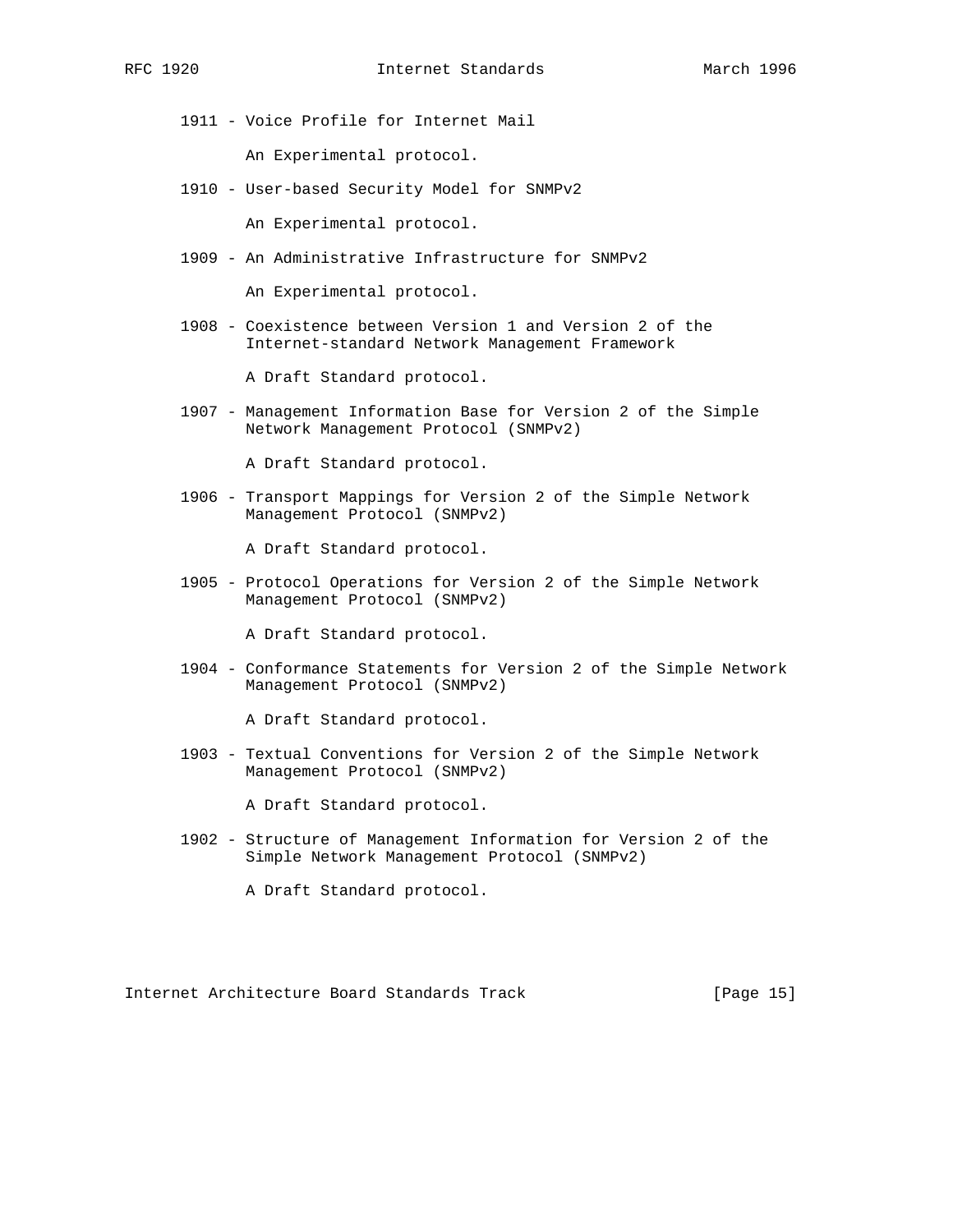1911 - Voice Profile for Internet Mail

An Experimental protocol.

1910 - User-based Security Model for SNMPv2

An Experimental protocol.

1909 - An Administrative Infrastructure for SNMPv2

An Experimental protocol.

 1908 - Coexistence between Version 1 and Version 2 of the Internet-standard Network Management Framework

A Draft Standard protocol.

 1907 - Management Information Base for Version 2 of the Simple Network Management Protocol (SNMPv2)

A Draft Standard protocol.

 1906 - Transport Mappings for Version 2 of the Simple Network Management Protocol (SNMPv2)

A Draft Standard protocol.

 1905 - Protocol Operations for Version 2 of the Simple Network Management Protocol (SNMPv2)

A Draft Standard protocol.

 1904 - Conformance Statements for Version 2 of the Simple Network Management Protocol (SNMPv2)

A Draft Standard protocol.

 1903 - Textual Conventions for Version 2 of the Simple Network Management Protocol (SNMPv2)

A Draft Standard protocol.

 1902 - Structure of Management Information for Version 2 of the Simple Network Management Protocol (SNMPv2)

A Draft Standard protocol.

Internet Architecture Board Standards Track [Page 15]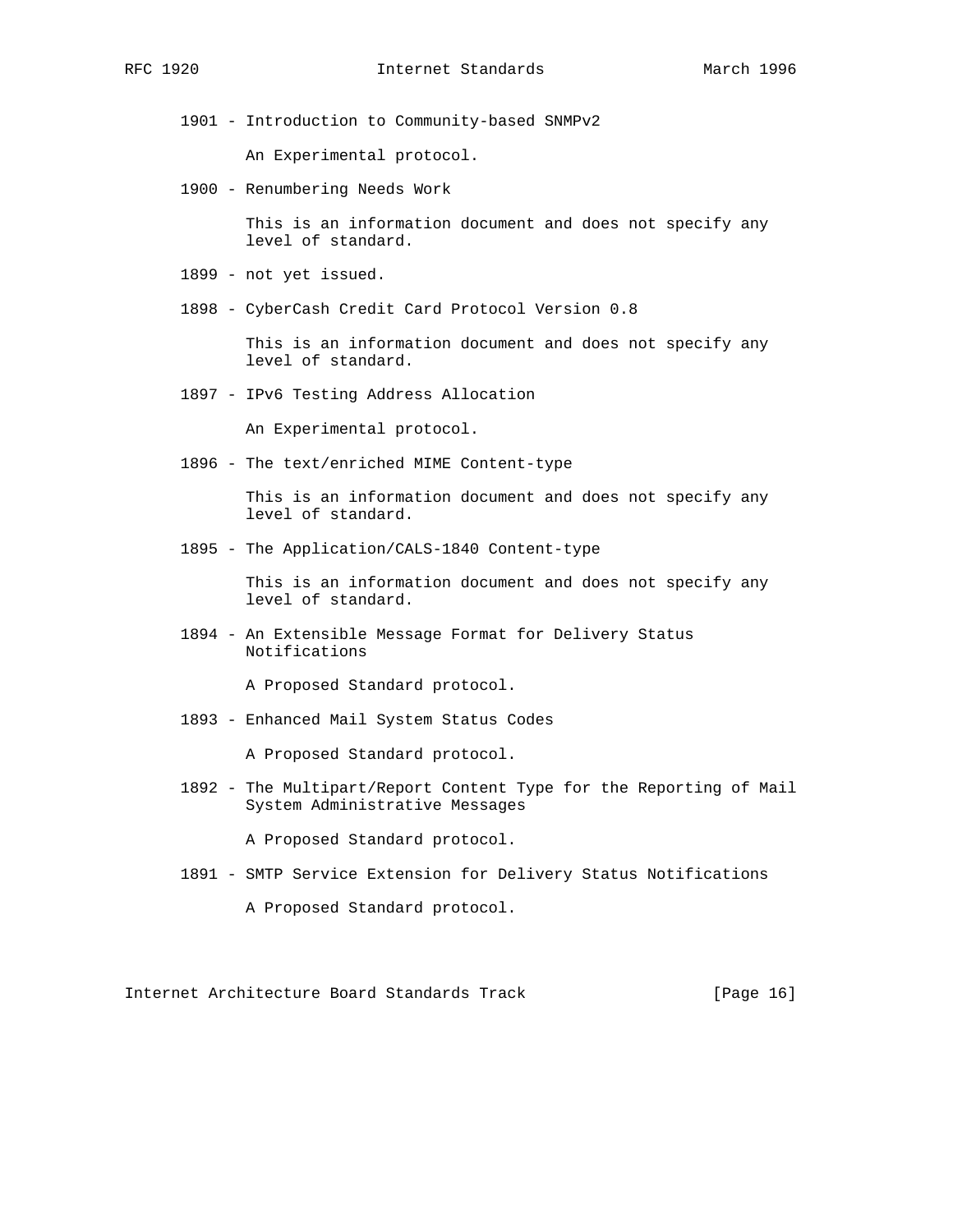1901 - Introduction to Community-based SNMPv2

An Experimental protocol.

1900 - Renumbering Needs Work

 This is an information document and does not specify any level of standard.

- 1899 not yet issued.
- 1898 CyberCash Credit Card Protocol Version 0.8

 This is an information document and does not specify any level of standard.

1897 - IPv6 Testing Address Allocation

An Experimental protocol.

1896 - The text/enriched MIME Content-type

 This is an information document and does not specify any level of standard.

1895 - The Application/CALS-1840 Content-type

 This is an information document and does not specify any level of standard.

 1894 - An Extensible Message Format for Delivery Status Notifications

A Proposed Standard protocol.

1893 - Enhanced Mail System Status Codes

A Proposed Standard protocol.

 1892 - The Multipart/Report Content Type for the Reporting of Mail System Administrative Messages

A Proposed Standard protocol.

1891 - SMTP Service Extension for Delivery Status Notifications

A Proposed Standard protocol.

Internet Architecture Board Standards Track [Page 16]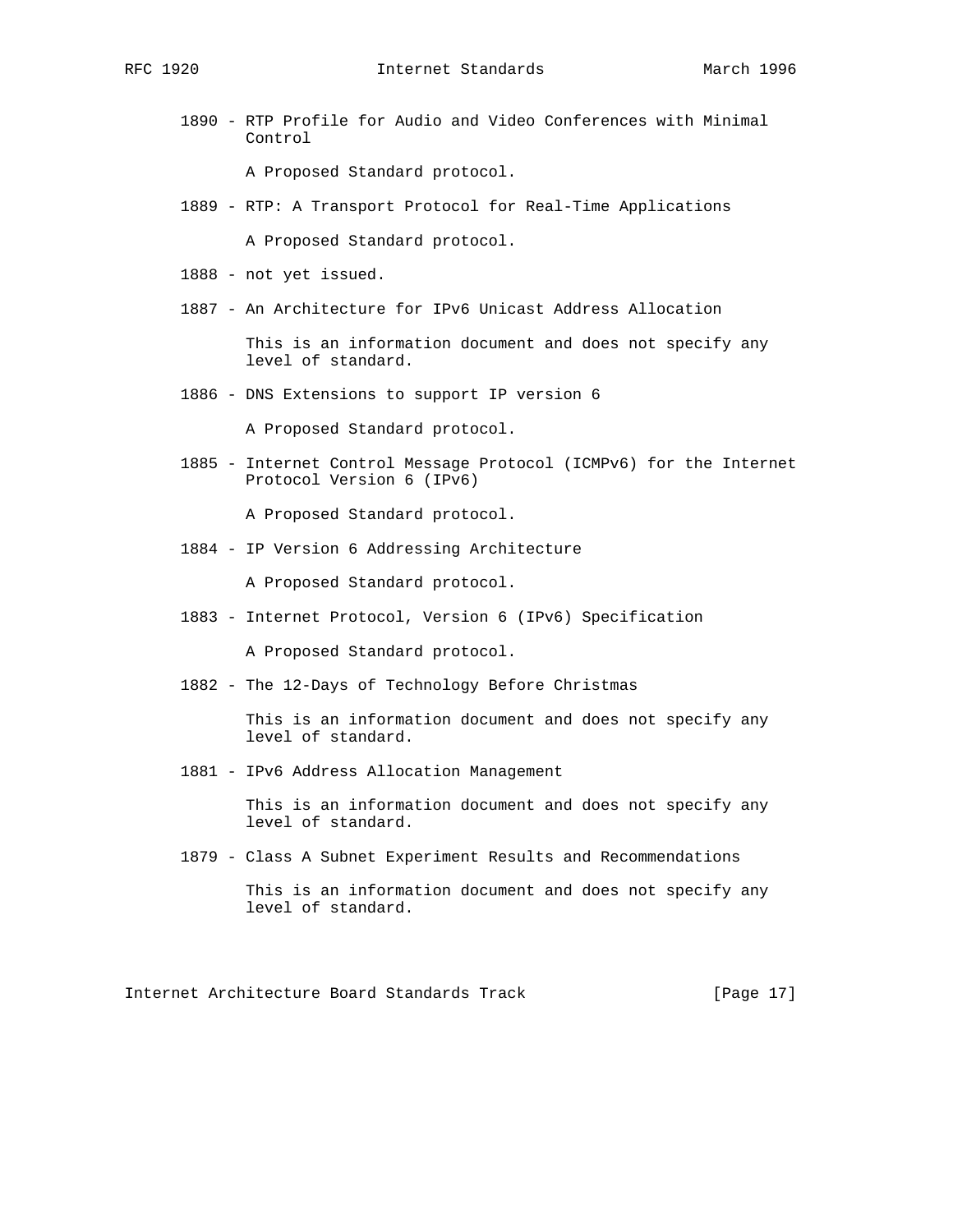1890 - RTP Profile for Audio and Video Conferences with Minimal Control

A Proposed Standard protocol.

1889 - RTP: A Transport Protocol for Real-Time Applications

A Proposed Standard protocol.

- 1888 not yet issued.
- 1887 An Architecture for IPv6 Unicast Address Allocation

 This is an information document and does not specify any level of standard.

1886 - DNS Extensions to support IP version 6

A Proposed Standard protocol.

 1885 - Internet Control Message Protocol (ICMPv6) for the Internet Protocol Version 6 (IPv6)

A Proposed Standard protocol.

1884 - IP Version 6 Addressing Architecture

A Proposed Standard protocol.

1883 - Internet Protocol, Version 6 (IPv6) Specification

A Proposed Standard protocol.

1882 - The 12-Days of Technology Before Christmas

 This is an information document and does not specify any level of standard.

1881 - IPv6 Address Allocation Management

 This is an information document and does not specify any level of standard.

1879 - Class A Subnet Experiment Results and Recommendations

 This is an information document and does not specify any level of standard.

Internet Architecture Board Standards Track [Page 17]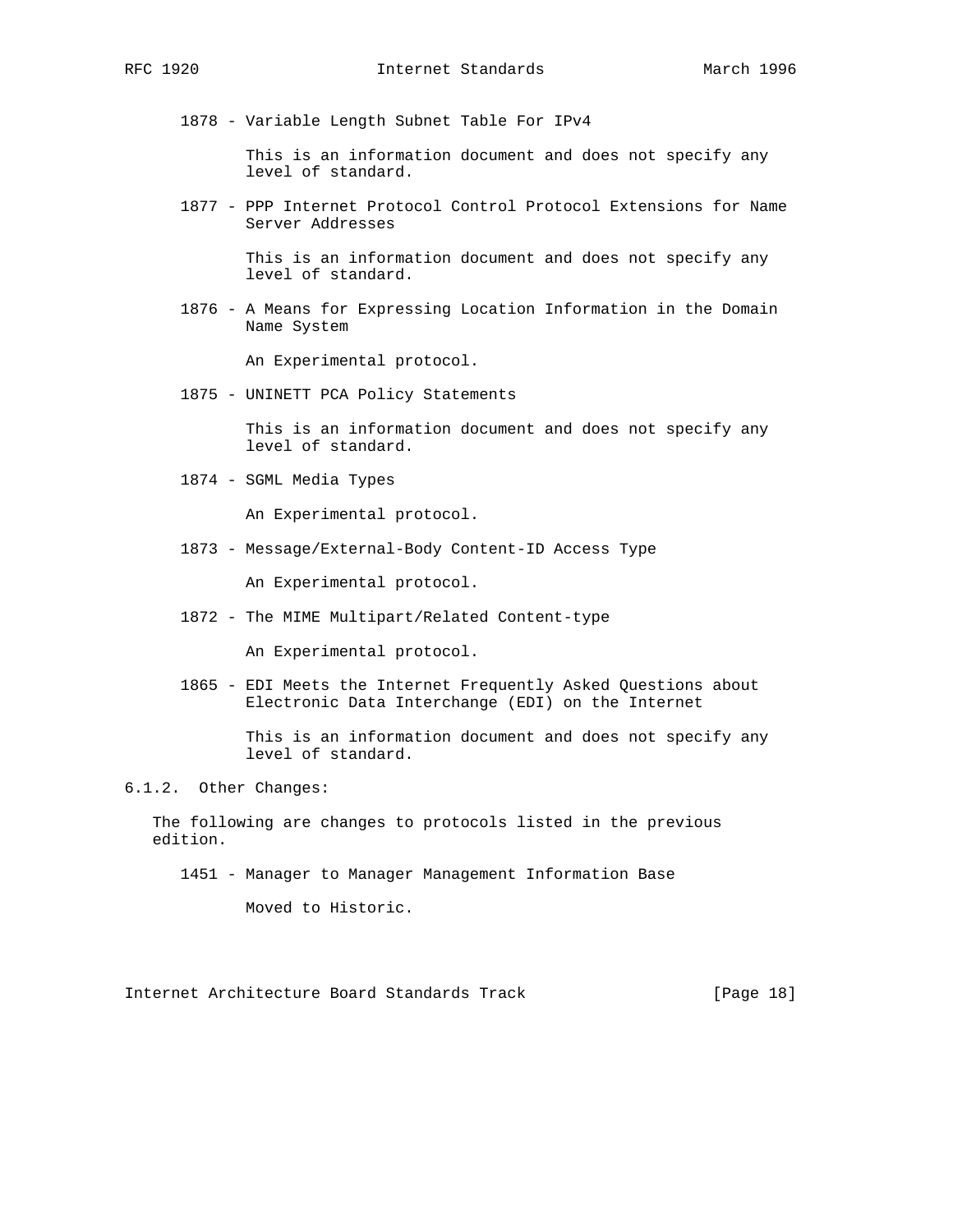1878 - Variable Length Subnet Table For IPv4

 This is an information document and does not specify any level of standard.

 1877 - PPP Internet Protocol Control Protocol Extensions for Name Server Addresses

> This is an information document and does not specify any level of standard.

 1876 - A Means for Expressing Location Information in the Domain Name System

An Experimental protocol.

1875 - UNINETT PCA Policy Statements

 This is an information document and does not specify any level of standard.

1874 - SGML Media Types

An Experimental protocol.

1873 - Message/External-Body Content-ID Access Type

An Experimental protocol.

1872 - The MIME Multipart/Related Content-type

An Experimental protocol.

 1865 - EDI Meets the Internet Frequently Asked Questions about Electronic Data Interchange (EDI) on the Internet

> This is an information document and does not specify any level of standard.

6.1.2. Other Changes:

 The following are changes to protocols listed in the previous edition.

1451 - Manager to Manager Management Information Base

Moved to Historic.

Internet Architecture Board Standards Track [Page 18]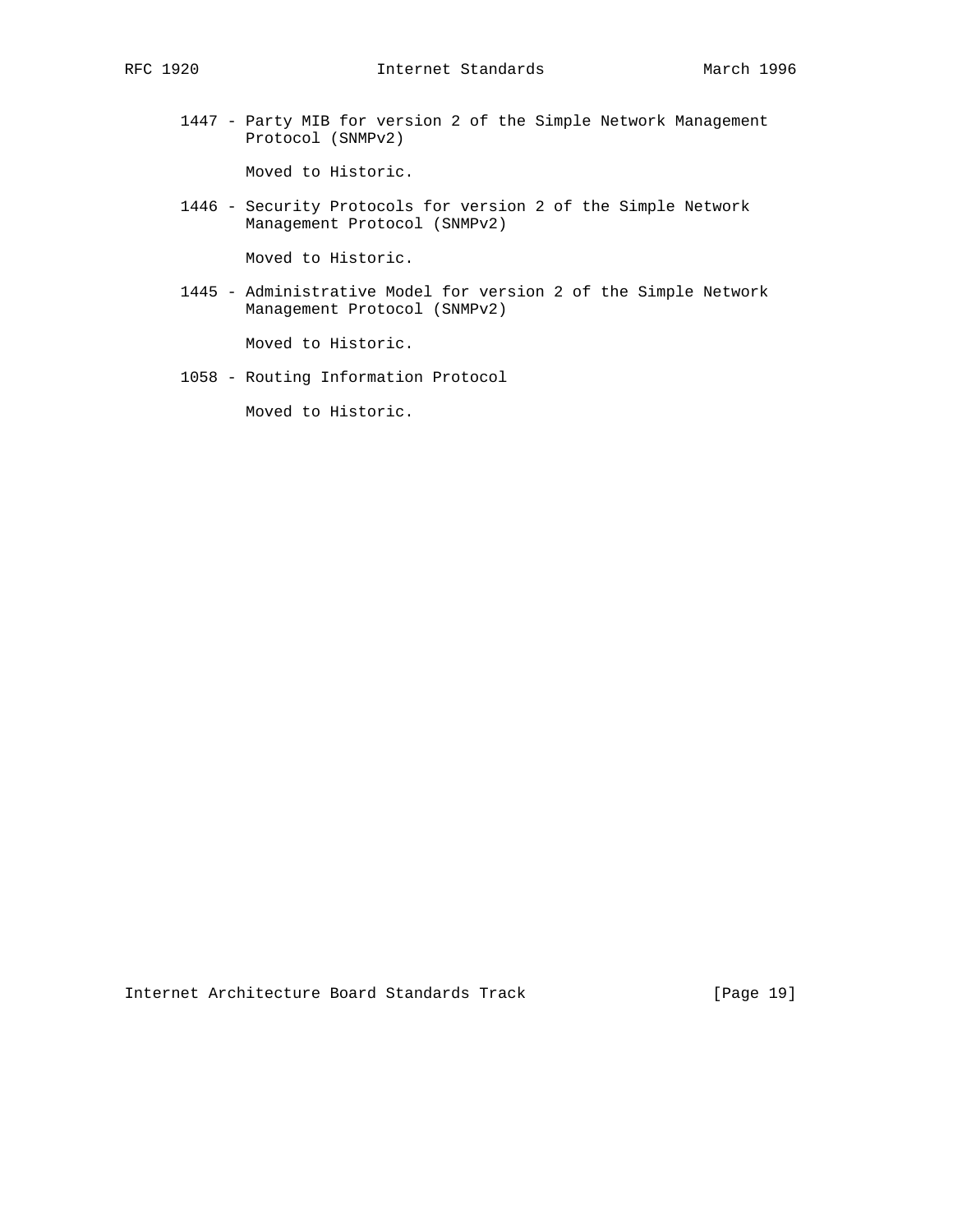1447 - Party MIB for version 2 of the Simple Network Management Protocol (SNMPv2)

Moved to Historic.

 1446 - Security Protocols for version 2 of the Simple Network Management Protocol (SNMPv2)

Moved to Historic.

 1445 - Administrative Model for version 2 of the Simple Network Management Protocol (SNMPv2)

Moved to Historic.

1058 - Routing Information Protocol

Moved to Historic.

Internet Architecture Board Standards Track [Page 19]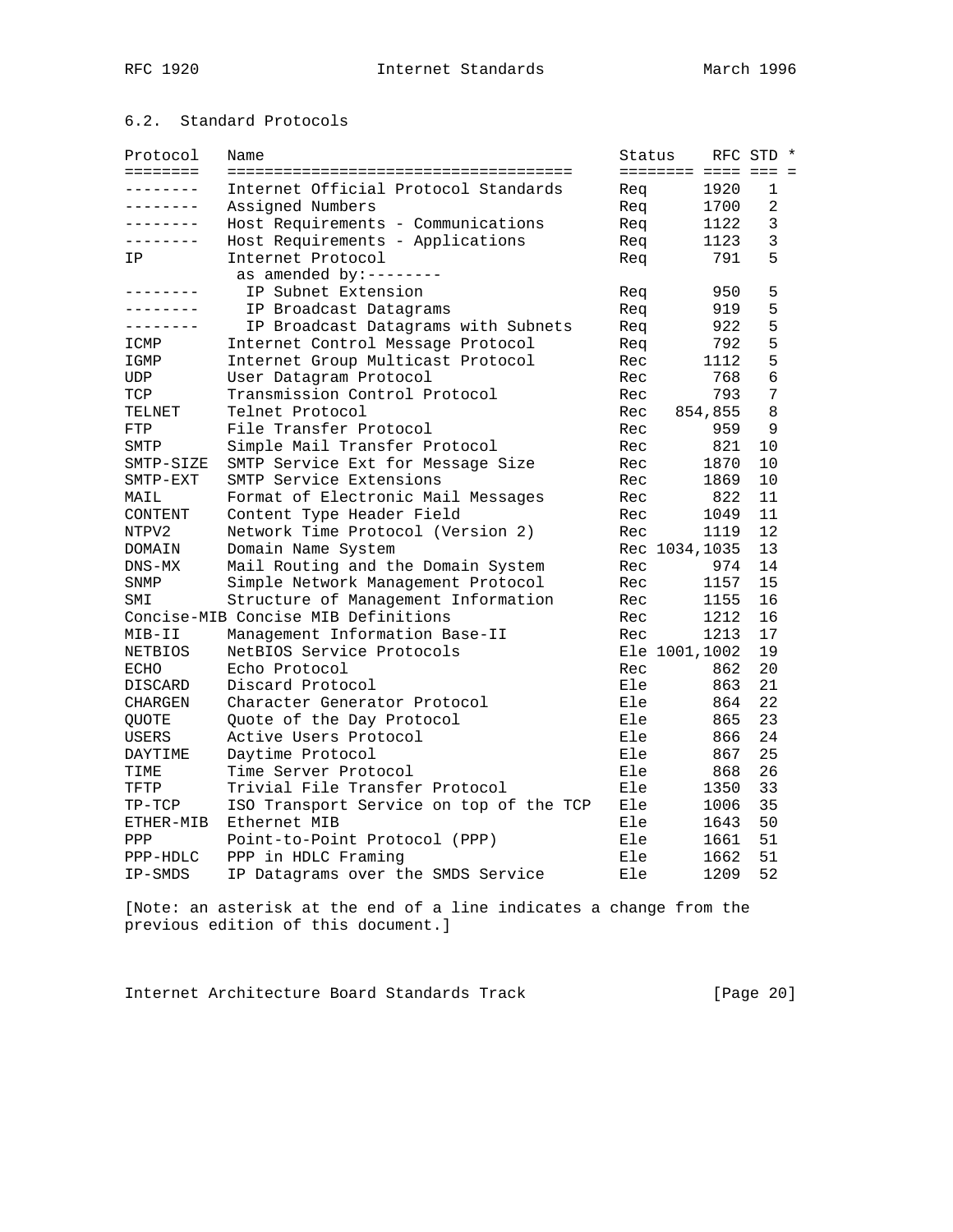# 6.2. Standard Protocols

| Protocol     | Name                                    | Status |  |                     | RFC STD * |  |
|--------------|-----------------------------------------|--------|--|---------------------|-----------|--|
| ========     |                                         |        |  | ======== ==== === = |           |  |
| .            | Internet Official Protocol Standards    | Rea    |  | 1920                | 1         |  |
| . <u>.</u> . | Assigned Numbers                        | Req    |  | 1700                | 2         |  |
| ---------    | Host Requirements - Communications      | Req    |  | 1122                | 3         |  |
| --------     | Host Requirements - Applications        | Req    |  | 1123                | 3         |  |
| ΙP           | Internet Protocol                       | Req    |  | 791                 | 5         |  |
|              | as amended by:--------                  |        |  |                     |           |  |
| -------      | IP Subnet Extension                     | Req    |  | 950                 | 5         |  |
|              | IP Broadcast Datagrams                  | Req    |  | 919                 | 5         |  |
| -------      | IP Broadcast Datagrams with Subnets     | Req    |  | 922                 | 5         |  |
| ICMP         | Internet Control Message Protocol       | Req    |  | 792                 | 5         |  |
| IGMP         | Internet Group Multicast Protocol       | Rec    |  | 1112                | 5         |  |
| UDP          | User Datagram Protocol                  | Rec    |  | 768                 | 6         |  |
| TCP          | Transmission Control Protocol           | Rec    |  | 793                 | 7         |  |
| TELNET       | Telnet Protocol                         | Rec    |  | 854,855             | 8         |  |
| FTP          | File Transfer Protocol                  | Rec    |  | 959                 | 9         |  |
| SMTP         | Simple Mail Transfer Protocol           | Rec    |  | 821                 | 10        |  |
| SMTP-SIZE    | SMTP Service Ext for Message Size       | Rec    |  | 1870                | 10        |  |
| SMTP-EXT     | SMTP Service Extensions                 | Rec    |  | 1869                | 10        |  |
| MAIL         | Format of Electronic Mail Messages      | Rec    |  | 822                 | 11        |  |
| CONTENT      | Content Type Header Field               | Rec    |  | 1049                | 11        |  |
| NTPV2        | Network Time Protocol (Version 2)       | Rec    |  | 1119                | 12        |  |
| DOMAIN       | Domain Name System                      |        |  | Rec 1034, 1035      | 13        |  |
| $DNS-MX$     | Mail Routing and the Domain System      | Rec    |  | 974                 | 14        |  |
| SNMP         | Simple Network Management Protocol      | Rec    |  | 1157                | 15        |  |
| SMI          | Structure of Management Information     | Rec    |  | 1155                | 16        |  |
|              | Concise-MIB Concise MIB Definitions     | Rec    |  | 1212                | 16        |  |
| MIB-II       | Management Information Base-II          | Rec    |  | 1213                | 17        |  |
| NETBIOS      | NetBIOS Service Protocols               |        |  | Ele 1001,1002       | 19        |  |
| ECHO         | Echo Protocol                           | Rec    |  | 862                 | 20        |  |
| DISCARD      | Discard Protocol                        | Ele    |  | 863                 | 21        |  |
| CHARGEN      | Character Generator Protocol            | Ele    |  | 864                 | 22        |  |
| QUOTE        | Quote of the Day Protocol               | Ele    |  | 865                 | 23        |  |
| USERS        | Active Users Protocol                   | Ele    |  | 866                 | 24        |  |
| DAYTIME      | Daytime Protocol                        | Ele    |  | 867                 | 25        |  |
| TIME         | Time Server Protocol                    | Ele    |  | 868                 | 26        |  |
| TFTP         | Trivial File Transfer Protocol          | Ele    |  | 1350                | 33        |  |
| $TP-TCP$     | ISO Transport Service on top of the TCP | Ele    |  | 1006                | 35        |  |
| ETHER-MIB    | Ethernet MIB                            | Ele    |  | 1643                | 50        |  |
| PPP          | Point-to-Point Protocol (PPP)           | Ele    |  | 1661                | 51        |  |
| $PPP-HDLC$   | PPP in HDLC Framing                     | Ele    |  | 1662                | 51        |  |
| IP-SMDS      | IP Datagrams over the SMDS Service      | Ele    |  | 1209                | 52        |  |

[Note: an asterisk at the end of a line indicates a change from the previous edition of this document.]

Internet Architecture Board Standards Track [Page 20]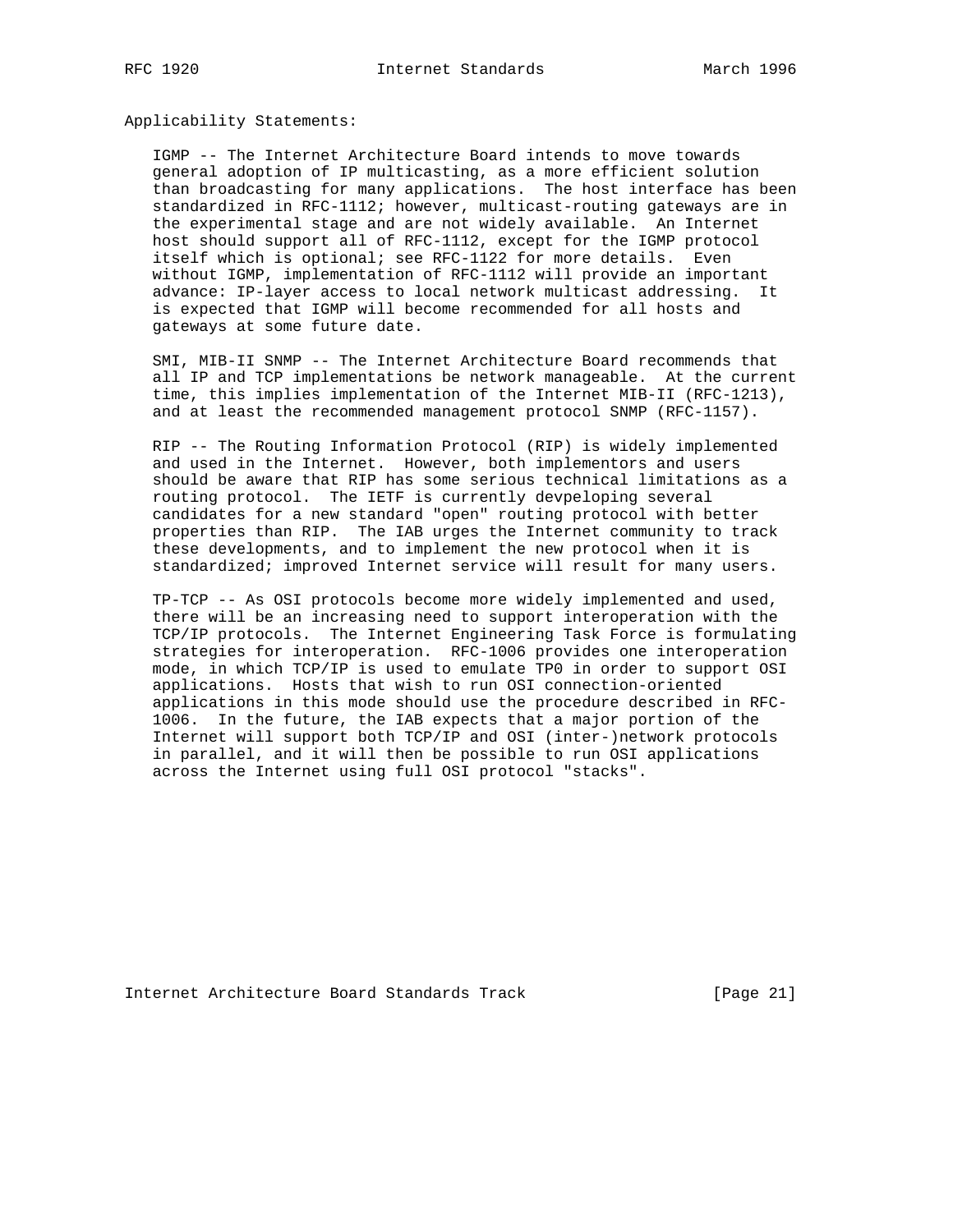Applicability Statements:

 IGMP -- The Internet Architecture Board intends to move towards general adoption of IP multicasting, as a more efficient solution than broadcasting for many applications. The host interface has been standardized in RFC-1112; however, multicast-routing gateways are in the experimental stage and are not widely available. An Internet host should support all of RFC-1112, except for the IGMP protocol itself which is optional; see RFC-1122 for more details. Even without IGMP, implementation of RFC-1112 will provide an important advance: IP-layer access to local network multicast addressing. It is expected that IGMP will become recommended for all hosts and gateways at some future date.

 SMI, MIB-II SNMP -- The Internet Architecture Board recommends that all IP and TCP implementations be network manageable. At the current time, this implies implementation of the Internet MIB-II (RFC-1213), and at least the recommended management protocol SNMP (RFC-1157).

 RIP -- The Routing Information Protocol (RIP) is widely implemented and used in the Internet. However, both implementors and users should be aware that RIP has some serious technical limitations as a routing protocol. The IETF is currently devpeloping several candidates for a new standard "open" routing protocol with better properties than RIP. The IAB urges the Internet community to track these developments, and to implement the new protocol when it is standardized; improved Internet service will result for many users.

 TP-TCP -- As OSI protocols become more widely implemented and used, there will be an increasing need to support interoperation with the TCP/IP protocols. The Internet Engineering Task Force is formulating strategies for interoperation. RFC-1006 provides one interoperation mode, in which TCP/IP is used to emulate TP0 in order to support OSI applications. Hosts that wish to run OSI connection-oriented applications in this mode should use the procedure described in RFC- 1006. In the future, the IAB expects that a major portion of the Internet will support both TCP/IP and OSI (inter-)network protocols in parallel, and it will then be possible to run OSI applications across the Internet using full OSI protocol "stacks".

Internet Architecture Board Standards Track [Page 21]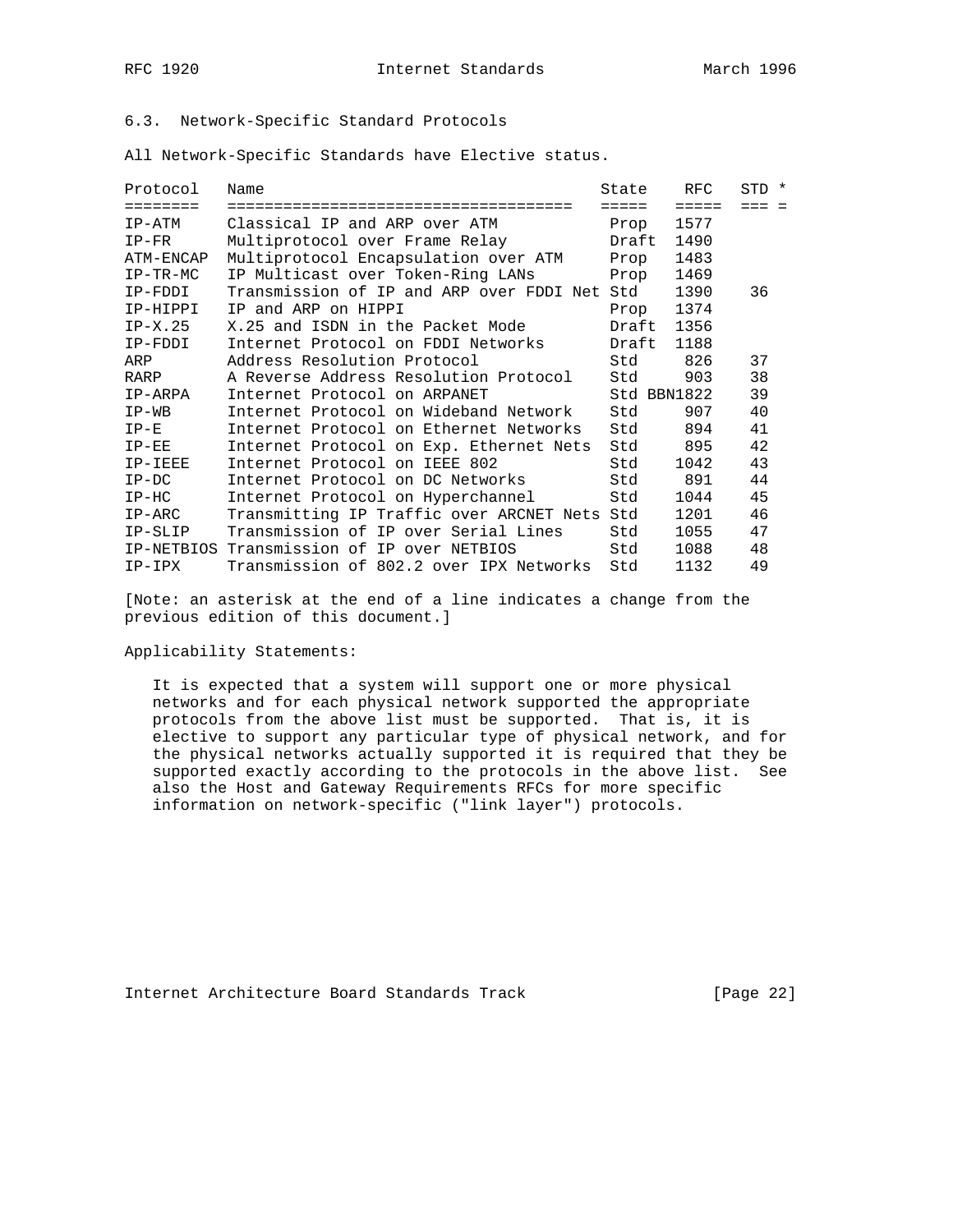# 6.3. Network-Specific Standard Protocols

All Network-Specific Standards have Elective status.

| Protocol   | Name                                         | State       | RFC             | STD * |
|------------|----------------------------------------------|-------------|-----------------|-------|
| ========   | =================================            | =====       | $=$ $=$ $=$ $=$ | === = |
| IP-ATM     | Classical IP and ARP over ATM                | Prop        | 1577            |       |
| $IP-FR$    | Multiprotocol over Frame Relay               | Draft       | 1490            |       |
| ATM-ENCAP  | Multiprotocol Encapsulation over ATM         | Prop        | 1483            |       |
| $IP-TR-MC$ | IP Multicast over Token-Ring LANs            | Prop        | 1469            |       |
| IP-FDDI    | Transmission of IP and ARP over FDDI Net Std |             | 1390            | 36    |
| IP-HIPPI   | IP and ARP on HIPPI                          | Prop        | 1374            |       |
| $IP-X.25$  | X.25 and ISDN in the Packet Mode             | Draft       | 1356            |       |
| IP-FDDI    | Internet Protocol on FDDI Networks           | Draft       | 1188            |       |
| ARP        | Address Resolution Protocol                  | Std         | 826             | 37    |
| RARP       | A Reverse Address Resolution Protocol        | Std         | 903             | 38    |
| IP-ARPA    | Internet Protocol on ARPANET                 | Std BBN1822 |                 | 39    |
| $IP-WB$    | Internet Protocol on Wideband Network        | Std         | 907             | 40    |
| $IP-E$     | Internet Protocol on Ethernet Networks       | Std         | 894             | 41    |
| $IP-EE$    | Internet Protocol on Exp. Ethernet Nets      | Std         | 895             | 42    |
| IP-IEEE    | Internet Protocol on IEEE 802                | Std         | 1042            | 43    |
| $IP-DC$    | Internet Protocol on DC Networks             | Std         | 891             | 44    |
| $IP-HC$    | Internet Protocol on Hyperchannel            | Std         | 1044            | 45    |
| $IP-ARC$   | Transmitting IP Traffic over ARCNET Nets Std |             | 1201            | 46    |
| IP-SLIP    | Transmission of IP over Serial Lines         | Std         | 1055            | 47    |
| IP-NETBIOS | Transmission of IP over NETBIOS              | Std         | 1088            | 48    |
| IP-IPX     | Transmission of 802.2 over IPX Networks      | Std         | 1132            | 49    |

[Note: an asterisk at the end of a line indicates a change from the previous edition of this document.]

Applicability Statements:

 It is expected that a system will support one or more physical networks and for each physical network supported the appropriate protocols from the above list must be supported. That is, it is elective to support any particular type of physical network, and for the physical networks actually supported it is required that they be supported exactly according to the protocols in the above list. See also the Host and Gateway Requirements RFCs for more specific information on network-specific ("link layer") protocols.

Internet Architecture Board Standards Track [Page 22]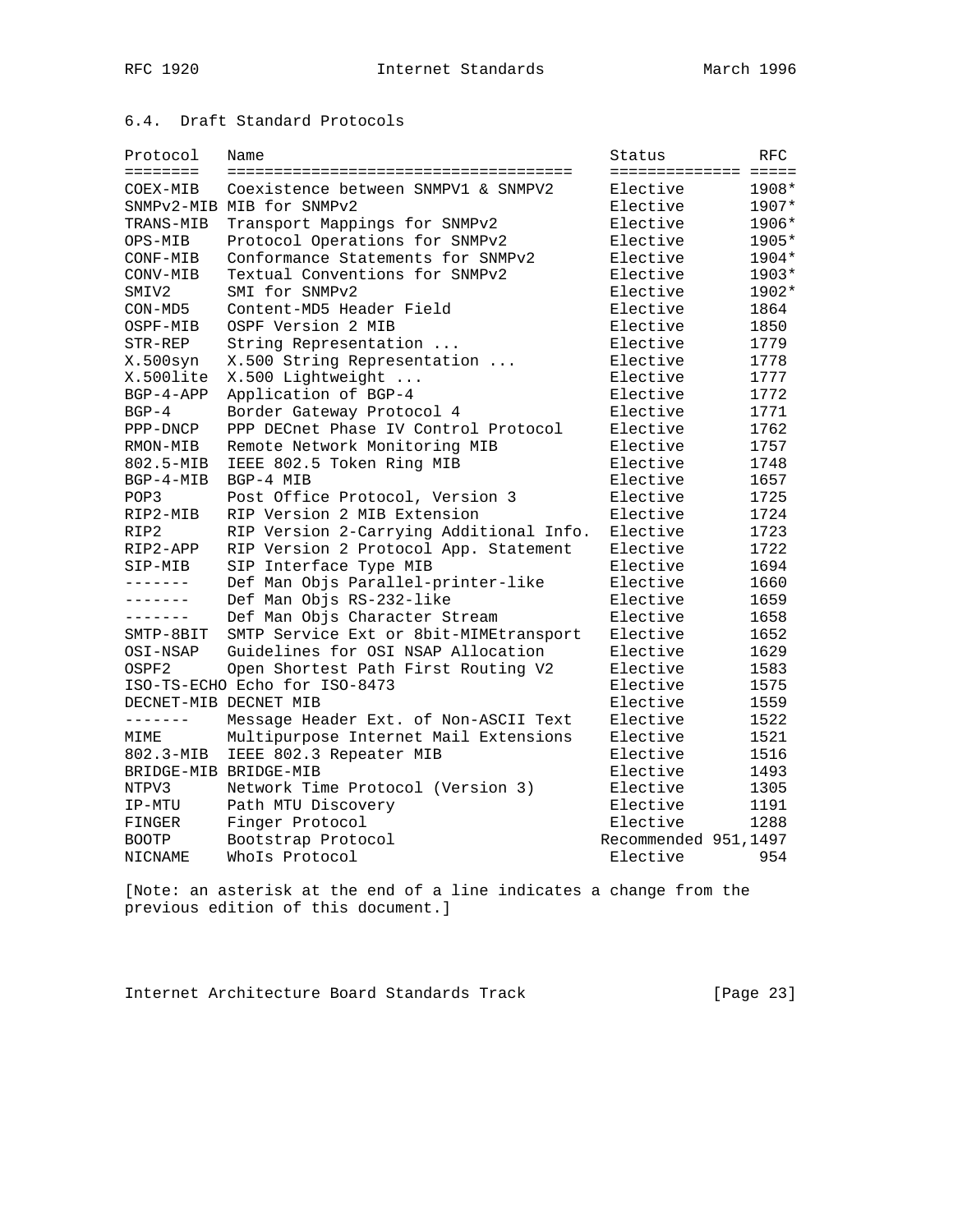# 6.4. Draft Standard Protocols

| Protocol              | Name                                    | Status                | RFC   |
|-----------------------|-----------------------------------------|-----------------------|-------|
| ========              |                                         | ===================== |       |
| COEX-MIB              | Coexistence between SNMPV1 & SNMPV2     | Elective              | 1908* |
|                       | SNMPv2-MIB MIB for SNMPv2               | Elective              | 1907* |
| TRANS-MIB             | Transport Mappings for SNMPv2           | Elective              | 1906* |
| OPS-MIB               | Protocol Operations for SNMPv2          | Elective              | 1905* |
| CONF-MIB              | Conformance Statements for SNMPv2       | Elective              | 1904* |
| CONV-MIB              | Textual Conventions for SNMPv2          | Elective              | 1903* |
| SMIV2                 | SMI for SNMPv2                          | Elective              | 1902* |
| CON-MD5               | Content-MD5 Header Field                | Elective              | 1864  |
| OSPF-MIB              | OSPF Version 2 MIB                      | Elective              | 1850  |
| STR-REP               | String Representation                   | Elective              | 1779  |
| X.500syn              | X.500 String Representation             | Elective              | 1778  |
| X.500lite             | X.500 Lightweight                       | Elective              | 1777  |
| $BGP-4-APP$           | Application of BGP-4                    | Elective              | 1772  |
| $BGP-4$               | Border Gateway Protocol 4               | Elective              | 1771  |
| PPP-DNCP              | PPP DECnet Phase IV Control Protocol    | Elective              | 1762  |
| RMON-MIB              | Remote Network Monitoring MIB           | Elective              | 1757  |
| 802.5-MIB             | IEEE 802.5 Token Ring MIB               | Elective              | 1748  |
| $BGP-4-MIB$           | BGP-4 MIB                               | Elective              | 1657  |
| POP3                  | Post Office Protocol, Version 3         | Elective              | 1725  |
| RIP2-MIB              | RIP Version 2 MIB Extension             | Elective              | 1724  |
| RIP2                  | RIP Version 2-Carrying Additional Info. | Elective              | 1723  |
| RIP2-APP              | RIP Version 2 Protocol App. Statement   | Elective              | 1722  |
| SIP-MIB               | SIP Interface Type MIB                  | Elective              | 1694  |
| $- - - - - - -$       | Def Man Objs Parallel-printer-like      | Elective              | 1660  |
| -------               | Def Man Objs RS-232-like                | Elective              | 1659  |
| --------              | Def Man Objs Character Stream           | Elective              | 1658  |
| SMTP-8BIT             | SMTP Service Ext or 8bit-MIMEtransport  | Elective              | 1652  |
| OSI-NSAP              | Guidelines for OSI NSAP Allocation      | Elective              | 1629  |
| OSPF2                 | Open Shortest Path First Routing V2     | Elective              | 1583  |
|                       | ISO-TS-ECHO Echo for ISO-8473           | Elective              | 1575  |
| DECNET-MIB DECNET MIB |                                         | Elective              | 1559  |
| --------              | Message Header Ext. of Non-ASCII Text   | Elective              | 1522  |
| MIME                  | Multipurpose Internet Mail Extensions   | Elective              | 1521  |
| 802.3-MIB             | IEEE 802.3 Repeater MIB                 | Elective              | 1516  |
| BRIDGE-MIB BRIDGE-MIB |                                         | Elective              | 1493  |
| NTPV3                 | Network Time Protocol (Version 3)       | Elective              | 1305  |
| IP-MTU                | Path MTU Discovery                      | Elective              | 1191  |
| FINGER                | Finger Protocol                         | Elective              | 1288  |
| <b>BOOTP</b>          | Bootstrap Protocol                      | Recommended 951,1497  |       |
| NICNAME               | Whols Protocol                          | Elective              | 954   |

[Note: an asterisk at the end of a line indicates a change from the previous edition of this document.]

Internet Architecture Board Standards Track [Page 23]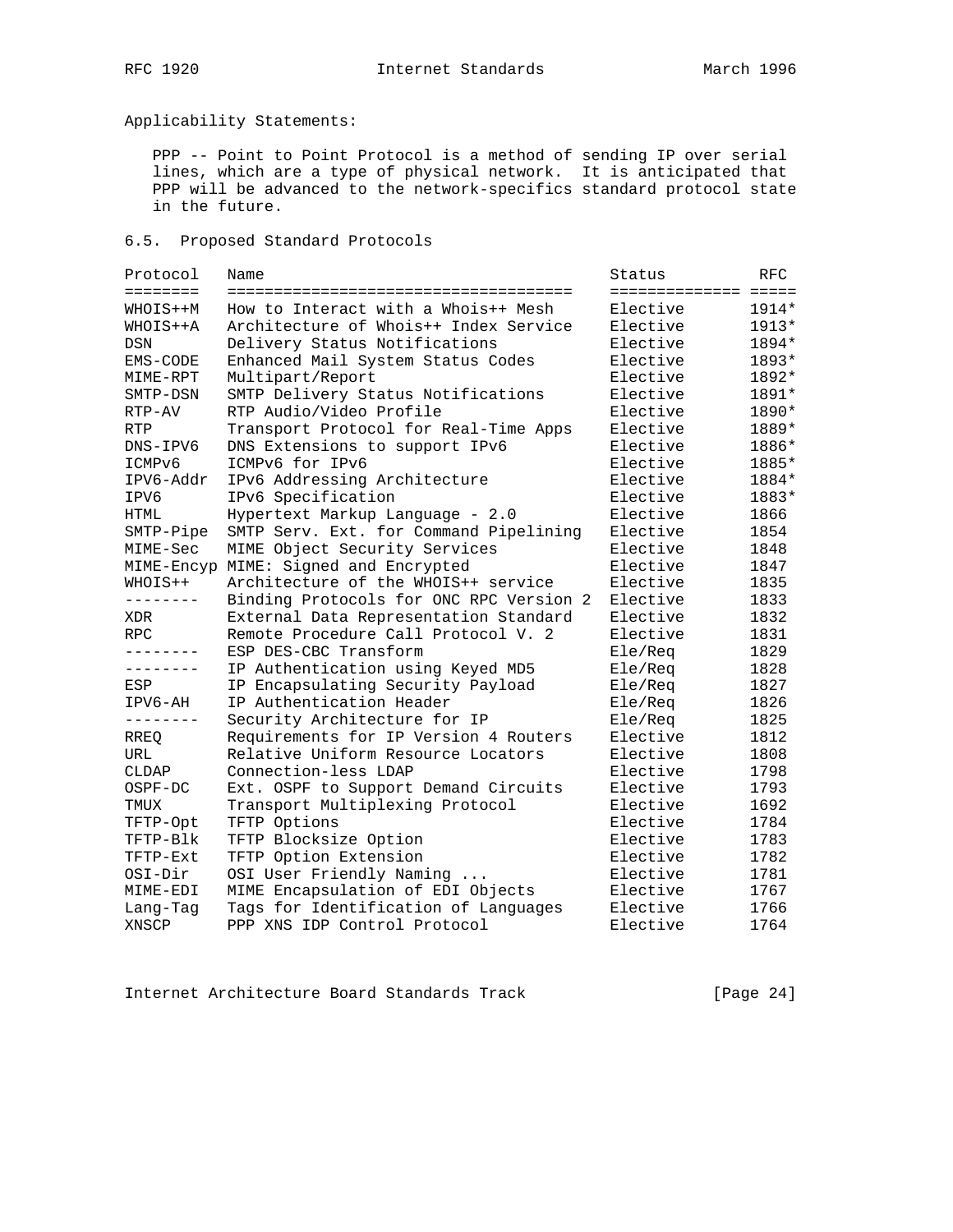Applicability Statements:

 PPP -- Point to Point Protocol is a method of sending IP over serial lines, which are a type of physical network. It is anticipated that PPP will be advanced to the network-specifics standard protocol state in the future.

6.5. Proposed Standard Protocols

| Protocol   | Name                                    | Status               | RFC     |
|------------|-----------------------------------------|----------------------|---------|
| ========   |                                         | ==================== |         |
| WHOIS++M   | How to Interact with a Whois++ Mesh     | Elective             | $1914*$ |
| WHOIS++A   | Architecture of Whois++ Index Service   | Elective             | 1913*   |
| <b>DSN</b> | Delivery Status Notifications           | Elective             | 1894*   |
| EMS-CODE   | Enhanced Mail System Status Codes       | Elective             | 1893*   |
| MIME-RPT   | Multipart/Report                        | Elective             | 1892*   |
| SMTP-DSN   | SMTP Delivery Status Notifications      | Elective             | 1891*   |
| RTP-AV     | RTP Audio/Video Profile                 | Elective             | 1890*   |
| <b>RTP</b> | Transport Protocol for Real-Time Apps   | Elective             | 1889*   |
| DNS-IPV6   | DNS Extensions to support IPv6          | Elective             | 1886*   |
| ICMPv6     | ICMPv6 for IPv6                         | Elective             | 1885*   |
| IPV6-Addr  | IPv6 Addressing Architecture            | Elective             | 1884*   |
| IPV6       | IPv6 Specification                      | Elective             | 1883*   |
| HTML       | Hypertext Markup Language - 2.0         | Elective             | 1866    |
| SMTP-Pipe  | SMTP Serv. Ext. for Command Pipelining  | Elective             | 1854    |
| MIME-Sec   | MIME Object Security Services           | Elective             | 1848    |
| MIME-Encyp | MIME: Signed and Encrypted              | Elective             | 1847    |
| WHOIS++    | Architecture of the WHOIS++ service     | Elective             | 1835    |
| --------   | Binding Protocols for ONC RPC Version 2 | Elective             | 1833    |
| XDR        | External Data Representation Standard   | Elective             | 1832    |
| <b>RPC</b> | Remote Procedure Call Protocol V. 2     | Elective             | 1831    |
| ________   | ESP DES-CBC Transform                   | Ele/Req              | 1829    |
| --------   | IP Authentication using Keyed MD5       | Ele/Reg              | 1828    |
| ESP        | IP Encapsulating Security Payload       | Ele/Reg              | 1827    |
| IPV6-AH    | IP Authentication Header                | Ele/Reg              | 1826    |
| --------   | Security Architecture for IP            | Ele/Req              | 1825    |
| RREQ       | Requirements for IP Version 4 Routers   | Elective             | 1812    |
| URL        | Relative Uniform Resource Locators      | Elective             | 1808    |
| CLDAP      | Connection-less LDAP                    | Elective             | 1798    |
| OSPF-DC    | Ext. OSPF to Support Demand Circuits    | Elective             | 1793    |
| TMUX       | Transport Multiplexing Protocol         | Elective             | 1692    |
| TFTP-Opt   | TFTP Options                            | Elective             | 1784    |
| TFTP-Blk   | TFTP Blocksize Option                   | Elective             | 1783    |
| TFTP-Ext   | TFTP Option Extension                   | Elective             | 1782    |
| OSI-Dir    | OSI User Friendly Naming                | Elective             | 1781    |
| MIME-EDI   | MIME Encapsulation of EDI Objects       | Elective             | 1767    |
| Lang-Tag   | Tags for Identification of Languages    | Elective             | 1766    |
| XNSCP      | PPP XNS IDP Control Protocol            | Elective             | 1764    |

Internet Architecture Board Standards Track [Page 24]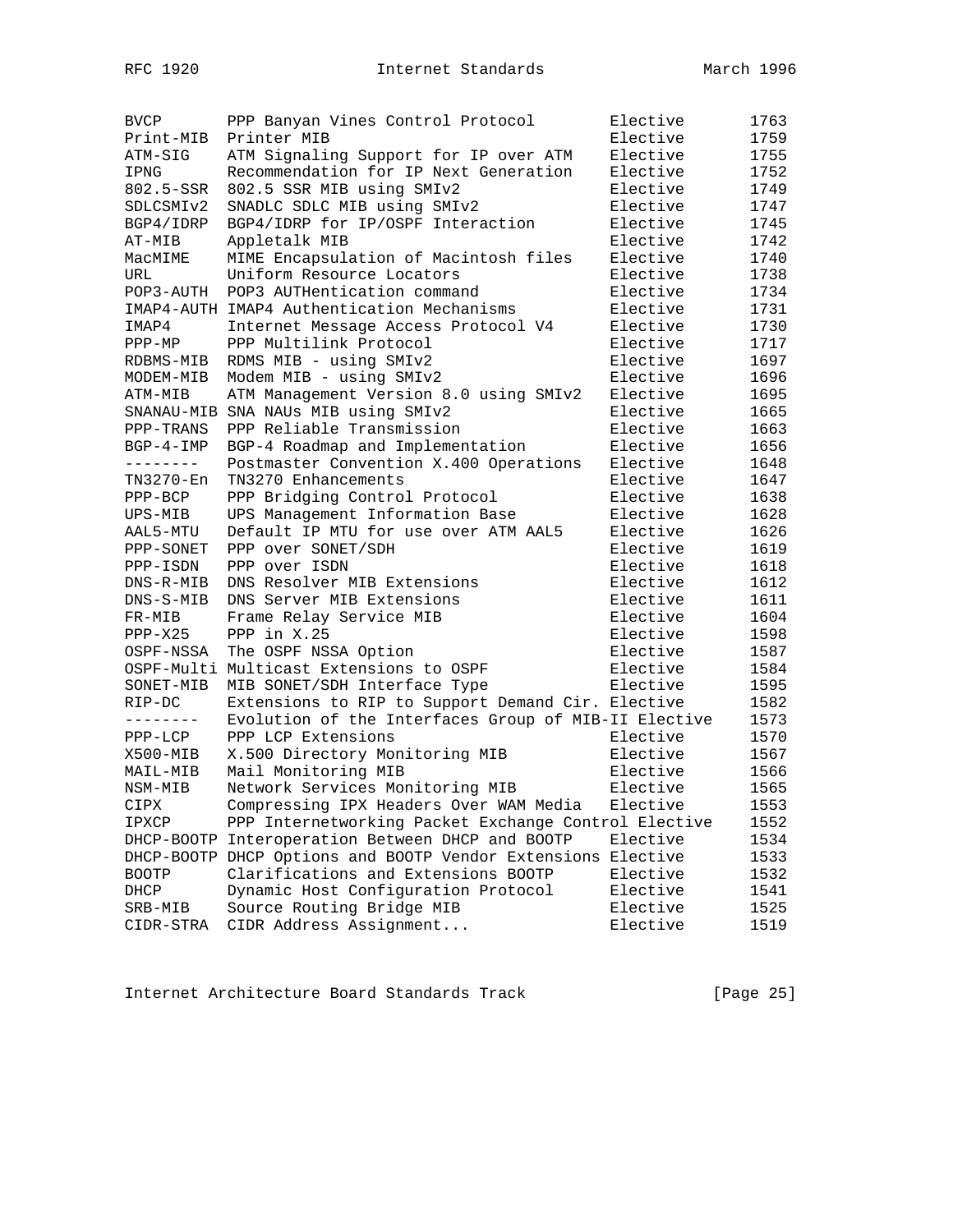| <b>BVCP</b>         | PPP Banyan Vines Control Protocol                            | Elective | 1763 |
|---------------------|--------------------------------------------------------------|----------|------|
| Print-MIB           | Printer MIB                                                  | Elective | 1759 |
| ATM-SIG             | ATM Signaling Support for IP over ATM                        | Elective | 1755 |
| IPNG                | Recommendation for IP Next Generation                        | Elective | 1752 |
| 802.5-SSR           | 802.5 SSR MIB using SMIv2                                    | Elective | 1749 |
| SDLCSMIv2           | SNADLC SDLC MIB using SMIv2                                  | Elective | 1747 |
| BGP4/IDRP           | BGP4/IDRP for IP/OSPF Interaction                            | Elective | 1745 |
| AT-MIB              | Appletalk MIB                                                | Elective | 1742 |
| MacMIME             | MIME Encapsulation of Macintosh files                        | Elective | 1740 |
| URL                 | Uniform Resource Locators                                    | Elective | 1738 |
| POP3-AUTH           | POP3 AUTHentication command                                  | Elective | 1734 |
|                     | IMAP4-AUTH IMAP4 Authentication Mechanisms                   | Elective | 1731 |
|                     |                                                              |          | 1730 |
| IMAP4               | Internet Message Access Protocol V4                          | Elective |      |
| $PPP-MP$            | PPP Multilink Protocol                                       | Elective | 1717 |
| RDBMS-MIB           | RDMS MIB - using SMIv2                                       | Elective | 1697 |
| MODEM-MIB           | Modem MIB - using SMIv2                                      | Elective | 1696 |
| ATM-MIB             | ATM Management Version 8.0 using SMIv2                       | Elective | 1695 |
|                     | SNANAU-MIB SNA NAUs MIB using SMIv2                          | Elective | 1665 |
| PPP-TRANS           | PPP Reliable Transmission                                    | Elective | 1663 |
| $BGP-4-IMP$         | BGP-4 Roadmap and Implementation                             | Elective | 1656 |
| --------            | Postmaster Convention X.400 Operations                       | Elective | 1648 |
| TN3270-En           | TN3270 Enhancements                                          | Elective | 1647 |
| $PPP-BCP$           | PPP Bridging Control Protocol                                | Elective | 1638 |
| UPS-MIB             | UPS Management Information Base                              | Elective | 1628 |
| AAL5-MTU            | Default IP MTU for use over ATM AAL5                         | Elective | 1626 |
| PPP-SONET           | PPP over SONET/SDH                                           | Elective | 1619 |
| PPP-ISDN            | PPP over ISDN                                                | Elective | 1618 |
| DNS-R-MIB           | DNS Resolver MIB Extensions                                  | Elective | 1612 |
| DNS-S-MIB           | DNS Server MIB Extensions                                    | Elective | 1611 |
| FR-MIB              | Frame Relay Service MIB                                      | Elective | 1604 |
| $PPP-X25$           | PPP in $X.25$                                                | Elective | 1598 |
| OSPF-NSSA           | The OSPF NSSA Option                                         | Elective | 1587 |
|                     | OSPF-Multi Multicast Extensions to OSPF                      | Elective | 1584 |
| SONET-MIB           | MIB SONET/SDH Interface Type                                 | Elective | 1595 |
| RIP-DC              | Extensions to RIP to Support Demand Cir. Elective            |          | 1582 |
| $- - - - - - - - -$ | Evolution of the Interfaces Group of MIB-II Elective         |          | 1573 |
| $PPP-LCP$           | PPP LCP Extensions                                           | Elective | 1570 |
| X500-MIB            | X.500 Directory Monitoring MIB                               | Elective | 1567 |
| MAIL-MIB            | Mail Monitoring MIB                                          | Elective | 1566 |
| NSM-MIB             | Network Services Monitoring MIB                              | Elective | 1565 |
| CIPX                | Compressing IPX Headers Over WAM Media                       | Elective | 1553 |
| IPXCP               | PPP Internetworking Packet Exchange Control Elective         |          | 1552 |
|                     | DHCP-BOOTP Interoperation Between DHCP and BOOTP             | Elective | 1534 |
|                     | DHCP-BOOTP DHCP Options and BOOTP Vendor Extensions Elective |          | 1533 |
| <b>BOOTP</b>        | Clarifications and Extensions BOOTP                          | Elective | 1532 |
| DHCP                | Dynamic Host Configuration Protocol                          | Elective | 1541 |
| SRB-MIB             | Source Routing Bridge MIB                                    | Elective | 1525 |
| CIDR-STRA           | CIDR Address Assignment                                      | Elective | 1519 |
|                     |                                                              |          |      |

Internet Architecture Board Standards Track [Page 25]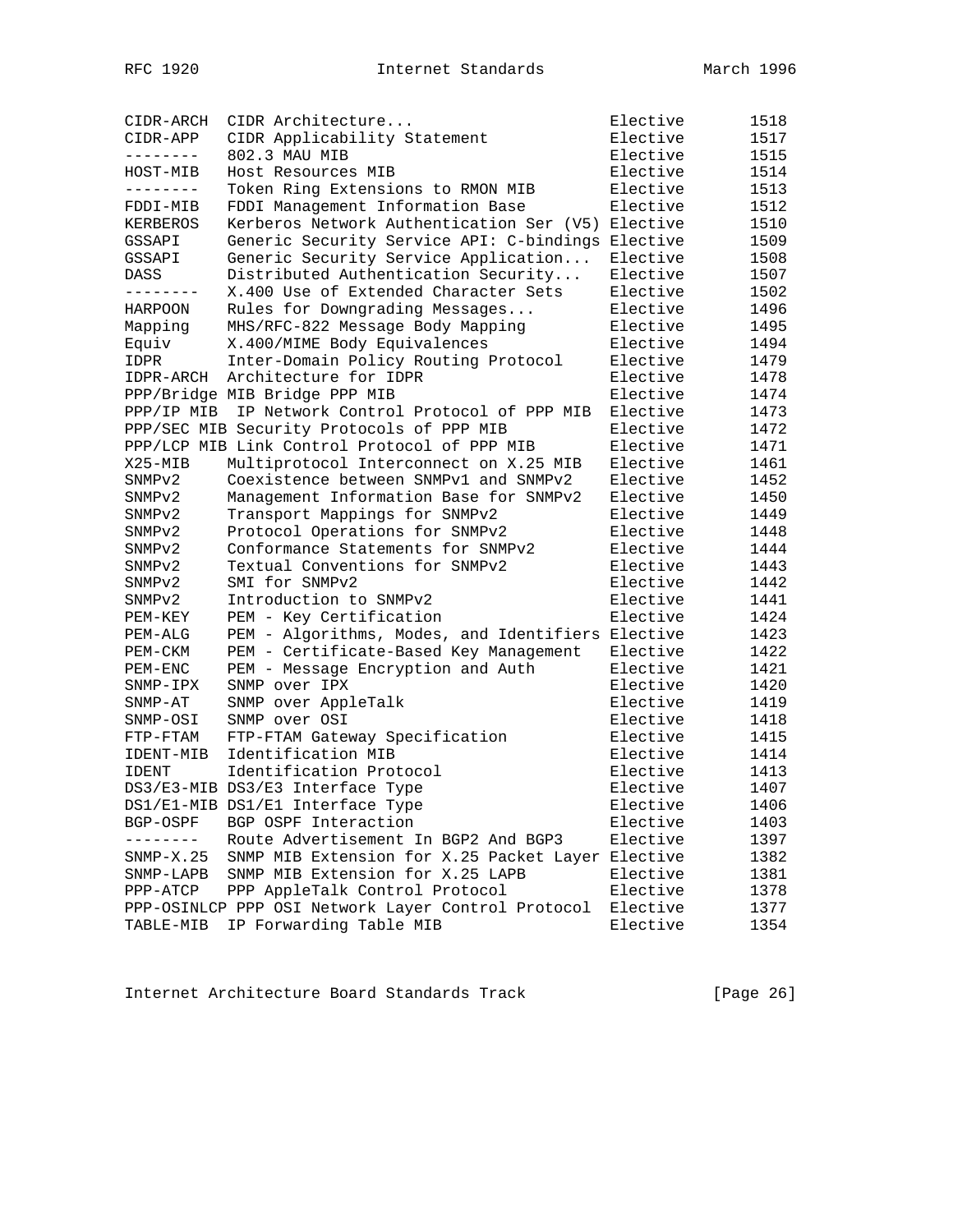| CIDR-ARCH          | CIDR Architecture                                  | Elective | 1518 |
|--------------------|----------------------------------------------------|----------|------|
| CIDR-APP           | CIDR Applicability Statement                       | Elective | 1517 |
| --------           | 802.3 MAU MIB                                      | Elective | 1515 |
| HOST-MIB           | Host Resources MIB                                 | Elective | 1514 |
| --------           | Token Ring Extensions to RMON MIB                  | Elective | 1513 |
| FDDI-MIB           | FDDI Management Information Base                   | Elective | 1512 |
| KERBEROS           | Kerberos Network Authentication Ser (V5)           | Elective | 1510 |
| GSSAPI             | Generic Security Service API: C-bindings Elective  |          | 1509 |
| GSSAPI             | Generic Security Service Application               | Elective | 1508 |
| DASS               | Distributed Authentication Security                | Elective | 1507 |
| --------           | X.400 Use of Extended Character Sets               | Elective | 1502 |
| HARPOON            | Rules for Downgrading Messages                     | Elective | 1496 |
| Mapping            | MHS/RFC-822 Message Body Mapping                   | Elective | 1495 |
| Equiv              | X.400/MIME Body Equivalences                       | Elective | 1494 |
| IDPR               | Inter-Domain Policy Routing Protocol               | Elective | 1479 |
| IDPR-ARCH          | Architecture for IDPR                              | Elective | 1478 |
|                    | PPP/Bridge MIB Bridge PPP MIB                      | Elective | 1474 |
| PPP/IP MIB         | IP Network Control Protocol of PPP MIB             | Elective | 1473 |
|                    | PPP/SEC MIB Security Protocols of PPP MIB          | Elective | 1472 |
|                    | PPP/LCP MIB Link Control Protocol of PPP MIB       | Elective | 1471 |
| $X25 - MIB$        | Multiprotocol Interconnect on X.25 MIB             | Elective | 1461 |
| SNMP <sub>v2</sub> | Coexistence between SNMPv1 and SNMPv2              | Elective | 1452 |
| SNMPv2             | Management Information Base for SNMPv2             | Elective | 1450 |
| SNMPv2             | Transport Mappings for SNMPv2                      | Elective | 1449 |
| SNMPv2             | Protocol Operations for SNMPv2                     | Elective | 1448 |
| SNMP <sub>v2</sub> | Conformance Statements for SNMPv2                  | Elective | 1444 |
| SNMP <sub>v2</sub> | Textual Conventions for SNMPv2                     | Elective | 1443 |
| SNMP <sub>v2</sub> | SMI for SNMPv2                                     | Elective | 1442 |
| SNMP <sub>v2</sub> | Introduction to SNMPv2                             | Elective | 1441 |
| PEM-KEY            | PEM - Key Certification                            | Elective | 1424 |
| $PEM-ALG$          | PEM - Algorithms, Modes, and Identifiers Elective  |          | 1423 |
| PEM-CKM            | PEM - Certificate-Based Key Management             | Elective | 1422 |
| PEM-ENC            | PEM - Message Encryption and Auth                  | Elective | 1421 |
| SNMP-IPX           | SNMP over IPX                                      | Elective | 1420 |
| SNMP-AT            | SNMP over AppleTalk                                | Elective | 1419 |
| SNMP-OSI           | SNMP over OSI                                      | Elective | 1418 |
| FTP-FTAM           | FTP-FTAM Gateway Specification                     | Elective | 1415 |
| IDENT-MIB          | Identification MIB                                 | Elective | 1414 |
| <b>IDENT</b>       | Identification Protocol                            | Elective | 1413 |
|                    | DS3/E3-MIB DS3/E3 Interface Type                   | Elective | 1407 |
|                    | DS1/E1-MIB DS1/E1 Interface Type                   | Elective | 1406 |
| BGP-OSPF           | BGP OSPF Interaction                               | Elective | 1403 |
|                    | Route Advertisement In BGP2 And BGP3               | Elective | 1397 |
| $SNMP-X.25$        | SNMP MIB Extension for X.25 Packet Layer Elective  |          | 1382 |
| SNMP-LAPB          | SNMP MIB Extension for X.25 LAPB                   | Elective | 1381 |
| $PPP-ATCP$         | PPP AppleTalk Control Protocol                     | Elective | 1378 |
|                    | PPP-OSINLCP PPP OSI Network Layer Control Protocol | Elective | 1377 |
| TABLE-MIB          | IP Forwarding Table MIB                            | Elective | 1354 |

Internet Architecture Board Standards Track [Page 26]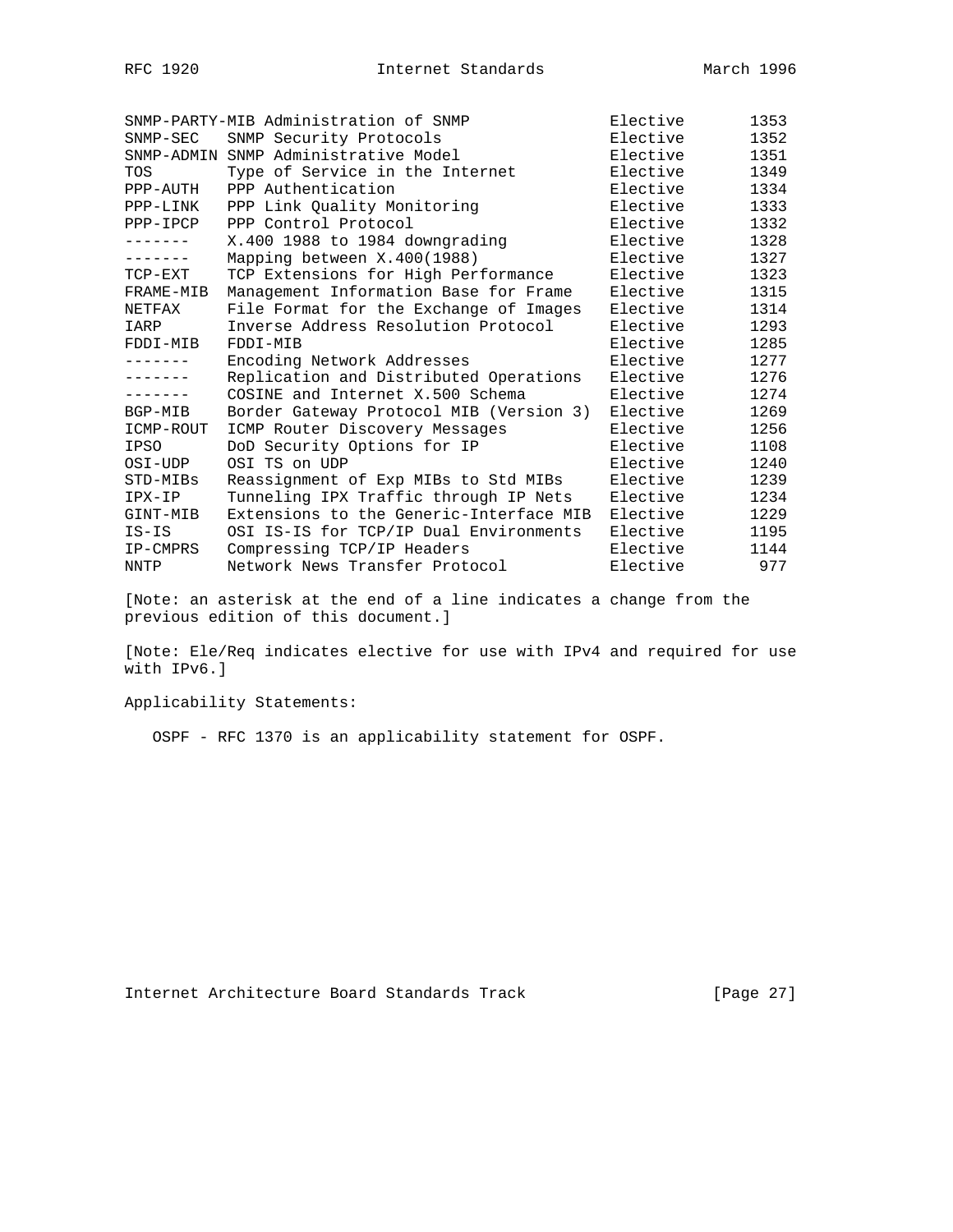|             | SNMP-PARTY-MIB Administration of SNMP   | Elective | 1353 |
|-------------|-----------------------------------------|----------|------|
| $SNMP-SEC$  | SNMP Security Protocols                 | Elective | 1352 |
| SNMP-ADMIN  | SNMP Administrative Model               | Elective | 1351 |
| <b>TOS</b>  | Type of Service in the Internet         | Elective | 1349 |
| PPP-AUTH    | PPP Authentication                      | Elective | 1334 |
| PPP-LINK    | PPP Link Quality Monitoring             | Elective | 1333 |
| PPP-IPCP    | PPP Control Protocol                    | Elective | 1332 |
|             | X.400 1988 to 1984 downgrading          | Elective | 1328 |
| .           | Mapping between X.400(1988)             | Elective | 1327 |
| TCP-EXT     | TCP Extensions for High Performance     | Elective | 1323 |
| FRAME-MIB   | Management Information Base for Frame   | Elective | 1315 |
| NETFAX      | File Format for the Exchange of Images  | Elective | 1314 |
| IARP        | Inverse Address Resolution Protocol     | Elective | 1293 |
| FDDI-MIB    | FDDI-MIB                                | Elective | 1285 |
| -------     | Encoding Network Addresses              | Elective | 1277 |
| -------     | Replication and Distributed Operations  | Elective | 1276 |
|             | COSINE and Internet X.500 Schema        | Elective | 1274 |
| BGP-MIB     | Border Gateway Protocol MIB (Version 3) | Elective | 1269 |
| ICMP-ROUT   | ICMP Router Discovery Messages          | Elective | 1256 |
| <b>IPSO</b> | DoD Security Options for IP             | Elective | 1108 |
| OSI-UDP     | OSI TS on UDP                           | Elective | 1240 |
| STD-MIBs    | Reassignment of Exp MIBs to Std MIBs    | Elective | 1239 |
| IPX-IP      | Tunneling IPX Traffic through IP Nets   | Elective | 1234 |
| GINT-MIB    | Extensions to the Generic-Interface MIB | Elective | 1229 |
| $IS-IS$     | OSI IS-IS for TCP/IP Dual Environments  | Elective | 1195 |
| IP-CMPRS    | Compressing TCP/IP Headers              | Elective | 1144 |
| NNTP        | Network News Transfer Protocol          | Elective | 977  |

[Note: an asterisk at the end of a line indicates a change from the previous edition of this document.]

[Note: Ele/Req indicates elective for use with IPv4 and required for use with IPv6.]

Applicability Statements:

OSPF - RFC 1370 is an applicability statement for OSPF.

Internet Architecture Board Standards Track [Page 27]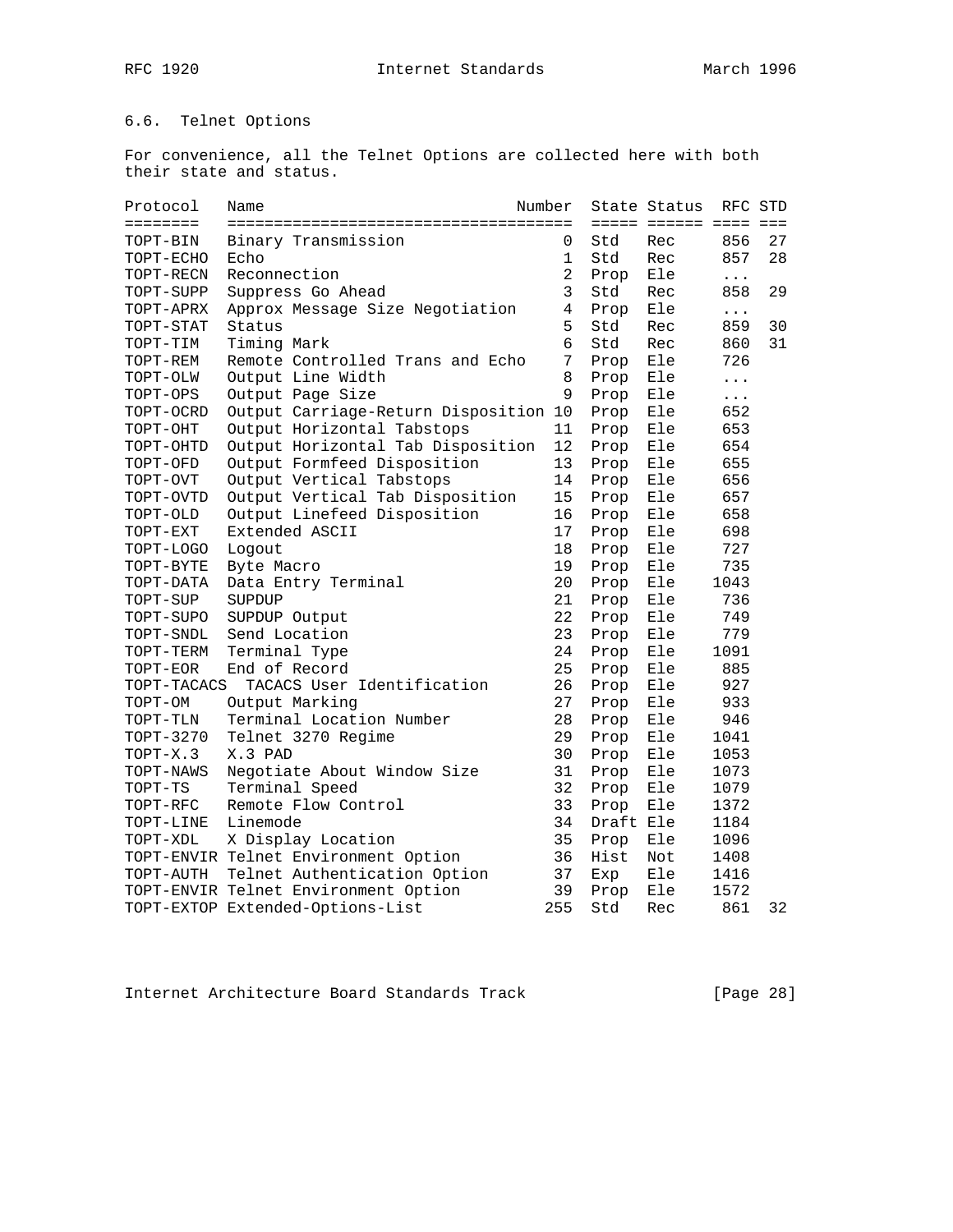# 6.6. Telnet Options

For convenience, all the Telnet Options are collected here with both their state and status.

| Protocol          | Name                                  | Number         |           | State Status          | RFC STD  |    |
|-------------------|---------------------------------------|----------------|-----------|-----------------------|----------|----|
| $=$ = = = = = = = |                                       |                |           | ===== ====== ==== === |          |    |
| TOPT-BIN          | Binary Transmission                   | 0              | Std       | Rec                   | 856      | 27 |
| TOPT-ECHO         | Echo                                  | 1              | Std       | Rec                   | 857      | 28 |
| TOPT-RECN         | Reconnection                          | $\overline{2}$ | Prop      | Ele                   | $\cdots$ |    |
| TOPT-SUPP         | Suppress Go Ahead                     | 3              | Std       | Rec                   | 858      | 29 |
| TOPT-APRX         | Approx Message Size Negotiation       | 4              | Prop      | Ele                   | $\cdots$ |    |
| TOPT-STAT         | Status                                | 5              | Std       | Rec                   | 859      | 30 |
| TOPT-TIM          | Timing Mark                           | 6              | Std       | Rec                   | 860      | 31 |
| TOPT-REM          | Remote Controlled Trans and Echo      | 7              | Prop      | Ele                   | 726      |    |
| TOPT-OLW          | Output Line Width                     | 8              | Prop      | Ele                   | $\cdots$ |    |
| TOPT-OPS          | Output Page Size                      | 9              | Prop      | Ele                   | $\cdots$ |    |
| TOPT-OCRD         | Output Carriage-Return Disposition 10 |                | Prop      | Ele                   | 652      |    |
| TOPT-OHT          | Output Horizontal Tabstops            | 11             | Prop      | Ele                   | 653      |    |
| TOPT-OHTD         | Output Horizontal Tab Disposition     | 12             | Prop      | Ele                   | 654      |    |
| TOPT-OFD          | Output Formfeed Disposition           | 13             | Prop      | Ele                   | 655      |    |
| TOPT-OVT          | Output Vertical Tabstops              | 14             | Prop      | Ele                   | 656      |    |
| TOPT-OVTD         | Output Vertical Tab Disposition       | 15             | Prop      | Ele                   | 657      |    |
| TOPT-OLD          | Output Linefeed Disposition           | 16             | Prop      | Ele                   | 658      |    |
| TOPT-EXT          | Extended ASCII                        | 17             | Prop      | Ele                   | 698      |    |
| TOPT-LOGO         | Logout                                | 18             | Prop      | Ele                   | 727      |    |
| TOPT-BYTE         | Byte Macro                            | 19             | Prop      | Ele                   | 735      |    |
| TOPT-DATA         | Data Entry Terminal                   | 20             | Prop      | Ele                   | 1043     |    |
| TOPT-SUP          | SUPDUP                                | 21             | Prop      | Ele                   | 736      |    |
| TOPT-SUPO         | SUPDUP Output                         | 22             | Prop      | Ele                   | 749      |    |
| TOPT-SNDL         | Send Location                         | 23             | Prop      | Ele                   | 779      |    |
| TOPT-TERM         | Terminal Type                         | 24             | Prop      | Ele                   | 1091     |    |
| TOPT-EOR          | End of Record                         | 25             | Prop      | Ele                   | 885      |    |
| TOPT-TACACS       | TACACS User Identification            | 26             | Prop      | Ele                   | 927      |    |
| TOPT-OM           | Output Marking                        | 27             | Prop      | Ele                   | 933      |    |
| TOPT-TLN          | Terminal Location Number              | 28             | Prop      | Ele                   | 946      |    |
| TOPT-3270         | Telnet 3270 Regime                    | 29             | Prop      | Ele                   | 1041     |    |
| TOPT-X.3          | X.3 PAD                               | 30             | Prop      | Ele                   | 1053     |    |
| TOPT-NAWS         | Negotiate About Window Size           | 31             | Prop      | Ele                   | 1073     |    |
| TOPT-TS           | Terminal Speed                        | 32             | Prop      | Ele                   | 1079     |    |
| TOPT-RFC          | Remote Flow Control                   | 33             | Prop      | Ele                   | 1372     |    |
| TOPT-LINE         | Linemode                              | 34             | Draft Ele |                       | 1184     |    |
| TOPT-XDL          | X Display Location                    | 35             | Prop      | Ele                   | 1096     |    |
|                   | TOPT-ENVIR Telnet Environment Option  | 36             | Hist      | Not                   | 1408     |    |
| TOPT-AUTH         | Telnet Authentication Option          | 37             | Exp       | Ele                   | 1416     |    |
|                   | TOPT-ENVIR Telnet Environment Option  | 39             | Prop      | Ele                   | 1572     |    |
|                   | TOPT-EXTOP Extended-Options-List      | 255            | Std       | Rec                   | 861      | 32 |

Internet Architecture Board Standards Track [Page 28]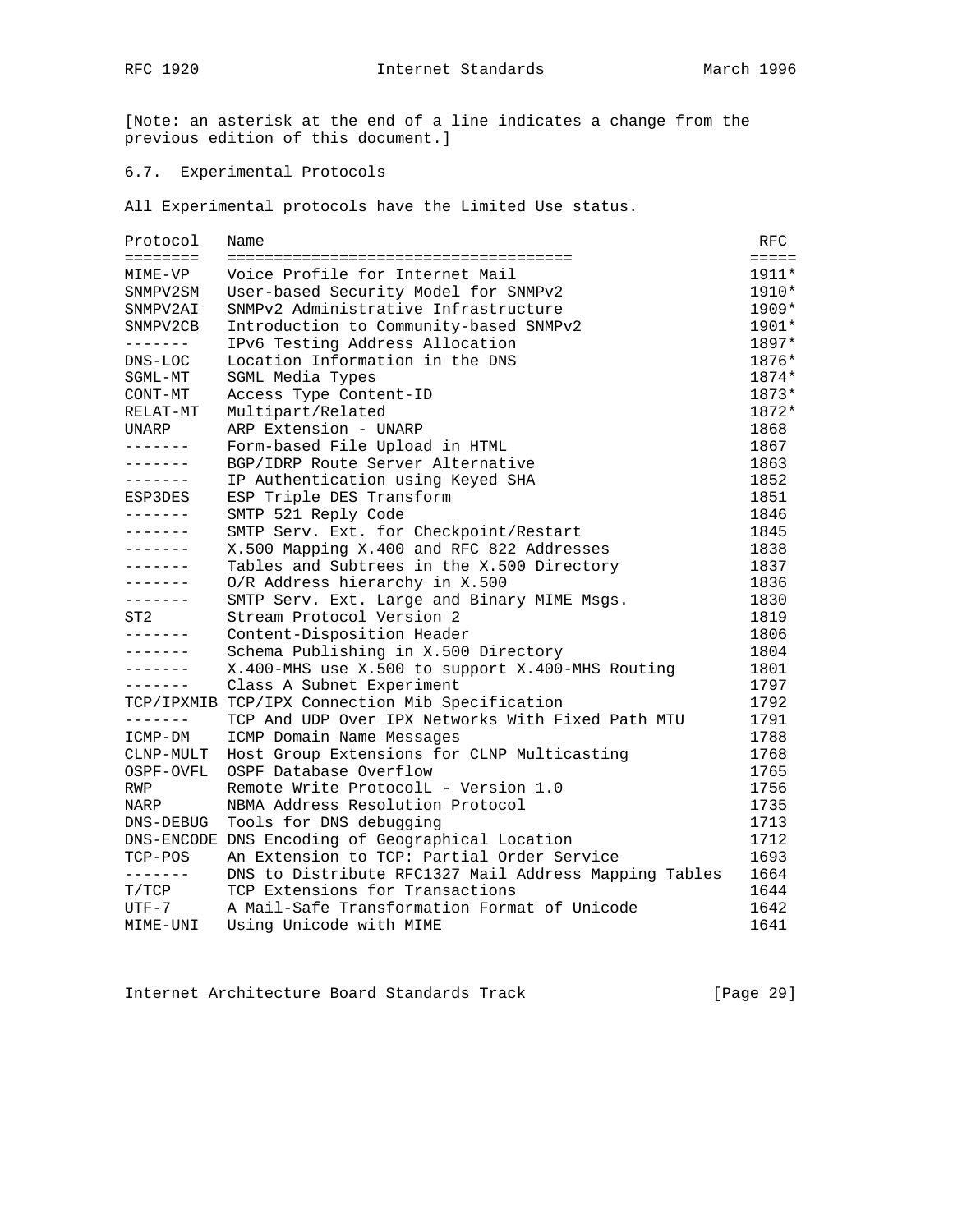RFC 1920 **Internet Standards** March 1996

[Note: an asterisk at the end of a line indicates a change from the previous edition of this document.]

# 6.7. Experimental Protocols

All Experimental protocols have the Limited Use status.

| Protocol  | Name                                                  | RFC             |
|-----------|-------------------------------------------------------|-----------------|
| ========  |                                                       | $=$ $=$ $=$ $=$ |
| MIME-VP   | Voice Profile for Internet Mail                       | $1911*$         |
| SNMPV2SM  | User-based Security Model for SNMPv2                  | 1910*           |
| SNMPV2AI  | SNMPv2 Administrative Infrastructure                  | $1909*$         |
| SNMPV2CB  | Introduction to Community-based SNMPv2                | 1901*           |
| --------  | IPv6 Testing Address Allocation                       | 1897*           |
| DNS-LOC   | Location Information in the DNS                       | 1876*           |
| SGML-MT   | SGML Media Types                                      | 1874*           |
| CONT-MT   | Access Type Content-ID                                | 1873*           |
| RELAT-MT  | Multipart/Related                                     | 1872*           |
| UNARP     | ARP Extension - UNARP                                 | 1868            |
| -------   | Form-based File Upload in HTML                        | 1867            |
| -------   | BGP/IDRP Route Server Alternative                     | 1863            |
| -------   | IP Authentication using Keyed SHA                     | 1852            |
| ESP3DES   | ESP Triple DES Transform                              | 1851            |
| -------   | SMTP 521 Reply Code                                   | 1846            |
| -------   | SMTP Serv. Ext. for Checkpoint/Restart                | 1845            |
| -------   | X.500 Mapping X.400 and RFC 822 Addresses             | 1838            |
| -------   | Tables and Subtrees in the X.500 Directory            | 1837            |
| -------   | O/R Address hierarchy in X.500                        | 1836            |
| -------   | SMTP Serv. Ext. Large and Binary MIME Msgs.           | 1830            |
| ST2       | Stream Protocol Version 2                             | 1819            |
| -------   | Content-Disposition Header                            | 1806            |
| -------   | Schema Publishing in X.500 Directory                  | 1804            |
| -------   | X.400-MHS use X.500 to support X.400-MHS Routing      | 1801            |
| -------   | Class A Subnet Experiment                             | 1797            |
|           | TCP/IPXMIB TCP/IPX Connection Mib Specification       | 1792            |
| -------   | TCP And UDP Over IPX Networks With Fixed Path MTU     | 1791            |
| ICMP-DM   | ICMP Domain Name Messages                             | 1788            |
| CLNP-MULT | Host Group Extensions for CLNP Multicasting           | 1768            |
| OSPF-OVFL | OSPF Database Overflow                                | 1765            |
| RWP       | Remote Write ProtocolL - Version 1.0                  | 1756            |
| NARP      | NBMA Address Resolution Protocol                      | 1735            |
| DNS-DEBUG | Tools for DNS debugging                               | 1713            |
|           | DNS-ENCODE DNS Encoding of Geographical Location      | 1712            |
| TCP-POS   | An Extension to TCP: Partial Order Service            | 1693            |
| --------  | DNS to Distribute RFC1327 Mail Address Mapping Tables | 1664            |
| T/TCP     | TCP Extensions for Transactions                       | 1644            |
| UTF-7     | A Mail-Safe Transformation Format of Unicode          | 1642            |
| MIME-UNI  | Using Unicode with MIME                               | 1641            |

Internet Architecture Board Standards Track [Page 29]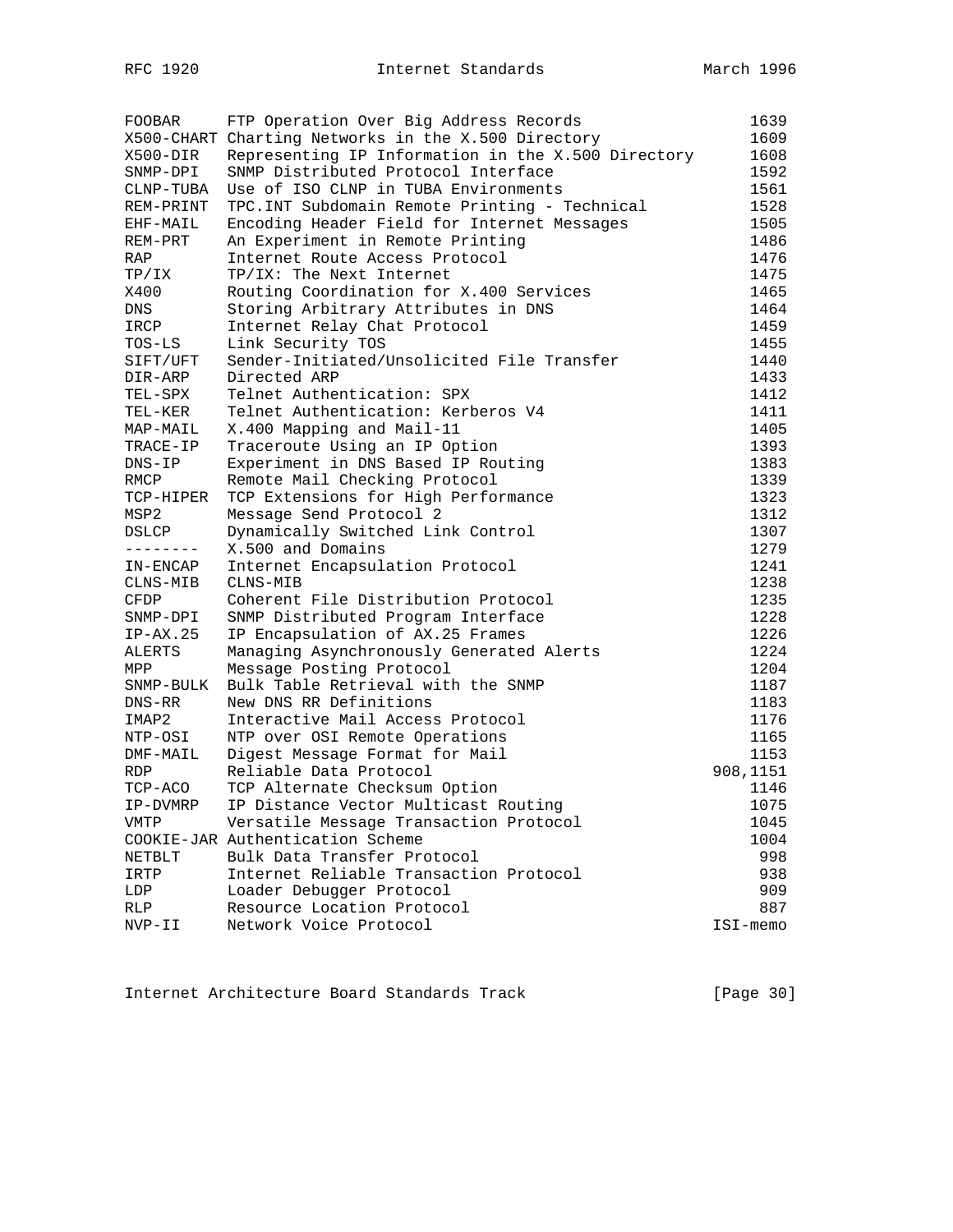| <b>FOOBAR</b>                 | FTP Operation Over Big Address Records              | 1639     |  |  |  |
|-------------------------------|-----------------------------------------------------|----------|--|--|--|
|                               | X500-CHART Charting Networks in the X.500 Directory | 1609     |  |  |  |
| X500-DIR                      | Representing IP Information in the X.500 Directory  |          |  |  |  |
| SNMP-DPI                      | SNMP Distributed Protocol Interface                 |          |  |  |  |
| CLNP-TUBA                     | Use of ISO CLNP in TUBA Environments                |          |  |  |  |
| REM-PRINT                     | TPC. INT Subdomain Remote Printing - Technical      |          |  |  |  |
| EHF-MAIL                      | Encoding Header Field for Internet Messages         |          |  |  |  |
| REM-PRT                       | An Experiment in Remote Printing                    |          |  |  |  |
| RAP                           | Internet Route Access Protocol                      | 1476     |  |  |  |
| TP/IX                         | TP/IX: The Next Internet                            | 1475     |  |  |  |
| X400                          | Routing Coordination for X.400 Services             | 1465     |  |  |  |
| DNS                           | Storing Arbitrary Attributes in DNS                 | 1464     |  |  |  |
| IRCP                          | Internet Relay Chat Protocol                        | 1459     |  |  |  |
| TOS-LS                        | Link Security TOS                                   | 1455     |  |  |  |
| SIFT/UFT                      | Sender-Initiated/Unsolicited File Transfer          | 1440     |  |  |  |
| DIR-ARP                       | Directed ARP                                        | 1433     |  |  |  |
| TEL-SPX                       | Telnet Authentication: SPX                          | 1412     |  |  |  |
| TEL-KER                       | Telnet Authentication: Kerberos V4                  | 1411     |  |  |  |
| MAP-MAIL                      | X.400 Mapping and Mail-11                           | 1405     |  |  |  |
| TRACE-IP                      | Traceroute Using an IP Option                       | 1393     |  |  |  |
| $DNS-IP$                      | Experiment in DNS Based IP Routing                  | 1383     |  |  |  |
| RMCP                          | Remote Mail Checking Protocol                       | 1339     |  |  |  |
| TCP-HIPER                     | TCP Extensions for High Performance                 | 1323     |  |  |  |
| MSP2                          | Message Send Protocol 2                             | 1312     |  |  |  |
| $\ensuremath{\mathsf{DSLCP}}$ | Dynamically Switched Link Control                   | 1307     |  |  |  |
| --------                      | X.500 and Domains                                   | 1279     |  |  |  |
| IN-ENCAP                      | Internet Encapsulation Protocol                     | 1241     |  |  |  |
| CLNS-MIB                      | CLNS-MIB                                            | 1238     |  |  |  |
| <b>CFDP</b>                   | Coherent File Distribution Protocol                 | 1235     |  |  |  |
| SNMP-DPI                      | SNMP Distributed Program Interface                  | 1228     |  |  |  |
| $IP-AX.25$                    | IP Encapsulation of AX.25 Frames                    | 1226     |  |  |  |
| ALERTS                        | Managing Asynchronously Generated Alerts            | 1224     |  |  |  |
| MPP                           | Message Posting Protocol                            | 1204     |  |  |  |
| SNMP-BULK                     | Bulk Table Retrieval with the SNMP                  | 1187     |  |  |  |
| DNS-RR                        | New DNS RR Definitions                              | 1183     |  |  |  |
| IMAP2                         | Interactive Mail Access Protocol                    | 1176     |  |  |  |
| NTP-OSI                       | NTP over OSI Remote Operations                      | 1165     |  |  |  |
| DMF-MAIL                      | Digest Message Format for Mail                      | 1153     |  |  |  |
| RDP                           | Reliable Data Protocol                              | 908,1151 |  |  |  |
| TCP-ACO                       | TCP Alternate Checksum Option                       | 1146     |  |  |  |
| IP-DVMRP                      | IP Distance Vector Multicast Routing                | 1075     |  |  |  |
| VMTP                          | Versatile Message Transaction Protocol              | 1045     |  |  |  |
|                               | COOKIE-JAR Authentication Scheme                    | 1004     |  |  |  |
| NETBLT                        | Bulk Data Transfer Protocol                         | 998      |  |  |  |
| IRTP                          | Internet Reliable Transaction Protocol              | 938      |  |  |  |
| LDP                           | Loader Debugger Protocol                            | 909      |  |  |  |
| <b>RLP</b>                    | Resource Location Protocol                          | 887      |  |  |  |
| NVP-II                        | Network Voice Protocol                              | ISI-memo |  |  |  |

Internet Architecture Board Standards Track [Page 30]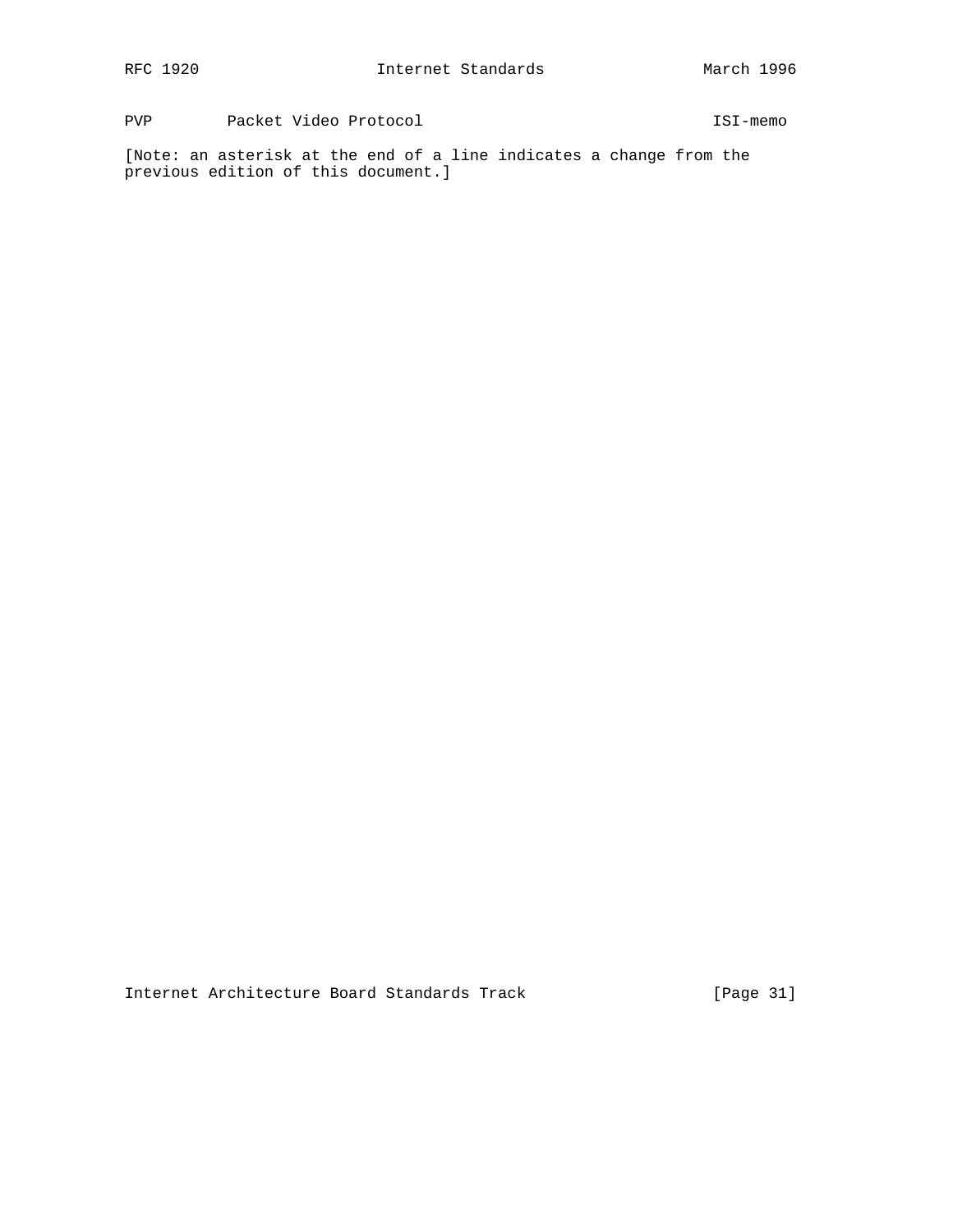PVP Packet Video Protocol ISI-memo

[Note: an asterisk at the end of a line indicates a change from the previous edition of this document.]

Internet Architecture Board Standards Track [Page 31]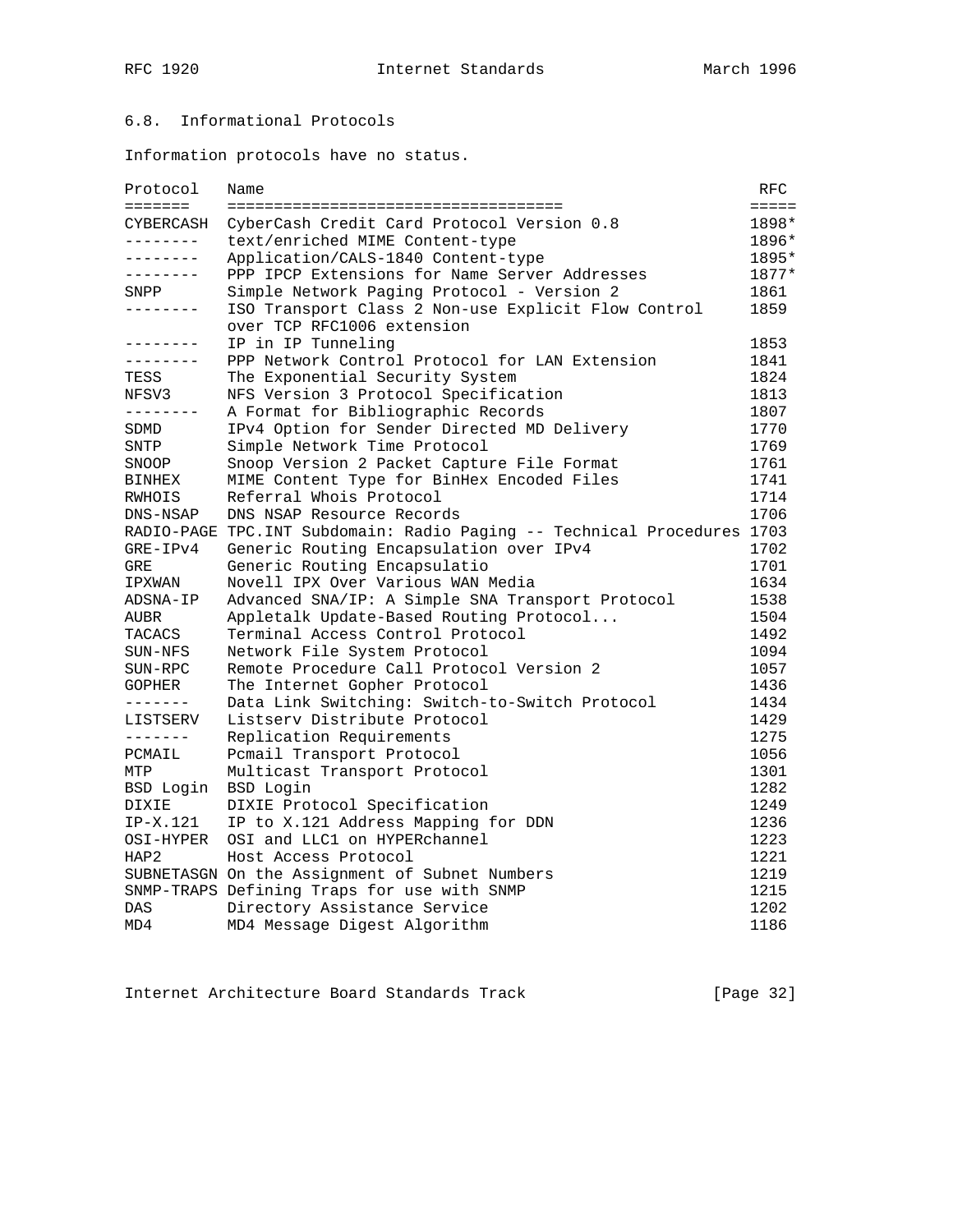# 6.8. Informational Protocols

Information protocols have no status.

| Protocol                     | Name                                                                          | RFC          |
|------------------------------|-------------------------------------------------------------------------------|--------------|
| $=$ = = = = = =<br>CYBERCASH | ======================================                                        | $=$<br>1898* |
| --------                     | CyberCash Credit Card Protocol Version 0.8<br>text/enriched MIME Content-type | 1896*        |
| --------                     | Application/CALS-1840 Content-type                                            | 1895*        |
| --------                     | PPP IPCP Extensions for Name Server Addresses                                 | 1877*        |
| SNPP                         | Simple Network Paging Protocol - Version 2                                    | 1861         |
| ________                     | ISO Transport Class 2 Non-use Explicit Flow Control                           | 1859         |
|                              | over TCP RFC1006 extension                                                    |              |
| --------                     | IP in IP Tunneling                                                            | 1853         |
| --------                     | PPP Network Control Protocol for LAN Extension                                | 1841         |
| TESS                         | The Exponential Security System                                               | 1824         |
| NFSV3                        | NFS Version 3 Protocol Specification                                          | 1813         |
| --------                     | A Format for Bibliographic Records                                            | 1807         |
| SDMD                         | IPv4 Option for Sender Directed MD Delivery                                   | 1770         |
| SNTP                         | Simple Network Time Protocol                                                  | 1769         |
| SNOOP                        | Snoop Version 2 Packet Capture File Format                                    | 1761         |
| BINHEX                       | MIME Content Type for BinHex Encoded Files                                    | 1741         |
| RWHOIS                       | Referral Whois Protocol                                                       | 1714         |
| DNS-NSAP                     | DNS NSAP Resource Records                                                     | 1706         |
|                              | RADIO-PAGE TPC. INT Subdomain: Radio Paging -- Technical Procedures 1703      |              |
| $GRE-IPv4$                   | Generic Routing Encapsulation over IPv4                                       | 1702         |
| <b>GRE</b>                   | Generic Routing Encapsulatio                                                  | 1701         |
| IPXWAN                       | Novell IPX Over Various WAN Media                                             | 1634         |
| ADSNA-IP                     | Advanced SNA/IP: A Simple SNA Transport Protocol                              | 1538         |
| AUBR                         | Appletalk Update-Based Routing Protocol                                       | 1504         |
| TACACS                       | Terminal Access Control Protocol                                              | 1492         |
| SUN-NFS                      | Network File System Protocol                                                  | 1094         |
| SUN-RPC                      | Remote Procedure Call Protocol Version 2                                      | 1057         |
| <b>GOPHER</b>                | The Internet Gopher Protocol                                                  | 1436         |
| -------                      | Data Link Switching: Switch-to-Switch Protocol                                | 1434         |
| LISTSERV                     | Listsery Distribute Protocol                                                  | 1429         |
| --------                     | Replication Requirements                                                      | 1275         |
| PCMAIL                       | Pcmail Transport Protocol                                                     | 1056         |
| MTP                          | Multicast Transport Protocol                                                  | 1301         |
| BSD Login                    | BSD Login                                                                     | 1282         |
| DIXIE                        | DIXIE Protocol Specification                                                  | 1249         |
| IP-X.121                     | IP to X.121 Address Mapping for DDN                                           | 1236         |
| OSI-HYPER                    | OSI and LLC1 on HYPERchannel                                                  | 1223         |
| HAP2                         | Host Access Protocol                                                          | 1221         |
|                              | SUBNETASGN On the Assignment of Subnet Numbers                                | 1219         |
|                              | SNMP-TRAPS Defining Traps for use with SNMP                                   | 1215         |
| DAS                          | Directory Assistance Service                                                  | 1202         |
| MD4                          | MD4 Message Digest Algorithm                                                  | 1186         |

Internet Architecture Board Standards Track [Page 32]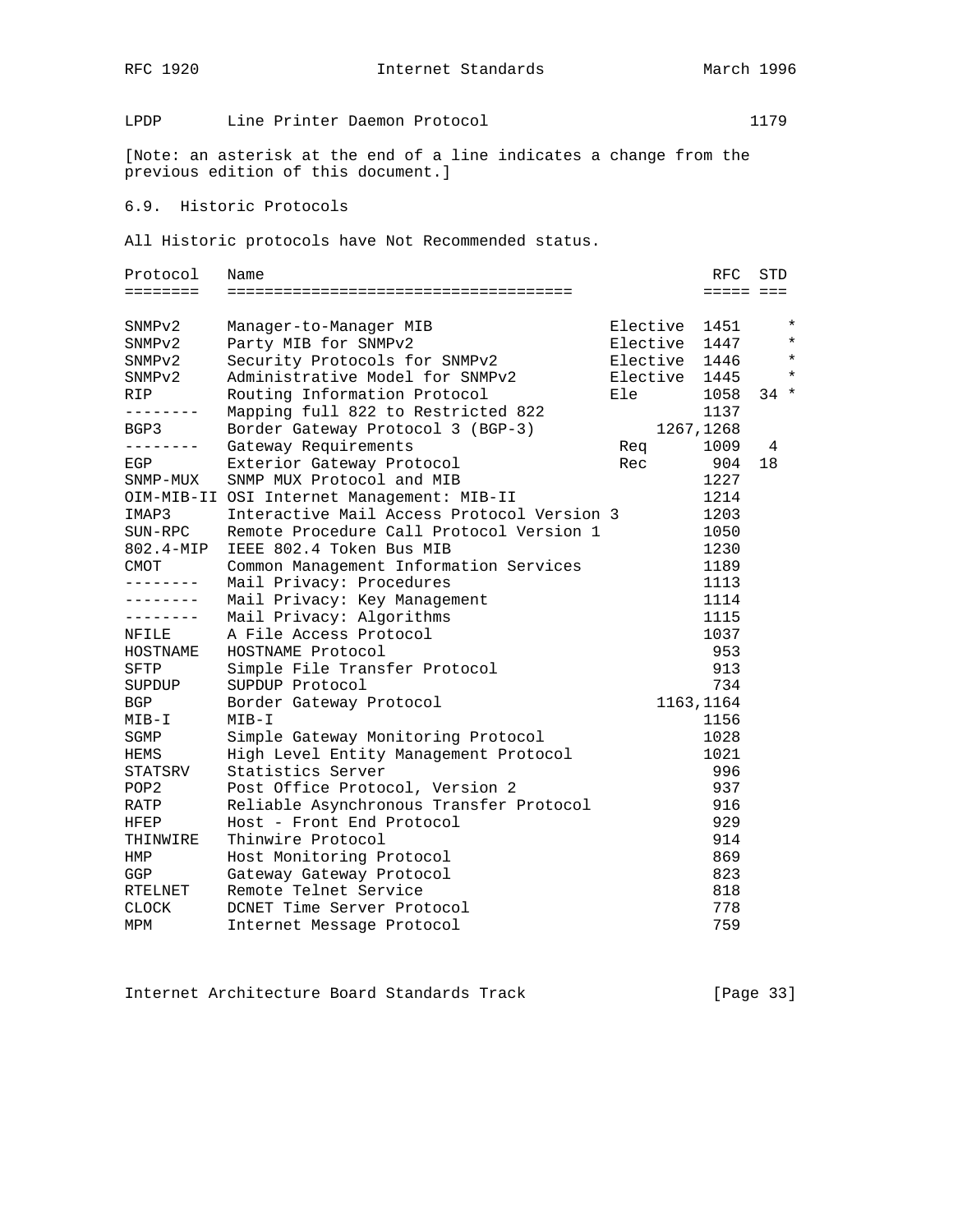RFC 1920 **Internet Standards** March 1996

LPDP Line Printer Daemon Protocol 1179

[Note: an asterisk at the end of a line indicates a change from the previous edition of this document.]

## 6.9. Historic Protocols

All Historic protocols have Not Recommended status.

| Protocol         | Name                                       |               | RFC        | STD    |         |
|------------------|--------------------------------------------|---------------|------------|--------|---------|
| ========         |                                            |               | ===== ===  |        |         |
| SNMPv2           | Manager-to-Manager MIB                     | Elective 1451 |            |        | $\star$ |
| SNMPv2           | Party MIB for SNMPv2                       | Elective      | 1447       |        | $\star$ |
| SNMPv2           | Security Protocols for SNMPv2              | Elective 1446 |            |        | $\star$ |
| SNMPv2           | Administrative Model for SNMPv2            | Elective 1445 |            |        | $\star$ |
| RIP              | Routing Information Protocol               | Ele           | 1058       | $34 *$ |         |
| --------         | Mapping full 822 to Restricted 822         |               | 1137       |        |         |
| BGP3             | Border Gateway Protocol 3 (BGP-3)          |               | 1267, 1268 |        |         |
| --------         | Gateway Requirements                       | Req           | 1009       | 4      |         |
| EGP              | Exterior Gateway Protocol                  | Rec           | 904        | 18     |         |
| SNMP-MUX         | SNMP MUX Protocol and MIB                  |               | 1227       |        |         |
|                  | OIM-MIB-II OSI Internet Management: MIB-II |               | 1214       |        |         |
| IMAP3            | Interactive Mail Access Protocol Version 3 |               | 1203       |        |         |
| SUN-RPC          | Remote Procedure Call Protocol Version 1   |               | 1050       |        |         |
| 802.4-MIP        | IEEE 802.4 Token Bus MIB                   |               | 1230       |        |         |
| CMOT             | Common Management Information Services     |               | 1189       |        |         |
| .                | Mail Privacy: Procedures                   |               | 1113       |        |         |
| --------         | Mail Privacy: Key Management               |               | 1114       |        |         |
| --------         | Mail Privacy: Algorithms                   |               | 1115       |        |         |
| NFILE            | A File Access Protocol                     |               | 1037       |        |         |
| HOSTNAME         | HOSTNAME Protocol                          |               | 953        |        |         |
| <b>SFTP</b>      | Simple File Transfer Protocol              |               | 913        |        |         |
| SUPDUP           | SUPDUP Protocol                            |               | 734        |        |         |
| <b>BGP</b>       | Border Gateway Protocol                    |               | 1163, 1164 |        |         |
| MIB-I            | $MIB-I$                                    |               | 1156       |        |         |
| SGMP             | Simple Gateway Monitoring Protocol         |               | 1028       |        |         |
| HEMS             | High Level Entity Management Protocol      |               | 1021       |        |         |
| STATSRV          | Statistics Server                          |               | 996        |        |         |
| POP <sub>2</sub> | Post Office Protocol, Version 2            |               | 937        |        |         |
| RATP             | Reliable Asynchronous Transfer Protocol    |               | 916        |        |         |
| HFEP             | Host - Front End Protocol                  |               | 929        |        |         |
| THINWIRE         | Thinwire Protocol                          |               | 914        |        |         |
| HMP              | Host Monitoring Protocol                   |               | 869        |        |         |
| GGP              | Gateway Gateway Protocol                   |               | 823        |        |         |
| RTELNET          | Remote Telnet Service                      |               | 818        |        |         |
| <b>CLOCK</b>     | DCNET Time Server Protocol                 |               | 778        |        |         |
| MPM              | Internet Message Protocol                  |               | 759        |        |         |

Internet Architecture Board Standards Track [Page 33]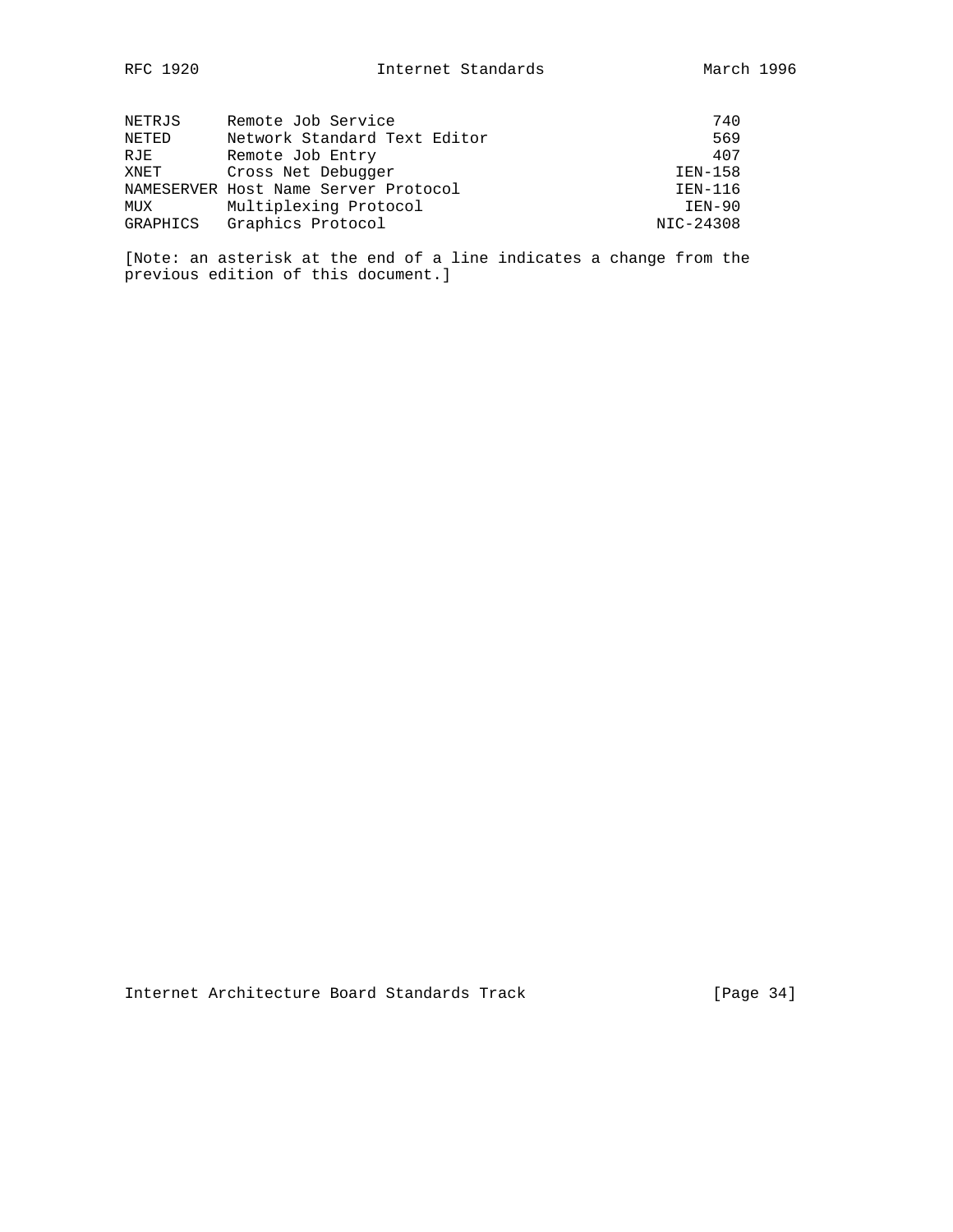| NETRJS   | Remote Job Service                   | 740       |
|----------|--------------------------------------|-----------|
| NETED    | Network Standard Text Editor         | 569       |
| RJE      | Remote Job Entry                     | 407       |
| XNET     | Cross Net Debugger                   | IEN-158   |
|          | NAMESERVER Host Name Server Protocol | IEN-116   |
| MUX      | Multiplexing Protocol                | $IEN-90$  |
| GRAPHICS | Graphics Protocol                    | NIC-24308 |

[Note: an asterisk at the end of a line indicates a change from the previous edition of this document.]

Internet Architecture Board Standards Track [Page 34]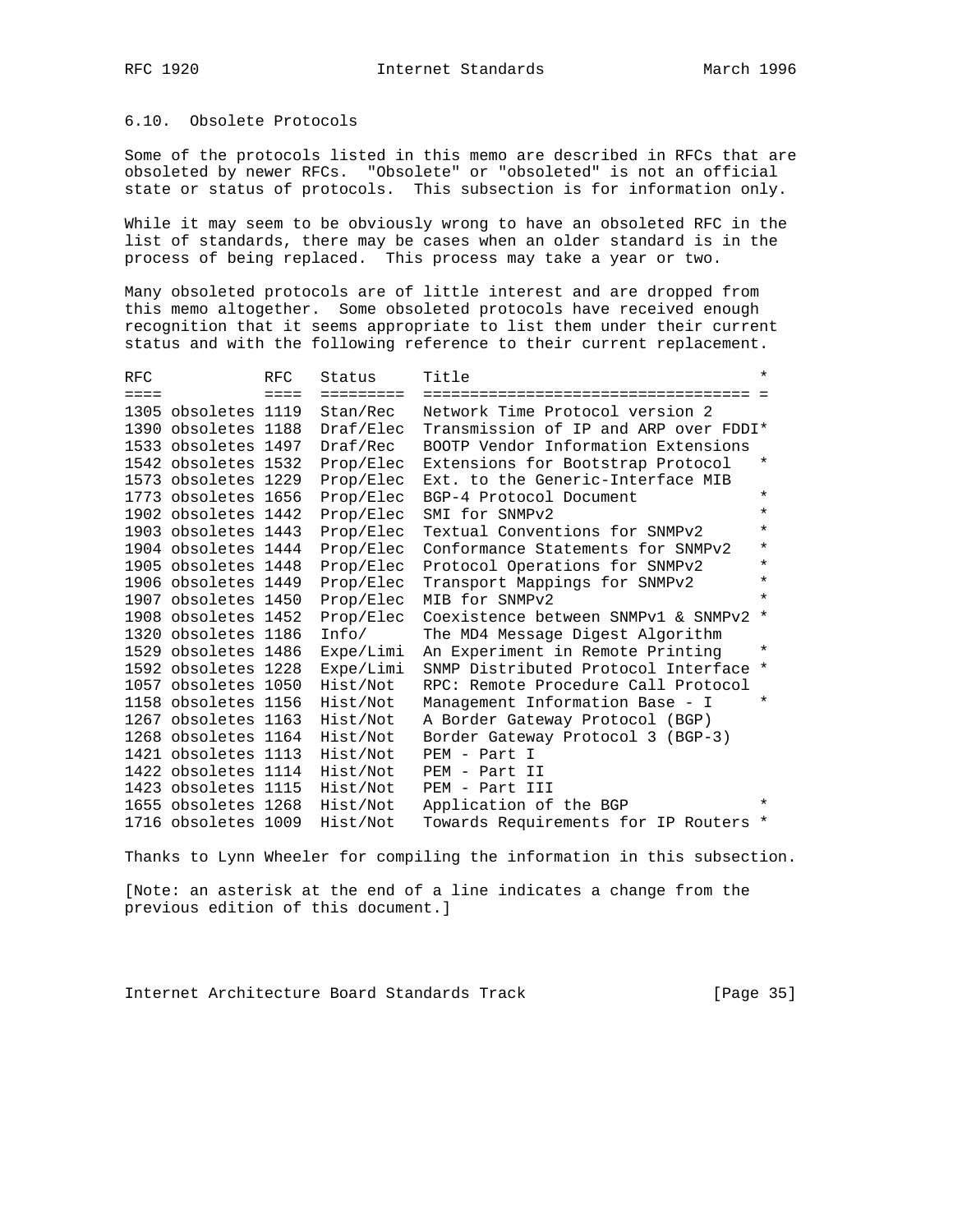### 6.10. Obsolete Protocols

Some of the protocols listed in this memo are described in RFCs that are obsoleted by newer RFCs. "Obsolete" or "obsoleted" is not an official state or status of protocols. This subsection is for information only.

While it may seem to be obviously wrong to have an obsoleted RFC in the list of standards, there may be cases when an older standard is in the process of being replaced. This process may take a year or two.

Many obsoleted protocols are of little interest and are dropped from this memo altogether. Some obsoleted protocols have received enough recognition that it seems appropriate to list them under their current status and with the following reference to their current replacement.

| <b>RFC</b>      |                     | <b>RFC</b>      | Status    | Title                                 | $\star$ |
|-----------------|---------------------|-----------------|-----------|---------------------------------------|---------|
| $=$ $=$ $=$ $=$ |                     | $=$ $=$ $=$ $=$ | ========= |                                       |         |
|                 | 1305 obsoletes 1119 |                 | Stan/Rec  | Network Time Protocol version 2       |         |
|                 | 1390 obsoletes 1188 |                 | Draf/Elec | Transmission of IP and ARP over FDDI* |         |
|                 | 1533 obsoletes 1497 |                 | Draf/Rec  | BOOTP Vendor Information Extensions   |         |
|                 | 1542 obsoletes 1532 |                 | Prop/Elec | Extensions for Bootstrap Protocol     | $\star$ |
|                 | 1573 obsoletes 1229 |                 | Prop/Elec | Ext. to the Generic-Interface MIB     |         |
|                 | 1773 obsoletes 1656 |                 | Prop/Elec | BGP-4 Protocol Document               | $\star$ |
|                 | 1902 obsoletes 1442 |                 | Prop/Elec | SMI for SNMPv2                        | $\star$ |
|                 | 1903 obsoletes 1443 |                 | Prop/Elec | Textual Conventions for SNMPv2        | $\star$ |
|                 | 1904 obsoletes 1444 |                 | Prop/Elec | Conformance Statements for SNMPv2     | $\star$ |
|                 | 1905 obsoletes 1448 |                 | Prop/Elec | Protocol Operations for SNMPv2        | $\star$ |
|                 | 1906 obsoletes 1449 |                 | Prop/Elec | Transport Mappings for SNMPv2         | $\star$ |
|                 | 1907 obsoletes 1450 |                 | Prop/Elec | MIB for SNMPv2                        | $\star$ |
|                 | 1908 obsoletes 1452 |                 | Prop/Elec | Coexistence between SNMPv1 & SNMPv2   | $\star$ |
|                 | 1320 obsoletes 1186 |                 | Info/     | The MD4 Message Digest Algorithm      |         |
|                 | 1529 obsoletes 1486 |                 | Expe/Limi | An Experiment in Remote Printing      | $\ast$  |
|                 | 1592 obsoletes 1228 |                 | Expe/Limi | SNMP Distributed Protocol Interface   | $\star$ |
|                 | 1057 obsoletes 1050 |                 | Hist/Not  | RPC: Remote Procedure Call Protocol   |         |
|                 | 1158 obsoletes 1156 |                 | Hist/Not  | Management Information Base - I       | $\star$ |
|                 | 1267 obsoletes 1163 |                 | Hist/Not  | A Border Gateway Protocol (BGP)       |         |
|                 | 1268 obsoletes 1164 |                 | Hist/Not  | Border Gateway Protocol 3 (BGP-3)     |         |
|                 | 1421 obsoletes 1113 |                 | Hist/Not  | PEM - Part I                          |         |
|                 | 1422 obsoletes 1114 |                 | Hist/Not  | PEM - Part II                         |         |
|                 | 1423 obsoletes 1115 |                 | Hist/Not  | PEM - Part III                        |         |
|                 | 1655 obsoletes 1268 |                 | Hist/Not  | Application of the BGP                | $\star$ |
|                 | 1716 obsoletes 1009 |                 | Hist/Not  | Towards Requirements for IP Routers * |         |

Thanks to Lynn Wheeler for compiling the information in this subsection.

[Note: an asterisk at the end of a line indicates a change from the previous edition of this document.]

Internet Architecture Board Standards Track [Page 35]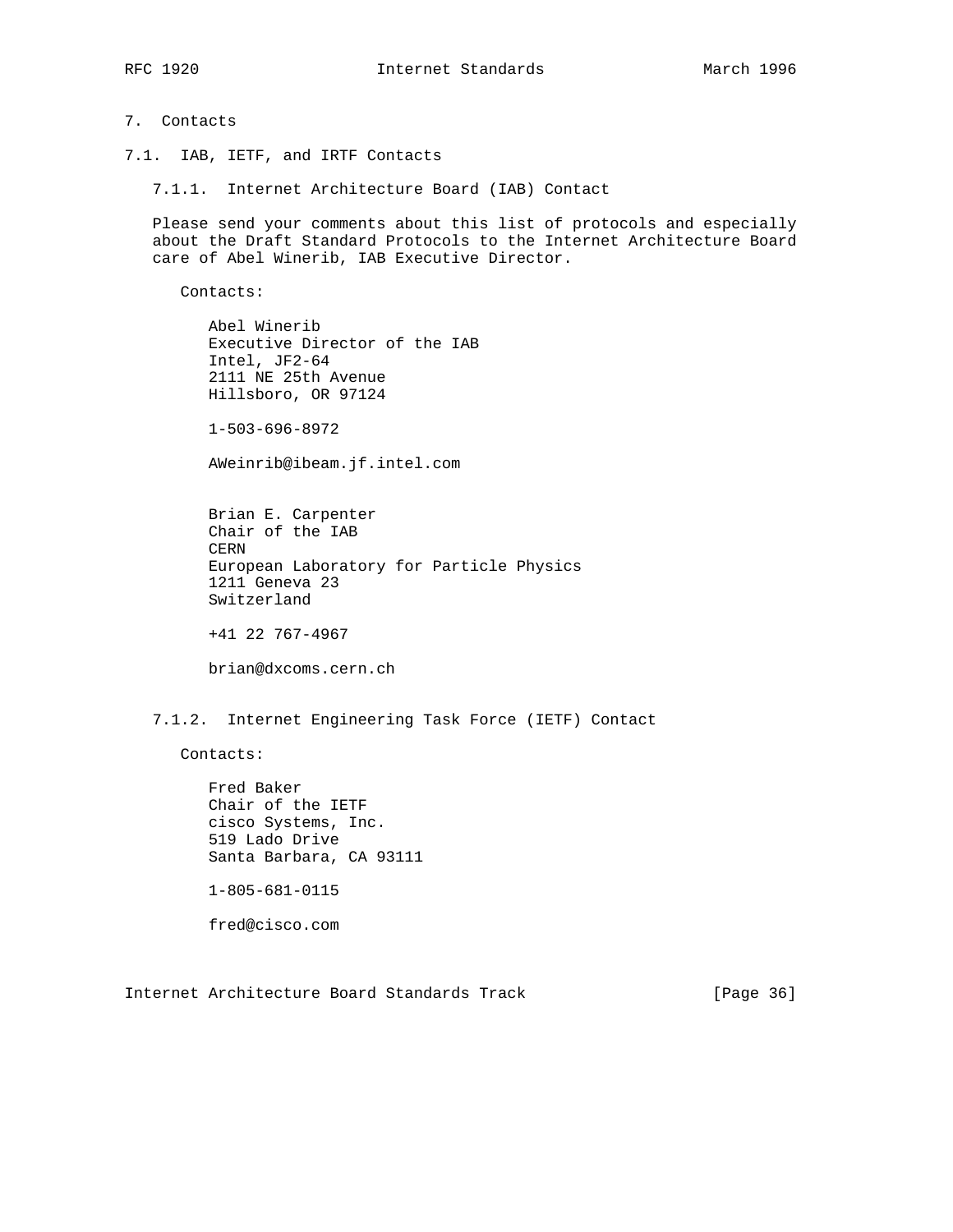## 7. Contacts

- 7.1. IAB, IETF, and IRTF Contacts
	- 7.1.1. Internet Architecture Board (IAB) Contact

 Please send your comments about this list of protocols and especially about the Draft Standard Protocols to the Internet Architecture Board care of Abel Winerib, IAB Executive Director.

Contacts:

 Abel Winerib Executive Director of the IAB Intel, JF2-64 2111 NE 25th Avenue Hillsboro, OR 97124

1-503-696-8972

AWeinrib@ibeam.jf.intel.com

 Brian E. Carpenter Chair of the IAB CERN European Laboratory for Particle Physics 1211 Geneva 23 Switzerland

+41 22 767-4967

brian@dxcoms.cern.ch

7.1.2. Internet Engineering Task Force (IETF) Contact

Contacts:

 Fred Baker Chair of the IETF cisco Systems, Inc. 519 Lado Drive Santa Barbara, CA 93111 1-805-681-0115 fred@cisco.com

Internet Architecture Board Standards Track [Page 36]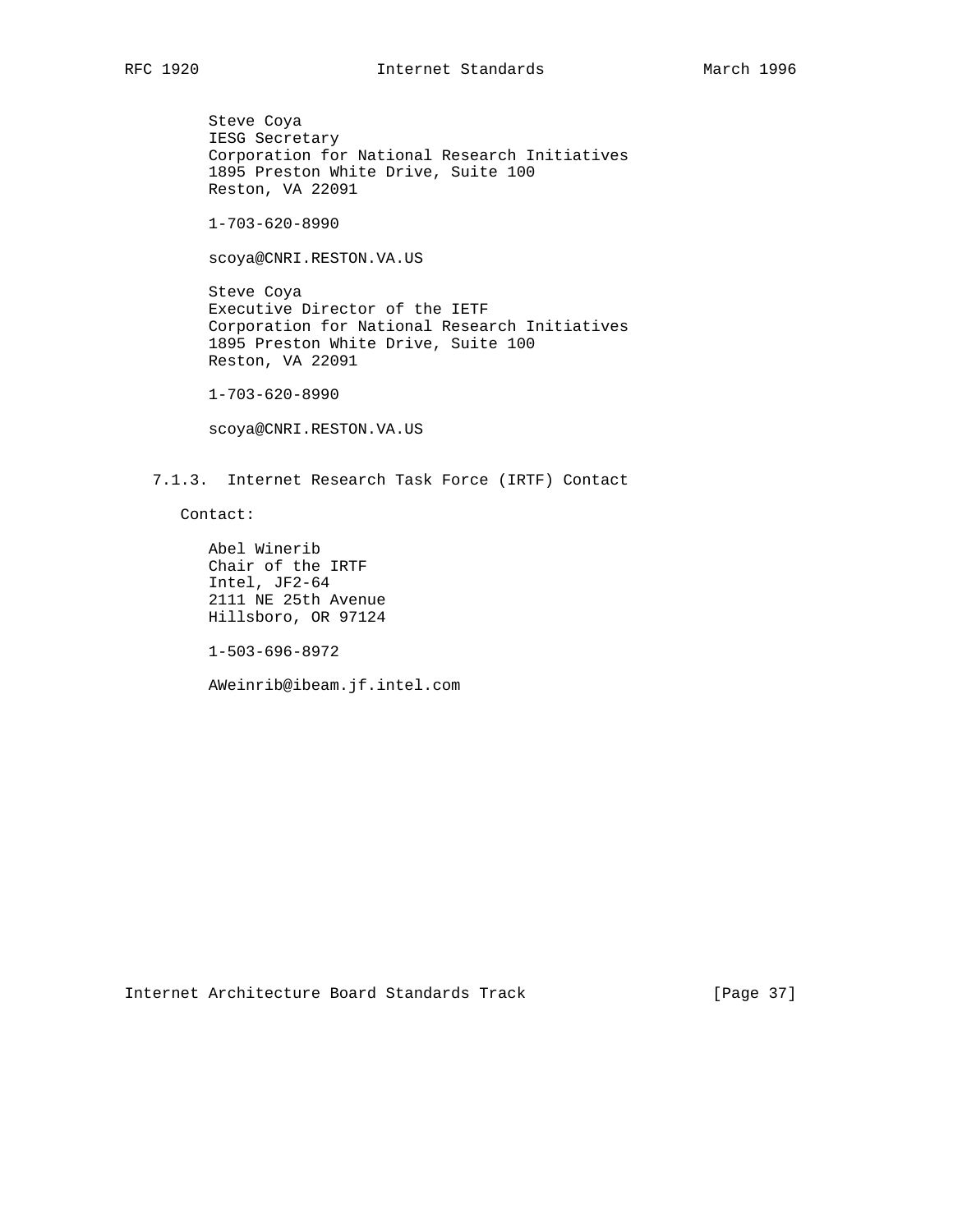Steve Coya IESG Secretary Corporation for National Research Initiatives 1895 Preston White Drive, Suite 100 Reston, VA 22091

1-703-620-8990

scoya@CNRI.RESTON.VA.US

 Steve Coya Executive Director of the IETF Corporation for National Research Initiatives 1895 Preston White Drive, Suite 100 Reston, VA 22091

1-703-620-8990

scoya@CNRI.RESTON.VA.US

7.1.3. Internet Research Task Force (IRTF) Contact

Contact:

 Abel Winerib Chair of the IRTF Intel, JF2-64 2111 NE 25th Avenue Hillsboro, OR 97124

1-503-696-8972

AWeinrib@ibeam.jf.intel.com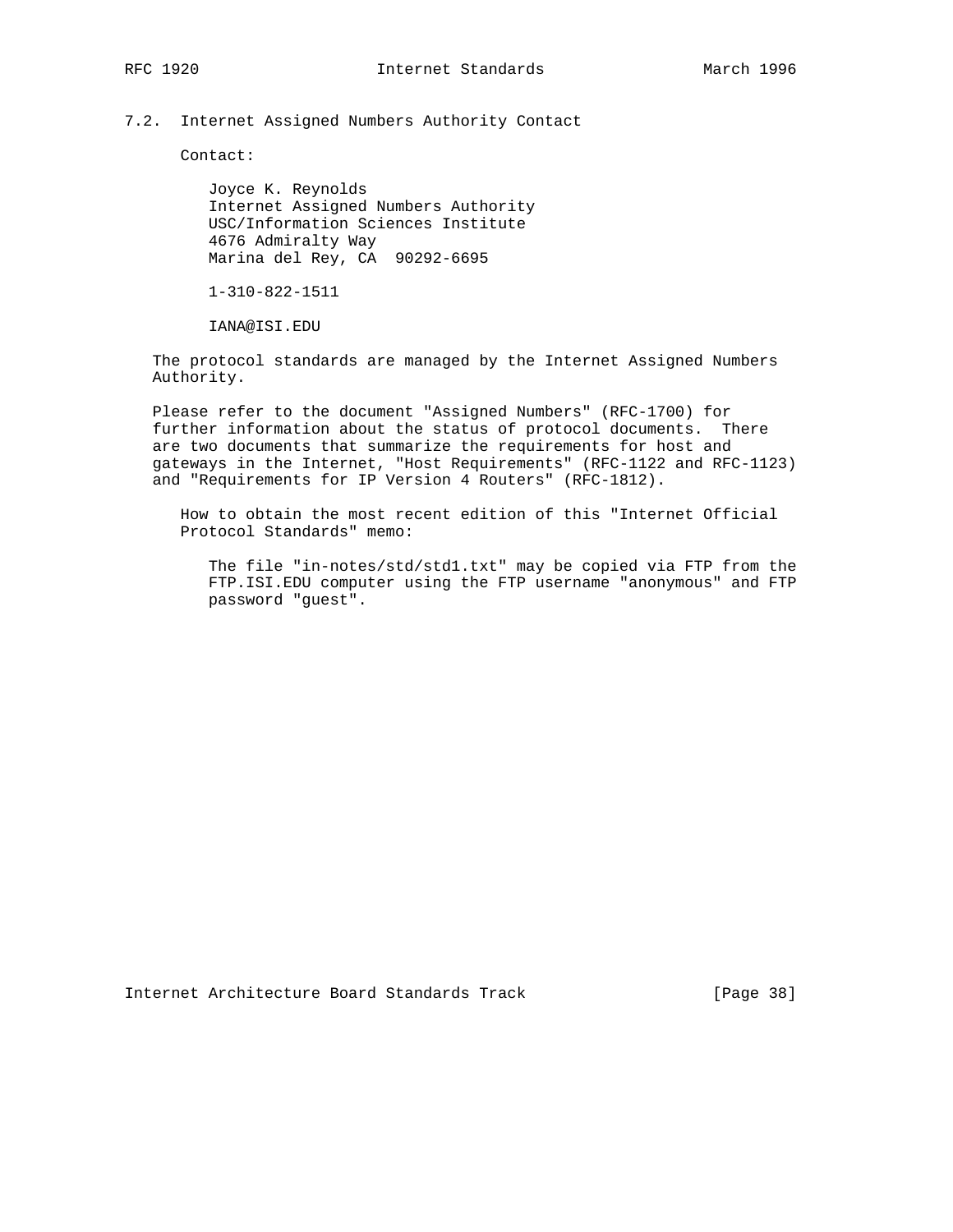# 7.2. Internet Assigned Numbers Authority Contact

Contact:

 Joyce K. Reynolds Internet Assigned Numbers Authority USC/Information Sciences Institute 4676 Admiralty Way Marina del Rey, CA 90292-6695

1-310-822-1511

IANA@ISI.EDU

 The protocol standards are managed by the Internet Assigned Numbers Authority.

 Please refer to the document "Assigned Numbers" (RFC-1700) for further information about the status of protocol documents. There are two documents that summarize the requirements for host and gateways in the Internet, "Host Requirements" (RFC-1122 and RFC-1123) and "Requirements for IP Version 4 Routers" (RFC-1812).

 How to obtain the most recent edition of this "Internet Official Protocol Standards" memo:

 The file "in-notes/std/std1.txt" may be copied via FTP from the FTP.ISI.EDU computer using the FTP username "anonymous" and FTP password "guest".

Internet Architecture Board Standards Track [Page 38]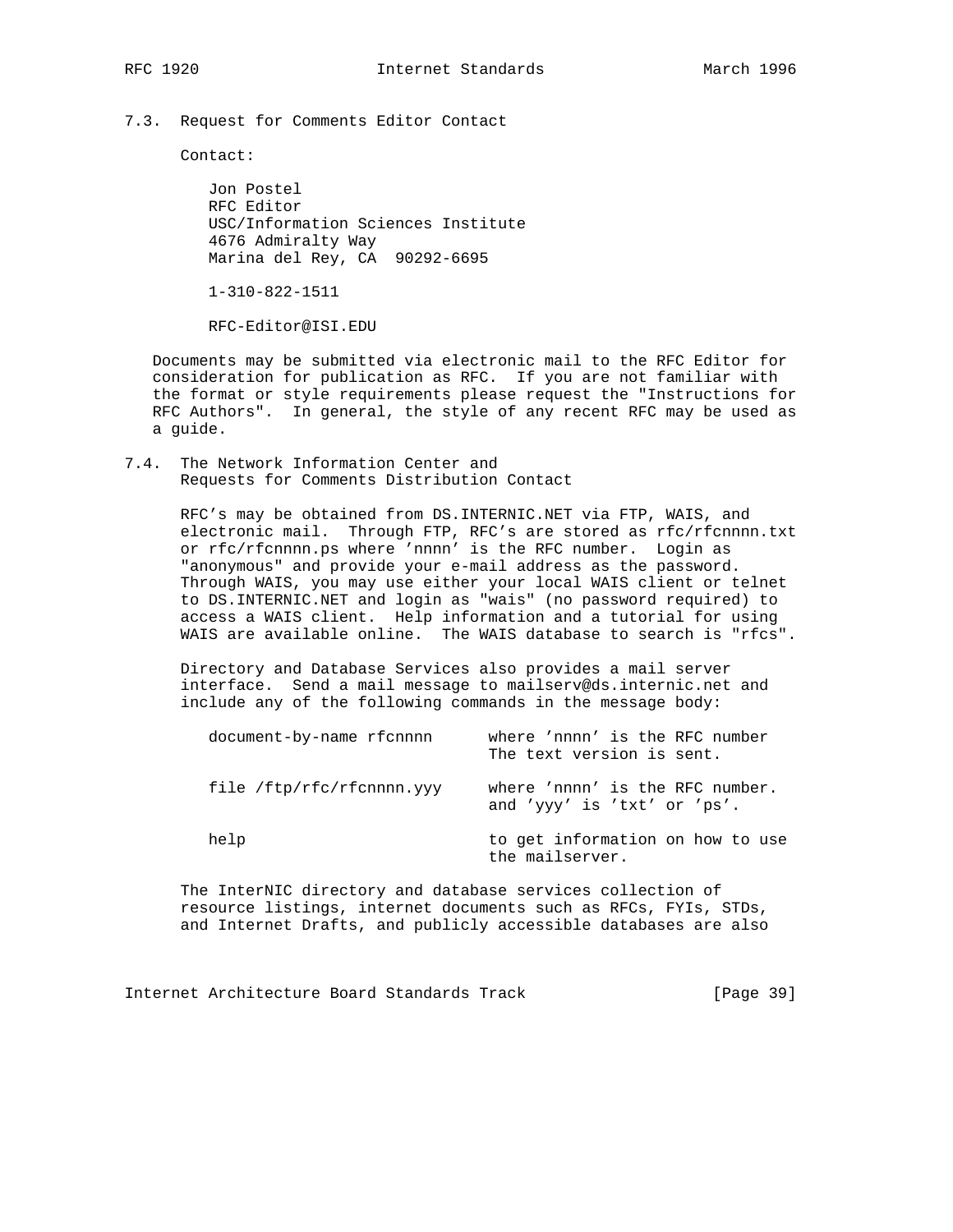7.3. Request for Comments Editor Contact

Contact:

 Jon Postel RFC Editor USC/Information Sciences Institute 4676 Admiralty Way Marina del Rey, CA 90292-6695

1-310-822-1511

RFC-Editor@ISI.EDU

 Documents may be submitted via electronic mail to the RFC Editor for consideration for publication as RFC. If you are not familiar with the format or style requirements please request the "Instructions for RFC Authors". In general, the style of any recent RFC may be used as a guide.

7.4. The Network Information Center and Requests for Comments Distribution Contact

> RFC's may be obtained from DS.INTERNIC.NET via FTP, WAIS, and electronic mail. Through FTP, RFC's are stored as rfc/rfcnnnn.txt or rfc/rfcnnnn.ps where 'nnnn' is the RFC number. Login as "anonymous" and provide your e-mail address as the password. Through WAIS, you may use either your local WAIS client or telnet to DS.INTERNIC.NET and login as "wais" (no password required) to access a WAIS client. Help information and a tutorial for using WAIS are available online. The WAIS database to search is "rfcs".

 Directory and Database Services also provides a mail server interface. Send a mail message to mailserv@ds.internic.net and include any of the following commands in the message body:

| document-by-name rfcnnnn  | where 'nnnn' is the RFC number<br>The text version is sent.    |
|---------------------------|----------------------------------------------------------------|
| file /ftp/rfc/rfcnnnn.yyy | where 'nnnn' is the RFC number.<br>and 'yyy' is 'txt' or 'ps'. |
| help                      | to get information on how to use<br>the mailserver.            |

 The InterNIC directory and database services collection of resource listings, internet documents such as RFCs, FYIs, STDs, and Internet Drafts, and publicly accessible databases are also

Internet Architecture Board Standards Track [Page 39]